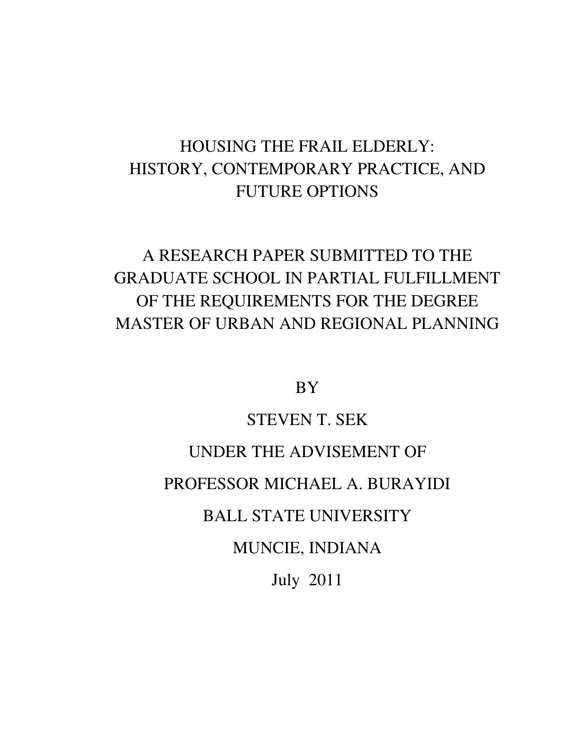## HOUSING THE FRAIL ELDERLY: HISTORY, CONTEMPORARY PRACTICE, AND FUTURE OPTIONS

## A RESEARCH PAPER SUBMITTED TO THE GRADUATE SCHOOL IN PARTIAL FULFILLMENT OF THE REQUIREMENTS FOR THE DEGREE MASTER OF URBAN AND REGIONAL PLANNING

BY

## STEVEN T. SEK

## UNDER THE ADVISEMENT OF

## PROFESSOR MICHAEL A. BURAYIDI

## BALL STATE UNIVERSITY

## MUNCIE, INDIANA

July 2011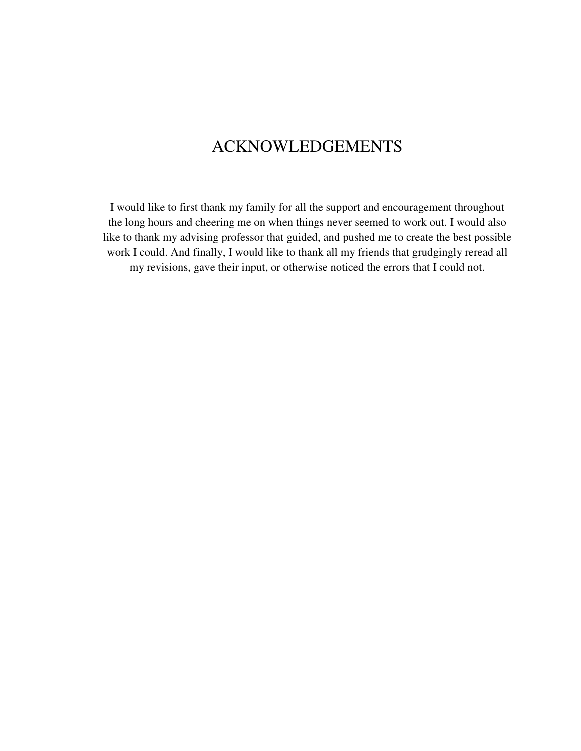## ACKNOWLEDGEMENTS

I would like to first thank my family for all the support and encouragement throughout the long hours and cheering me on when things never seemed to work out. I would also like to thank my advising professor that guided, and pushed me to create the best possible work I could. And finally, I would like to thank all my friends that grudgingly reread all my revisions, gave their input, or otherwise noticed the errors that I could not.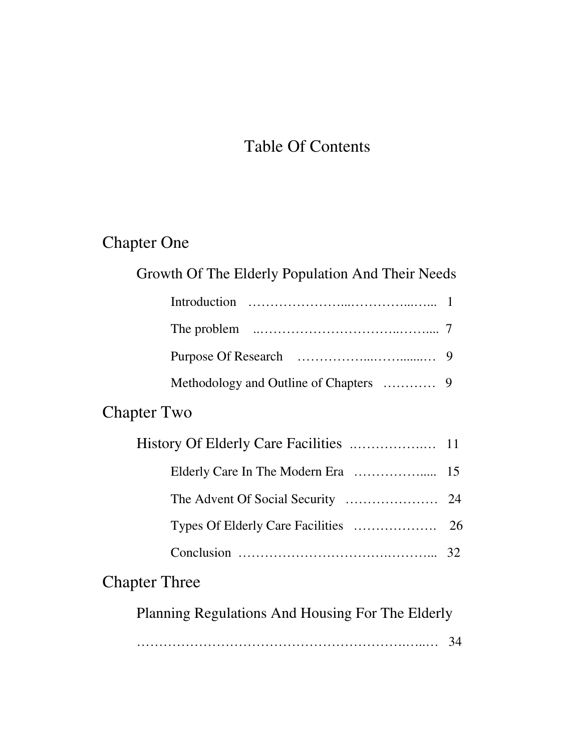# Table Of Contents

# Chapter One

| Growth Of The Elderly Population And Their Needs |    |  |  |  |
|--------------------------------------------------|----|--|--|--|
|                                                  |    |  |  |  |
|                                                  |    |  |  |  |
|                                                  |    |  |  |  |
| Methodology and Outline of Chapters              | 9  |  |  |  |
| <b>Chapter Two</b>                               |    |  |  |  |
|                                                  |    |  |  |  |
|                                                  |    |  |  |  |
|                                                  | 24 |  |  |  |
|                                                  |    |  |  |  |
|                                                  |    |  |  |  |
| <b>Chapter Three</b>                             |    |  |  |  |
| Planning Regulations And Housing For The Elderly |    |  |  |  |
|                                                  | 34 |  |  |  |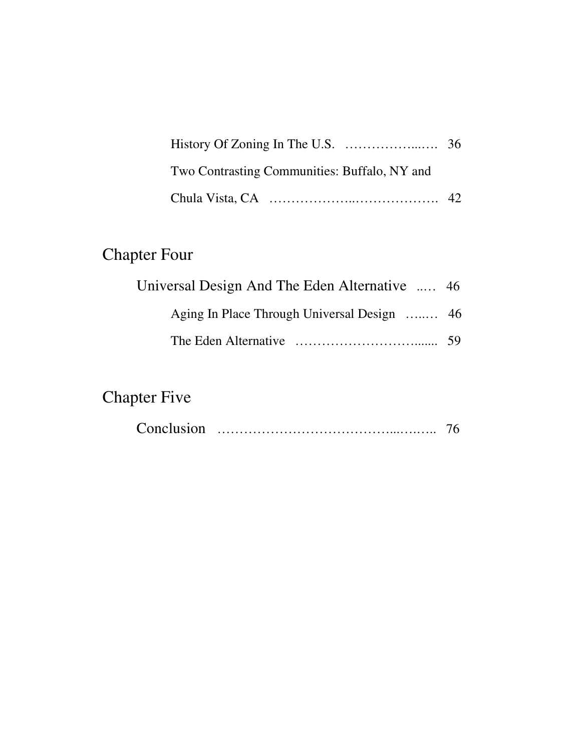| Two Contrasting Communities: Buffalo, NY and |  |
|----------------------------------------------|--|
|                                              |  |

# Chapter Four

| Universal Design And The Eden Alternative  46 |  |
|-----------------------------------------------|--|
| Aging In Place Through Universal Design  46   |  |
|                                               |  |

# Chapter Five

| Conclusion |  |  |
|------------|--|--|
|------------|--|--|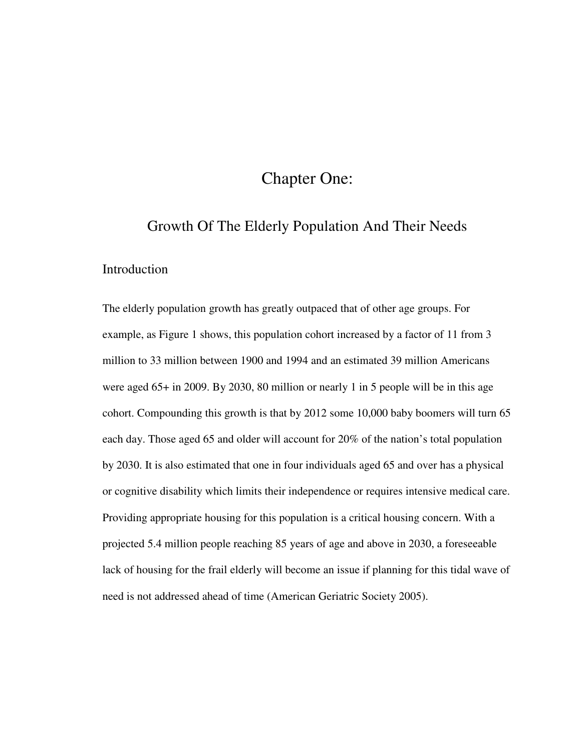### Chapter One:

#### Growth Of The Elderly Population And Their Needs

#### Introduction

The elderly population growth has greatly outpaced that of other age groups. For example, as Figure 1 shows, this population cohort increased by a factor of 11 from 3 million to 33 million between 1900 and 1994 and an estimated 39 million Americans were aged 65+ in 2009. By 2030, 80 million or nearly 1 in 5 people will be in this age cohort. Compounding this growth is that by 2012 some 10,000 baby boomers will turn 65 each day. Those aged 65 and older will account for 20% of the nation's total population by 2030. It is also estimated that one in four individuals aged 65 and over has a physical or cognitive disability which limits their independence or requires intensive medical care. Providing appropriate housing for this population is a critical housing concern. With a projected 5.4 million people reaching 85 years of age and above in 2030, a foreseeable lack of housing for the frail elderly will become an issue if planning for this tidal wave of need is not addressed ahead of time (American Geriatric Society 2005).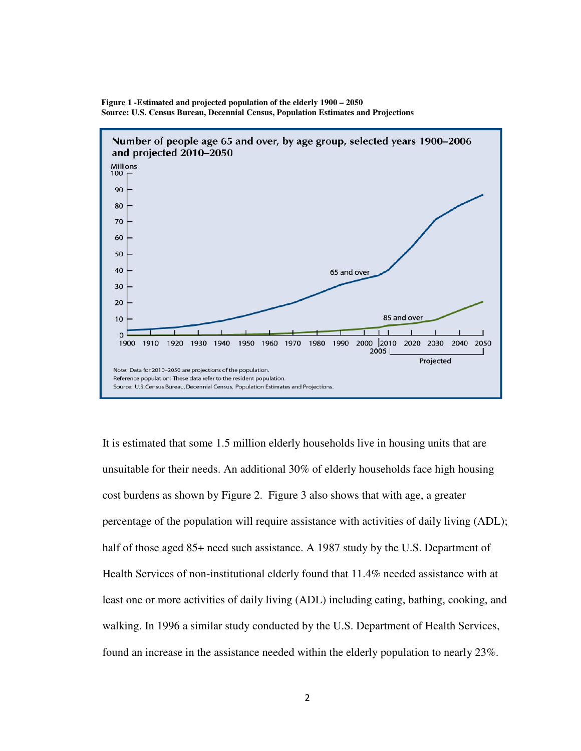

**Figure 1 -Estimated and projected population of the elderly 1900 – 2050 Source: U.S. Census Bureau, Decennial Census, Population Estimates and Projections**

It is estimated that some 1.5 million elderly households live in housing units that are unsuitable for their needs. An additional 30% of elderly households face high housing cost burdens as shown by Figure 2. Figure 3 also shows that with age, a greater percentage of the population will require assistance with activities of daily living (ADL); half of those aged 85+ need such assistance. A 1987 study by the U.S. Department of Health Services of non-institutional elderly found that 11.4% needed assistance with at least one or more activities of daily living (ADL) including eating, bathing, cooking, and walking. In 1996 a similar study conducted by the U.S. Department of Health Services, found an increase in the assistance needed within the elderly population to nearly 23%.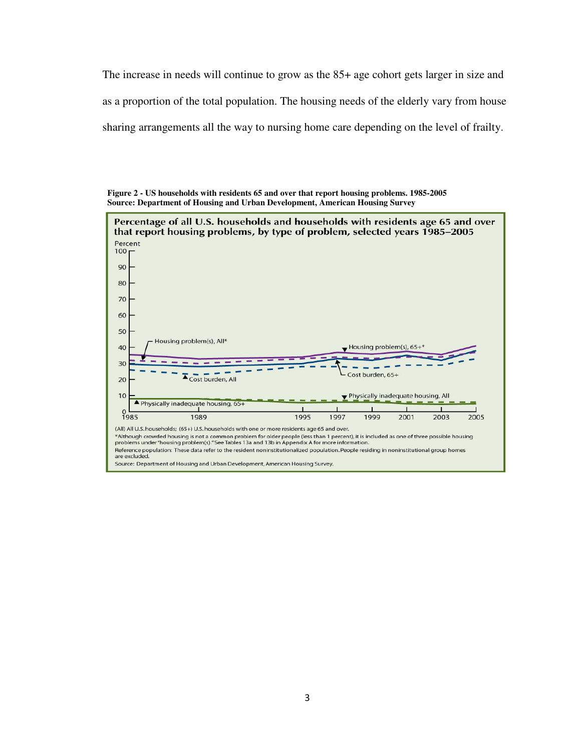The increase in needs will continue to grow as the 85+ age cohort gets larger in size and as a proportion of the total population. The housing needs of the elderly vary from house sharing arrangements all the way to nursing home care depending on the level of frailty.

**Figure 2 - US households with residents 65 and over that report housing problems. 1985-2005 Source: Department of Housing and Urban Development, American Housing Survey** 

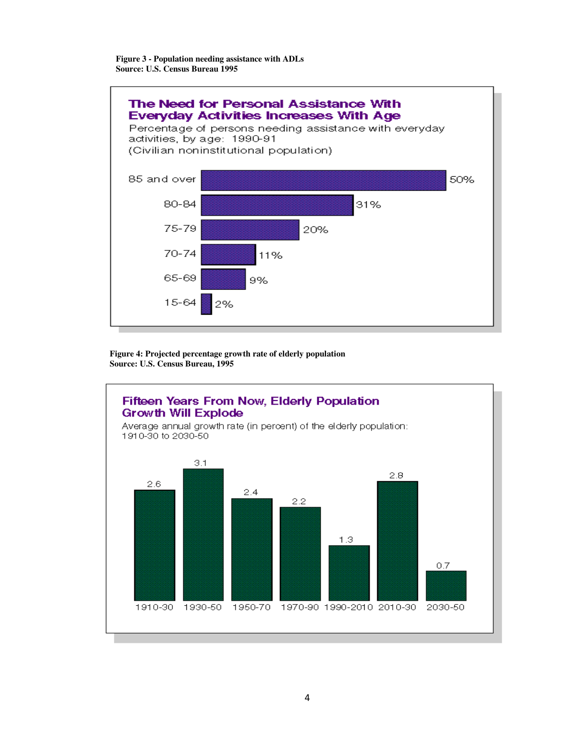**Figure 3 - Population needing assistance with ADLs Source: U.S. Census Bureau 1995**



**Figure 4: Projected percentage growth rate of elderly population Source: U.S. Census Bureau, 1995** 

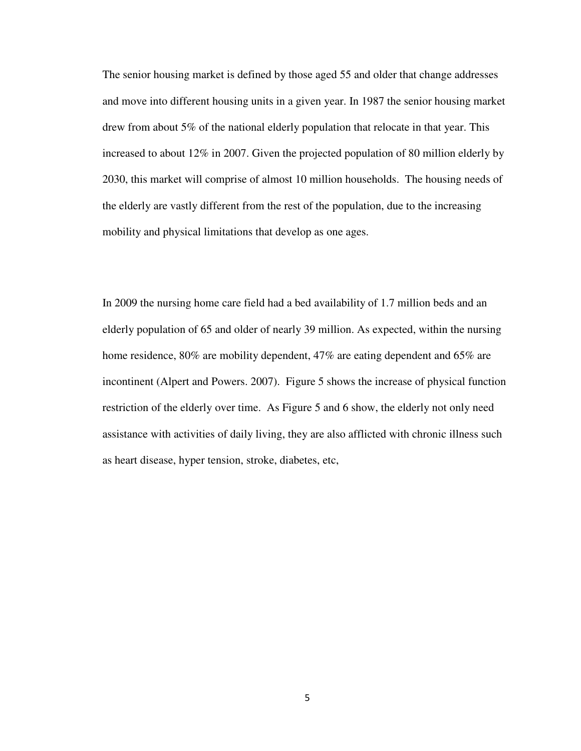The senior housing market is defined by those aged 55 and older that change addresses and move into different housing units in a given year. In 1987 the senior housing market drew from about 5% of the national elderly population that relocate in that year. This increased to about 12% in 2007. Given the projected population of 80 million elderly by 2030, this market will comprise of almost 10 million households. The housing needs of the elderly are vastly different from the rest of the population, due to the increasing mobility and physical limitations that develop as one ages.

In 2009 the nursing home care field had a bed availability of 1.7 million beds and an elderly population of 65 and older of nearly 39 million. As expected, within the nursing home residence, 80% are mobility dependent, 47% are eating dependent and 65% are incontinent (Alpert and Powers. 2007). Figure 5 shows the increase of physical function restriction of the elderly over time. As Figure 5 and 6 show, the elderly not only need assistance with activities of daily living, they are also afflicted with chronic illness such as heart disease, hyper tension, stroke, diabetes, etc,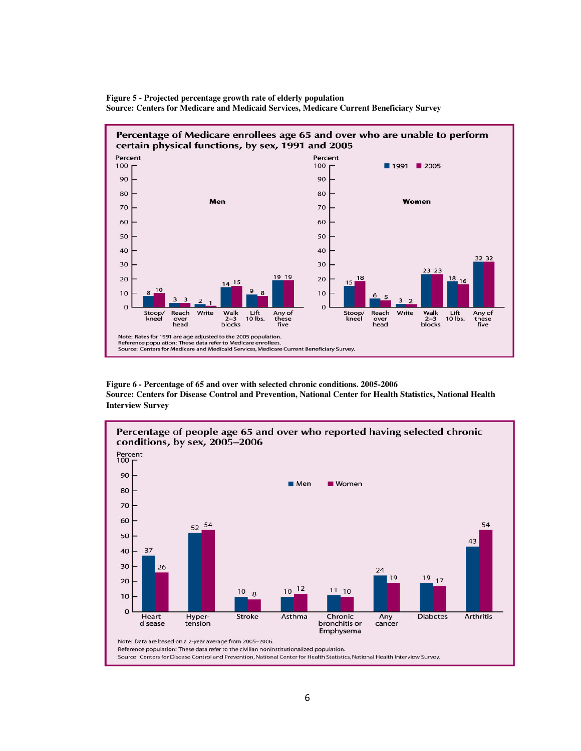



**Figure 6 - Percentage of 65 and over with selected chronic conditions. 2005-2006 Source: Centers for Disease Control and Prevention, National Center for Health Statistics, National Health Interview Survey** 

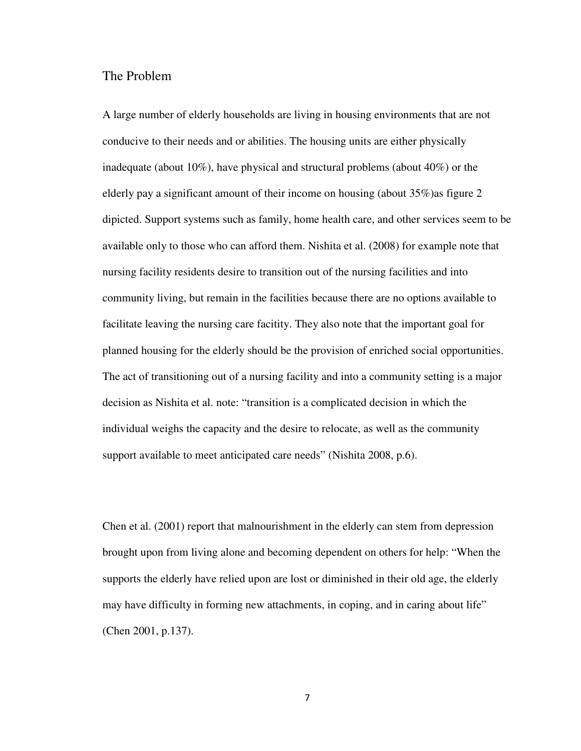#### The Problem

A large number of elderly households are living in housing environments that are not conducive to their needs and or abilities. The housing units are either physically inadequate (about 10%), have physical and structural problems (about 40%) or the elderly pay a significant amount of their income on housing (about 35%)as figure 2 dipicted. Support systems such as family, home health care, and other services seem to be available only to those who can afford them. Nishita et al. (2008) for example note that nursing facility residents desire to transition out of the nursing facilities and into community living, but remain in the facilities because there are no options available to facilitate leaving the nursing care facitity. They also note that the important goal for planned housing for the elderly should be the provision of enriched social opportunities. The act of transitioning out of a nursing facility and into a community setting is a major decision as Nishita et al. note: "transition is a complicated decision in which the individual weighs the capacity and the desire to relocate, as well as the community support available to meet anticipated care needs" (Nishita 2008, p.6).

Chen et al. (2001) report that malnourishment in the elderly can stem from depression brought upon from living alone and becoming dependent on others for help: "When the supports the elderly have relied upon are lost or diminished in their old age, the elderly may have difficulty in forming new attachments, in coping, and in caring about life" (Chen 2001, p.137).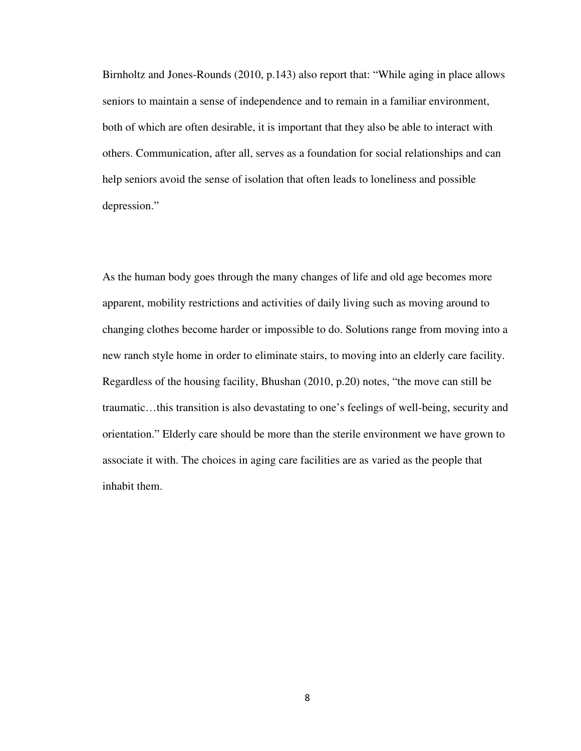Birnholtz and Jones-Rounds (2010, p.143) also report that: "While aging in place allows seniors to maintain a sense of independence and to remain in a familiar environment, both of which are often desirable, it is important that they also be able to interact with others. Communication, after all, serves as a foundation for social relationships and can help seniors avoid the sense of isolation that often leads to loneliness and possible depression."

As the human body goes through the many changes of life and old age becomes more apparent, mobility restrictions and activities of daily living such as moving around to changing clothes become harder or impossible to do. Solutions range from moving into a new ranch style home in order to eliminate stairs, to moving into an elderly care facility. Regardless of the housing facility, Bhushan (2010, p.20) notes, "the move can still be traumatic…this transition is also devastating to one's feelings of well-being, security and orientation." Elderly care should be more than the sterile environment we have grown to associate it with. The choices in aging care facilities are as varied as the people that inhabit them.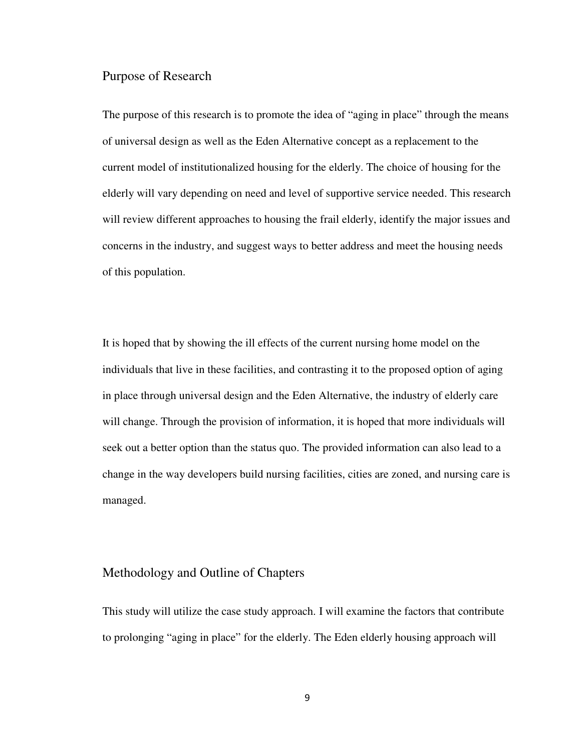#### Purpose of Research

The purpose of this research is to promote the idea of "aging in place" through the means of universal design as well as the Eden Alternative concept as a replacement to the current model of institutionalized housing for the elderly. The choice of housing for the elderly will vary depending on need and level of supportive service needed. This research will review different approaches to housing the frail elderly, identify the major issues and concerns in the industry, and suggest ways to better address and meet the housing needs of this population.

It is hoped that by showing the ill effects of the current nursing home model on the individuals that live in these facilities, and contrasting it to the proposed option of aging in place through universal design and the Eden Alternative, the industry of elderly care will change. Through the provision of information, it is hoped that more individuals will seek out a better option than the status quo. The provided information can also lead to a change in the way developers build nursing facilities, cities are zoned, and nursing care is managed.

#### Methodology and Outline of Chapters

This study will utilize the case study approach. I will examine the factors that contribute to prolonging "aging in place" for the elderly. The Eden elderly housing approach will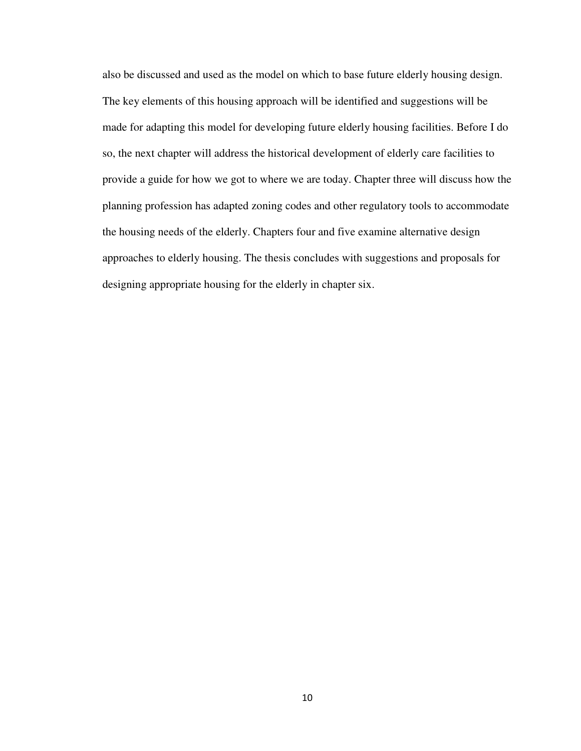also be discussed and used as the model on which to base future elderly housing design. The key elements of this housing approach will be identified and suggestions will be made for adapting this model for developing future elderly housing facilities. Before I do so, the next chapter will address the historical development of elderly care facilities to provide a guide for how we got to where we are today. Chapter three will discuss how the planning profession has adapted zoning codes and other regulatory tools to accommodate the housing needs of the elderly. Chapters four and five examine alternative design approaches to elderly housing. The thesis concludes with suggestions and proposals for designing appropriate housing for the elderly in chapter six.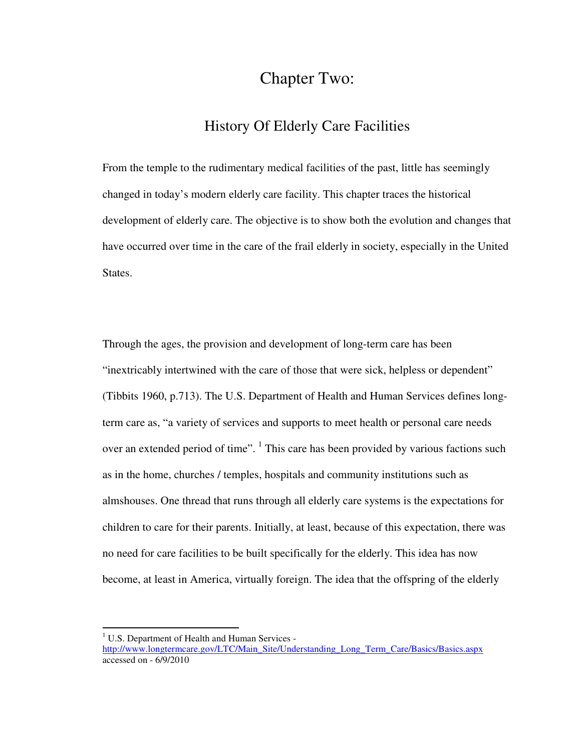## Chapter Two:

### History Of Elderly Care Facilities

From the temple to the rudimentary medical facilities of the past, little has seemingly changed in today's modern elderly care facility. This chapter traces the historical development of elderly care. The objective is to show both the evolution and changes that have occurred over time in the care of the frail elderly in society, especially in the United States.

Through the ages, the provision and development of long-term care has been "inextricably intertwined with the care of those that were sick, helpless or dependent" (Tibbits 1960, p.713). The U.S. Department of Health and Human Services defines longterm care as, "a variety of services and supports to meet health or personal care needs over an extended period of time". <sup>1</sup> This care has been provided by various factions such as in the home, churches / temples, hospitals and community institutions such as almshouses. One thread that runs through all elderly care systems is the expectations for children to care for their parents. Initially, at least, because of this expectation, there was no need for care facilities to be built specifically for the elderly. This idea has now become, at least in America, virtually foreign. The idea that the offspring of the elderly

l

<sup>&</sup>lt;sup>1</sup> U.S. Department of Health and Human Services -

http://www.longtermcare.gov/LTC/Main\_Site/Understanding\_Long\_Term\_Care/Basics/Basics.aspx accessed on - 6/9/2010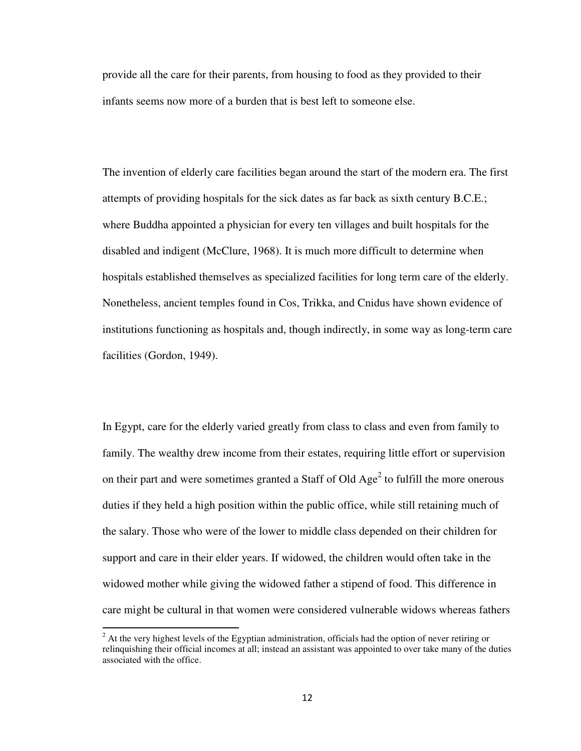provide all the care for their parents, from housing to food as they provided to their infants seems now more of a burden that is best left to someone else.

The invention of elderly care facilities began around the start of the modern era. The first attempts of providing hospitals for the sick dates as far back as sixth century B.C.E.; where Buddha appointed a physician for every ten villages and built hospitals for the disabled and indigent (McClure, 1968). It is much more difficult to determine when hospitals established themselves as specialized facilities for long term care of the elderly. Nonetheless, ancient temples found in Cos, Trikka, and Cnidus have shown evidence of institutions functioning as hospitals and, though indirectly, in some way as long-term care facilities (Gordon, 1949).

In Egypt, care for the elderly varied greatly from class to class and even from family to family. The wealthy drew income from their estates, requiring little effort or supervision on their part and were sometimes granted a Staff of Old  $Age<sup>2</sup>$  to fulfill the more onerous duties if they held a high position within the public office, while still retaining much of the salary. Those who were of the lower to middle class depended on their children for support and care in their elder years. If widowed, the children would often take in the widowed mother while giving the widowed father a stipend of food. This difference in care might be cultural in that women were considered vulnerable widows whereas fathers

l

 $2<sup>2</sup>$  At the very highest levels of the Egyptian administration, officials had the option of never retiring or relinquishing their official incomes at all; instead an assistant was appointed to over take many of the duties associated with the office.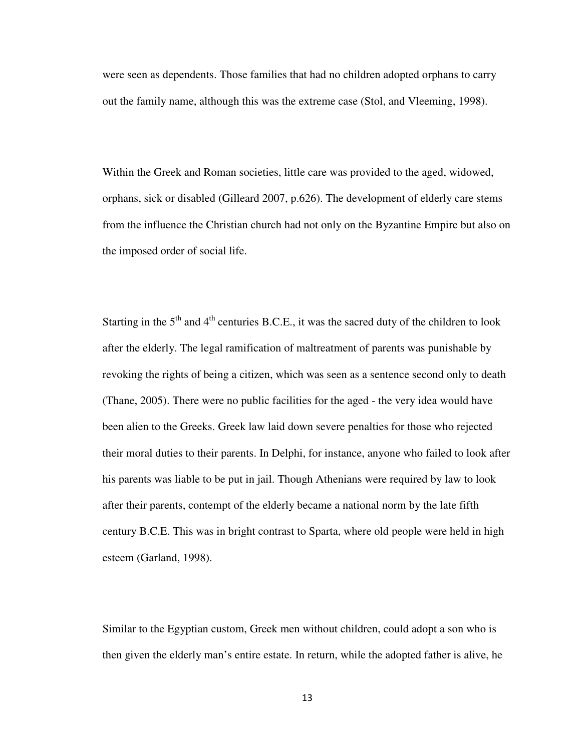were seen as dependents. Those families that had no children adopted orphans to carry out the family name, although this was the extreme case (Stol, and Vleeming, 1998).

Within the Greek and Roman societies, little care was provided to the aged, widowed, orphans, sick or disabled (Gilleard 2007, p.626). The development of elderly care stems from the influence the Christian church had not only on the Byzantine Empire but also on the imposed order of social life.

Starting in the  $5<sup>th</sup>$  and  $4<sup>th</sup>$  centuries B.C.E., it was the sacred duty of the children to look after the elderly. The legal ramification of maltreatment of parents was punishable by revoking the rights of being a citizen, which was seen as a sentence second only to death (Thane, 2005). There were no public facilities for the aged - the very idea would have been alien to the Greeks. Greek law laid down severe penalties for those who rejected their moral duties to their parents. In Delphi, for instance, anyone who failed to look after his parents was liable to be put in jail. Though Athenians were required by law to look after their parents, contempt of the elderly became a national norm by the late fifth century B.C.E. This was in bright contrast to Sparta, where old people were held in high esteem (Garland, 1998).

Similar to the Egyptian custom, Greek men without children, could adopt a son who is then given the elderly man's entire estate. In return, while the adopted father is alive, he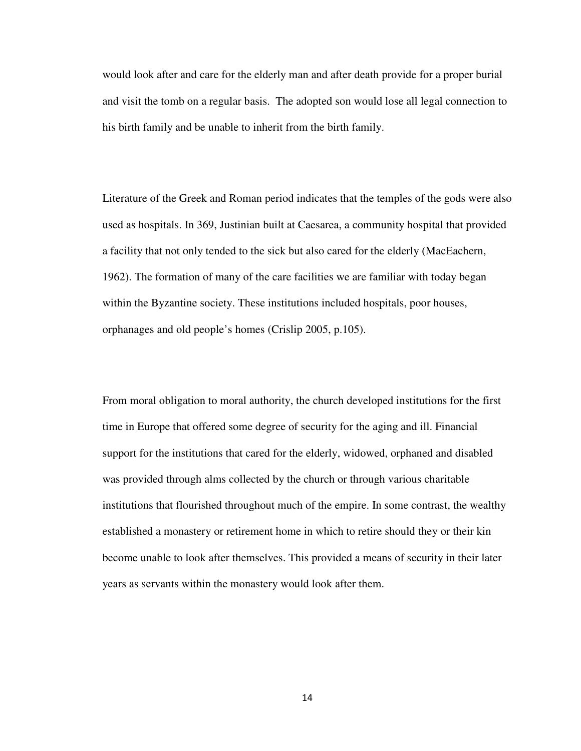would look after and care for the elderly man and after death provide for a proper burial and visit the tomb on a regular basis. The adopted son would lose all legal connection to his birth family and be unable to inherit from the birth family.

Literature of the Greek and Roman period indicates that the temples of the gods were also used as hospitals. In 369, Justinian built at Caesarea, a community hospital that provided a facility that not only tended to the sick but also cared for the elderly (MacEachern, 1962). The formation of many of the care facilities we are familiar with today began within the Byzantine society. These institutions included hospitals, poor houses, orphanages and old people's homes (Crislip 2005, p.105).

From moral obligation to moral authority, the church developed institutions for the first time in Europe that offered some degree of security for the aging and ill. Financial support for the institutions that cared for the elderly, widowed, orphaned and disabled was provided through alms collected by the church or through various charitable institutions that flourished throughout much of the empire. In some contrast, the wealthy established a monastery or retirement home in which to retire should they or their kin become unable to look after themselves. This provided a means of security in their later years as servants within the monastery would look after them.

14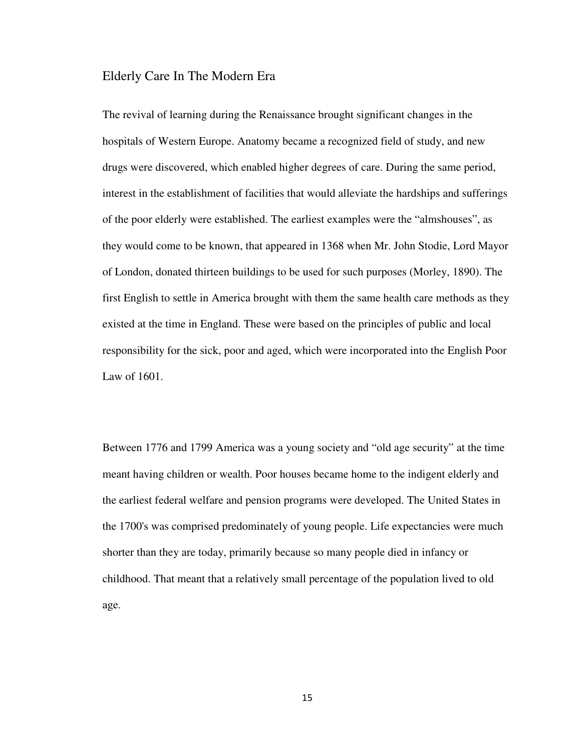#### Elderly Care In The Modern Era

The revival of learning during the Renaissance brought significant changes in the hospitals of Western Europe. Anatomy became a recognized field of study, and new drugs were discovered, which enabled higher degrees of care. During the same period, interest in the establishment of facilities that would alleviate the hardships and sufferings of the poor elderly were established. The earliest examples were the "almshouses", as they would come to be known, that appeared in 1368 when Mr. John Stodie, Lord Mayor of London, donated thirteen buildings to be used for such purposes (Morley, 1890). The first English to settle in America brought with them the same health care methods as they existed at the time in England. These were based on the principles of public and local responsibility for the sick, poor and aged, which were incorporated into the English Poor Law of 1601.

Between 1776 and 1799 America was a young society and "old age security" at the time meant having children or wealth. Poor houses became home to the indigent elderly and the earliest federal welfare and pension programs were developed. The United States in the 1700's was comprised predominately of young people. Life expectancies were much shorter than they are today, primarily because so many people died in infancy or childhood. That meant that a relatively small percentage of the population lived to old age.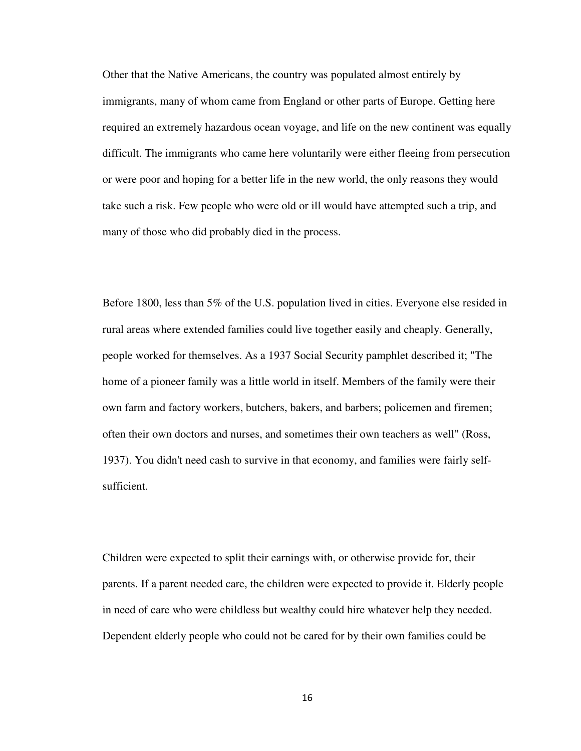Other that the Native Americans, the country was populated almost entirely by immigrants, many of whom came from England or other parts of Europe. Getting here required an extremely hazardous ocean voyage, and life on the new continent was equally difficult. The immigrants who came here voluntarily were either fleeing from persecution or were poor and hoping for a better life in the new world, the only reasons they would take such a risk. Few people who were old or ill would have attempted such a trip, and many of those who did probably died in the process.

Before 1800, less than 5% of the U.S. population lived in cities. Everyone else resided in rural areas where extended families could live together easily and cheaply. Generally, people worked for themselves. As a 1937 Social Security pamphlet described it; "The home of a pioneer family was a little world in itself. Members of the family were their own farm and factory workers, butchers, bakers, and barbers; policemen and firemen; often their own doctors and nurses, and sometimes their own teachers as well" (Ross, 1937). You didn't need cash to survive in that economy, and families were fairly selfsufficient.

Children were expected to split their earnings with, or otherwise provide for, their parents. If a parent needed care, the children were expected to provide it. Elderly people in need of care who were childless but wealthy could hire whatever help they needed. Dependent elderly people who could not be cared for by their own families could be

16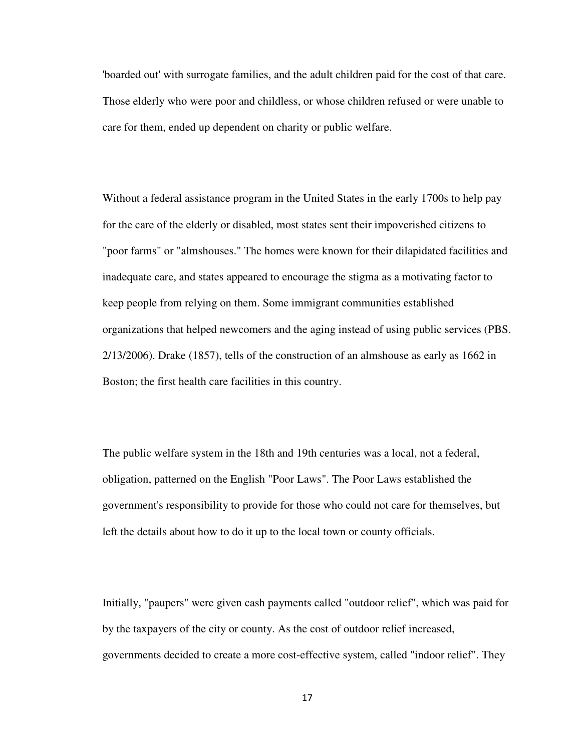'boarded out' with surrogate families, and the adult children paid for the cost of that care. Those elderly who were poor and childless, or whose children refused or were unable to care for them, ended up dependent on charity or public welfare.

Without a federal assistance program in the United States in the early 1700s to help pay for the care of the elderly or disabled, most states sent their impoverished citizens to "poor farms" or "almshouses." The homes were known for their dilapidated facilities and inadequate care, and states appeared to encourage the stigma as a motivating factor to keep people from relying on them. Some immigrant communities established organizations that helped newcomers and the aging instead of using public services (PBS. 2/13/2006). Drake (1857), tells of the construction of an almshouse as early as 1662 in Boston; the first health care facilities in this country.

The public welfare system in the 18th and 19th centuries was a local, not a federal, obligation, patterned on the English "Poor Laws". The Poor Laws established the government's responsibility to provide for those who could not care for themselves, but left the details about how to do it up to the local town or county officials.

Initially, "paupers" were given cash payments called "outdoor relief", which was paid for by the taxpayers of the city or county. As the cost of outdoor relief increased, governments decided to create a more cost-effective system, called "indoor relief". They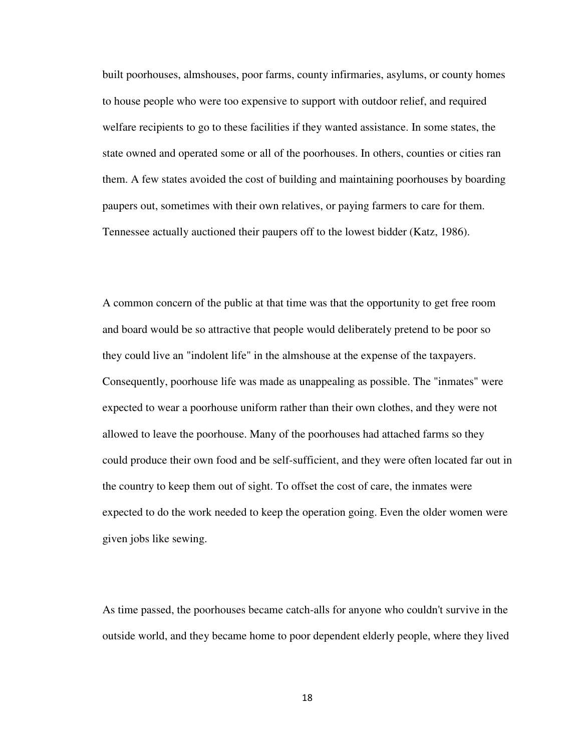built poorhouses, almshouses, poor farms, county infirmaries, asylums, or county homes to house people who were too expensive to support with outdoor relief, and required welfare recipients to go to these facilities if they wanted assistance. In some states, the state owned and operated some or all of the poorhouses. In others, counties or cities ran them. A few states avoided the cost of building and maintaining poorhouses by boarding paupers out, sometimes with their own relatives, or paying farmers to care for them. Tennessee actually auctioned their paupers off to the lowest bidder (Katz, 1986).

A common concern of the public at that time was that the opportunity to get free room and board would be so attractive that people would deliberately pretend to be poor so they could live an "indolent life" in the almshouse at the expense of the taxpayers. Consequently, poorhouse life was made as unappealing as possible. The "inmates" were expected to wear a poorhouse uniform rather than their own clothes, and they were not allowed to leave the poorhouse. Many of the poorhouses had attached farms so they could produce their own food and be self-sufficient, and they were often located far out in the country to keep them out of sight. To offset the cost of care, the inmates were expected to do the work needed to keep the operation going. Even the older women were given jobs like sewing.

As time passed, the poorhouses became catch-alls for anyone who couldn't survive in the outside world, and they became home to poor dependent elderly people, where they lived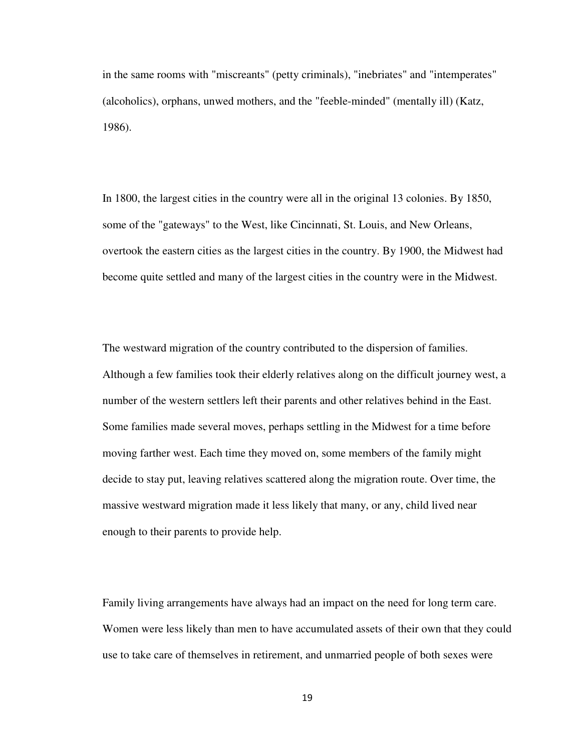in the same rooms with "miscreants" (petty criminals), "inebriates" and "intemperates" (alcoholics), orphans, unwed mothers, and the "feeble-minded" (mentally ill) (Katz, 1986).

In 1800, the largest cities in the country were all in the original 13 colonies. By 1850, some of the "gateways" to the West, like Cincinnati, St. Louis, and New Orleans, overtook the eastern cities as the largest cities in the country. By 1900, the Midwest had become quite settled and many of the largest cities in the country were in the Midwest.

The westward migration of the country contributed to the dispersion of families. Although a few families took their elderly relatives along on the difficult journey west, a number of the western settlers left their parents and other relatives behind in the East. Some families made several moves, perhaps settling in the Midwest for a time before moving farther west. Each time they moved on, some members of the family might decide to stay put, leaving relatives scattered along the migration route. Over time, the massive westward migration made it less likely that many, or any, child lived near enough to their parents to provide help.

Family living arrangements have always had an impact on the need for long term care. Women were less likely than men to have accumulated assets of their own that they could use to take care of themselves in retirement, and unmarried people of both sexes were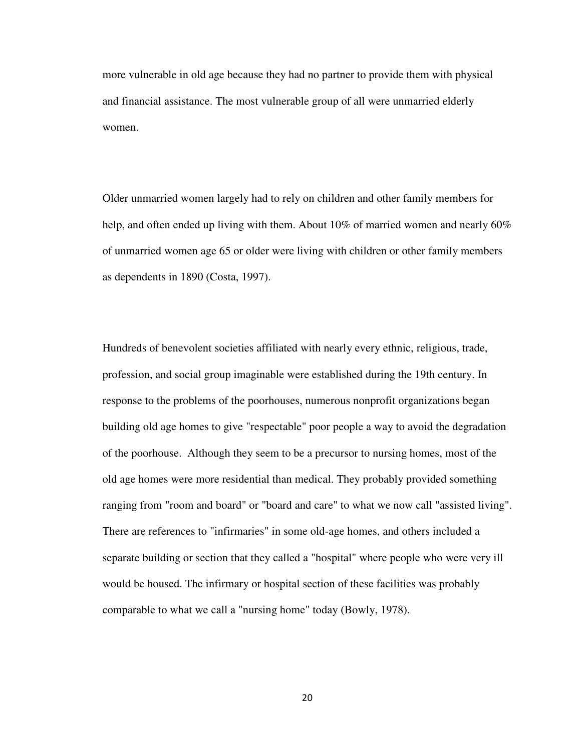more vulnerable in old age because they had no partner to provide them with physical and financial assistance. The most vulnerable group of all were unmarried elderly women.

Older unmarried women largely had to rely on children and other family members for help, and often ended up living with them. About 10% of married women and nearly 60% of unmarried women age 65 or older were living with children or other family members as dependents in 1890 (Costa, 1997).

Hundreds of benevolent societies affiliated with nearly every ethnic, religious, trade, profession, and social group imaginable were established during the 19th century. In response to the problems of the poorhouses, numerous nonprofit organizations began building old age homes to give "respectable" poor people a way to avoid the degradation of the poorhouse. Although they seem to be a precursor to nursing homes, most of the old age homes were more residential than medical. They probably provided something ranging from "room and board" or "board and care" to what we now call "assisted living". There are references to "infirmaries" in some old-age homes, and others included a separate building or section that they called a "hospital" where people who were very ill would be housed. The infirmary or hospital section of these facilities was probably comparable to what we call a "nursing home" today (Bowly, 1978).

20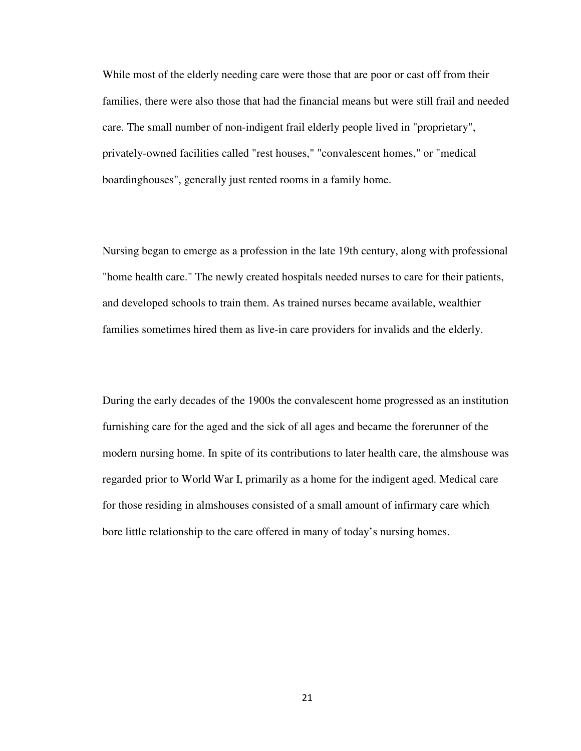While most of the elderly needing care were those that are poor or cast off from their families, there were also those that had the financial means but were still frail and needed care. The small number of non-indigent frail elderly people lived in "proprietary", privately-owned facilities called "rest houses," "convalescent homes," or "medical boardinghouses", generally just rented rooms in a family home.

Nursing began to emerge as a profession in the late 19th century, along with professional "home health care." The newly created hospitals needed nurses to care for their patients, and developed schools to train them. As trained nurses became available, wealthier families sometimes hired them as live-in care providers for invalids and the elderly.

During the early decades of the 1900s the convalescent home progressed as an institution furnishing care for the aged and the sick of all ages and became the forerunner of the modern nursing home. In spite of its contributions to later health care, the almshouse was regarded prior to World War I, primarily as a home for the indigent aged. Medical care for those residing in almshouses consisted of a small amount of infirmary care which bore little relationship to the care offered in many of today's nursing homes.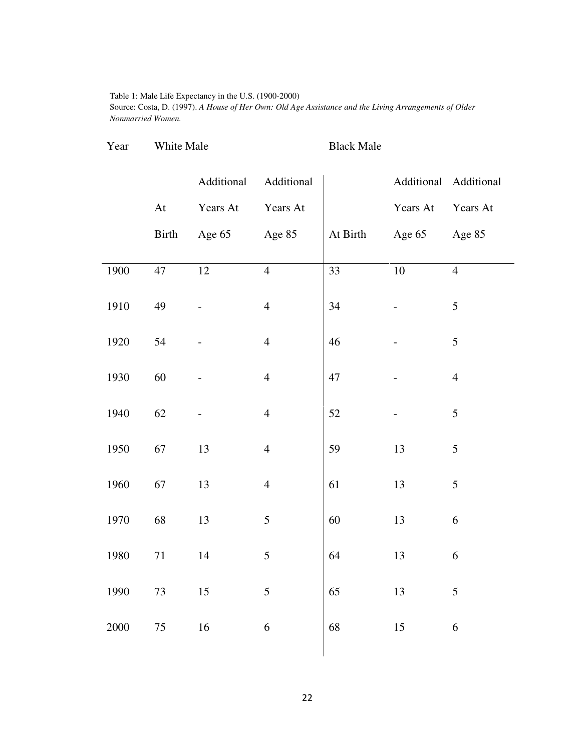#### Table 1: Male Life Expectancy in the U.S. (1900-2000)

Source: Costa, D. (1997). *A House of Her Own: Old Age Assistance and the Living Arrangements of Older Nonmarried Women.* 

| Year | White Male | <b>Black Male</b> |
|------|------------|-------------------|

|      |                            | Additional      | Additional       |          |                 | Additional Additional |
|------|----------------------------|-----------------|------------------|----------|-----------------|-----------------------|
|      | $\mathop{\rm At}\nolimits$ | Years At        | Years At         |          | Years At        | Years At              |
|      | <b>Birth</b>               | Age 65          | Age 85           | At Birth | Age 65          | Age 85                |
|      | 47                         | $\overline{12}$ | $\overline{4}$   | 33       | $\overline{10}$ | $\overline{4}$        |
| 1900 |                            |                 |                  |          |                 |                       |
| 1910 | 49                         |                 | $\overline{4}$   | 34       |                 | 5                     |
|      |                            |                 |                  |          |                 |                       |
| 1920 | 54                         |                 | $\overline{4}$   | 46       |                 | 5                     |
| 1930 | 60                         |                 | $\overline{4}$   | 47       |                 | $\overline{4}$        |
|      |                            |                 |                  |          |                 |                       |
| 1940 | 62                         |                 | $\overline{4}$   | 52       |                 | 5                     |
| 1950 | 67                         | 13              | $\overline{4}$   | 59       | 13              | 5                     |
|      |                            |                 |                  |          |                 |                       |
| 1960 | 67                         | 13              | $\overline{4}$   | 61       | 13              | 5                     |
| 1970 | 68                         | 13              | 5                | 60       | 13              | 6                     |
|      |                            |                 |                  |          |                 |                       |
| 1980 | $71\,$                     | 14              | 5                | 64       | 13              | 6                     |
| 1990 | 73                         | 15              | $\mathfrak{S}$   | 65       | 13              | 5                     |
|      |                            |                 |                  |          |                 |                       |
| 2000 | $75\,$                     | 16              | $\boldsymbol{6}$ | 68       | 15              | 6                     |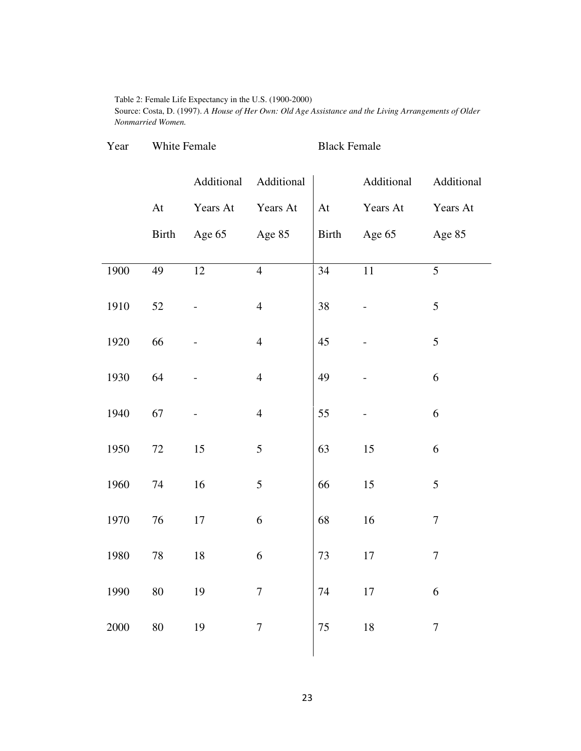Table 2: Female Life Expectancy in the U.S. (1900-2000)

Source: Costa, D. (1997). *A House of Her Own: Old Age Assistance and the Living Arrangements of Older Nonmarried Women.* 

| Year | White Female |            |                | <b>Black Female</b> |            |                  |  |
|------|--------------|------------|----------------|---------------------|------------|------------------|--|
|      |              | Additional | Additional     |                     | Additional | Additional       |  |
|      | At           | Years At   | Years At       | At                  | Years At   | Years At         |  |
|      | Birth        | Age 65     | Age 85         | Birth               | Age 65     | Age 85           |  |
| 1900 | 49           | 12         | $\overline{4}$ | $\overline{34}$     | $11\,$     | 5                |  |
| 1910 | 52           |            | $\overline{4}$ | 38                  |            | 5                |  |
| 1920 | 66           |            | $\overline{4}$ | 45                  |            | 5                |  |
| 1930 | 64           |            | $\overline{4}$ | 49                  |            | 6                |  |
| 1940 | 67           |            | $\overline{4}$ | 55                  |            | 6                |  |
| 1950 | 72           | 15         | 5              | 63                  | 15         | 6                |  |
| 1960 | 74           | 16         | 5              | 66                  | 15         | 5                |  |
| 1970 | 76           | 17         | 6              | 68                  | 16         | $\boldsymbol{7}$ |  |
| 1980 | 78           | 18         | 6              | 73                  | 17         | $\boldsymbol{7}$ |  |
| 1990 | $80\,$       | 19         | $\tau$         | 74                  | $17\,$     | 6                |  |
| 2000 | $80\,$       | 19         | $\overline{7}$ | $75\,$              | $18\,$     | $\boldsymbol{7}$ |  |
|      |              |            |                |                     |            |                  |  |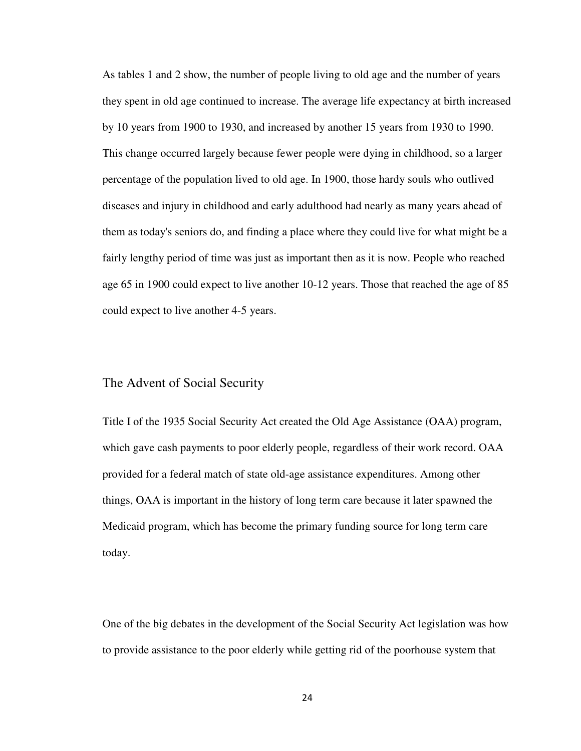As tables 1 and 2 show, the number of people living to old age and the number of years they spent in old age continued to increase. The average life expectancy at birth increased by 10 years from 1900 to 1930, and increased by another 15 years from 1930 to 1990. This change occurred largely because fewer people were dying in childhood, so a larger percentage of the population lived to old age. In 1900, those hardy souls who outlived diseases and injury in childhood and early adulthood had nearly as many years ahead of them as today's seniors do, and finding a place where they could live for what might be a fairly lengthy period of time was just as important then as it is now. People who reached age 65 in 1900 could expect to live another 10-12 years. Those that reached the age of 85 could expect to live another 4-5 years.

#### The Advent of Social Security

Title I of the 1935 Social Security Act created the Old Age Assistance (OAA) program, which gave cash payments to poor elderly people, regardless of their work record. OAA provided for a federal match of state old-age assistance expenditures. Among other things, OAA is important in the history of long term care because it later spawned the Medicaid program, which has become the primary funding source for long term care today.

One of the big debates in the development of the Social Security Act legislation was how to provide assistance to the poor elderly while getting rid of the poorhouse system that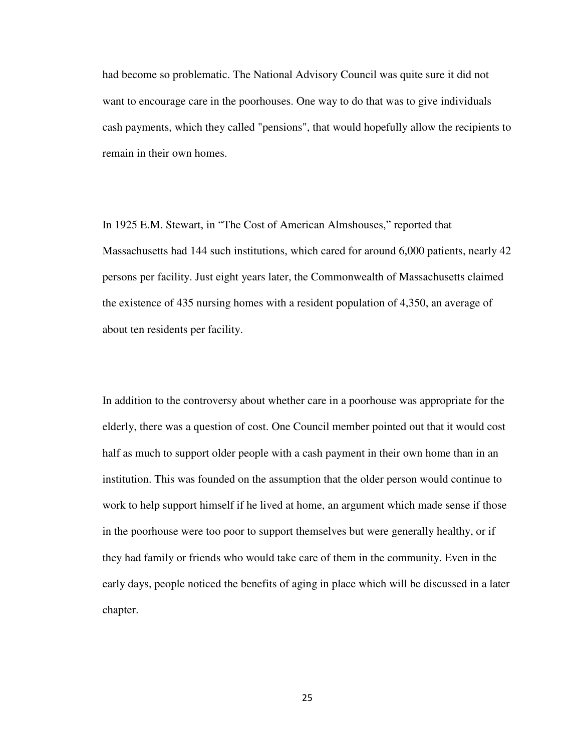had become so problematic. The National Advisory Council was quite sure it did not want to encourage care in the poorhouses. One way to do that was to give individuals cash payments, which they called "pensions", that would hopefully allow the recipients to remain in their own homes.

In 1925 E.M. Stewart, in "The Cost of American Almshouses," reported that Massachusetts had 144 such institutions, which cared for around 6,000 patients, nearly 42 persons per facility. Just eight years later, the Commonwealth of Massachusetts claimed the existence of 435 nursing homes with a resident population of 4,350, an average of about ten residents per facility.

In addition to the controversy about whether care in a poorhouse was appropriate for the elderly, there was a question of cost. One Council member pointed out that it would cost half as much to support older people with a cash payment in their own home than in an institution. This was founded on the assumption that the older person would continue to work to help support himself if he lived at home, an argument which made sense if those in the poorhouse were too poor to support themselves but were generally healthy, or if they had family or friends who would take care of them in the community. Even in the early days, people noticed the benefits of aging in place which will be discussed in a later chapter.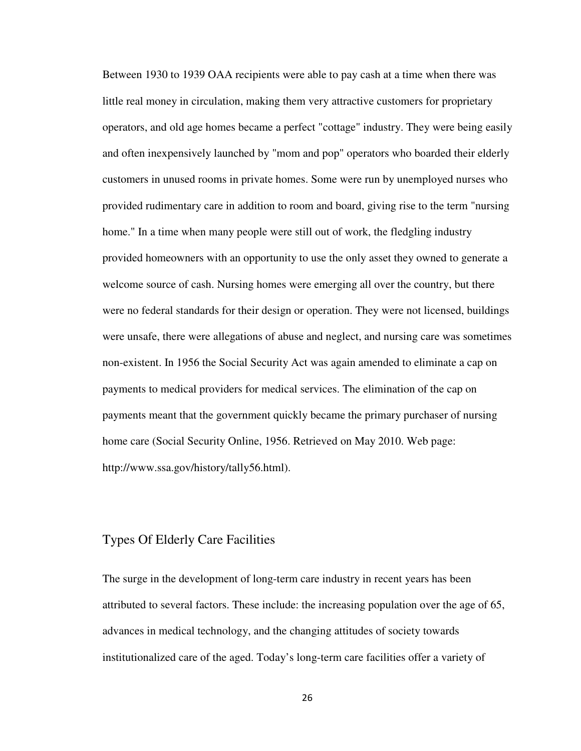Between 1930 to 1939 OAA recipients were able to pay cash at a time when there was little real money in circulation, making them very attractive customers for proprietary operators, and old age homes became a perfect "cottage" industry. They were being easily and often inexpensively launched by "mom and pop" operators who boarded their elderly customers in unused rooms in private homes. Some were run by unemployed nurses who provided rudimentary care in addition to room and board, giving rise to the term "nursing home." In a time when many people were still out of work, the fledgling industry provided homeowners with an opportunity to use the only asset they owned to generate a welcome source of cash. Nursing homes were emerging all over the country, but there were no federal standards for their design or operation. They were not licensed, buildings were unsafe, there were allegations of abuse and neglect, and nursing care was sometimes non-existent. In 1956 the Social Security Act was again amended to eliminate a cap on payments to medical providers for medical services. The elimination of the cap on payments meant that the government quickly became the primary purchaser of nursing home care (Social Security Online, 1956. Retrieved on May 2010. Web page: http://www.ssa.gov/history/tally56.html).

#### Types Of Elderly Care Facilities

The surge in the development of long-term care industry in recent years has been attributed to several factors. These include: the increasing population over the age of 65, advances in medical technology, and the changing attitudes of society towards institutionalized care of the aged. Today's long-term care facilities offer a variety of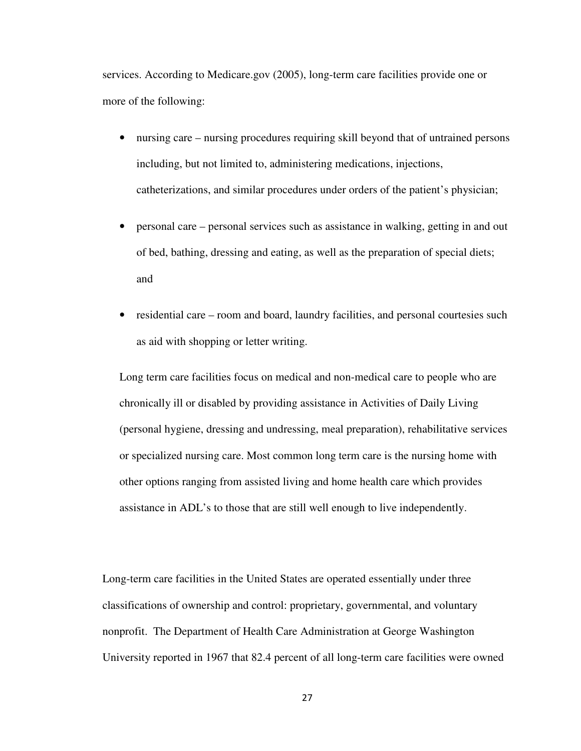services. According to Medicare.gov (2005), long-term care facilities provide one or more of the following:

- nursing care nursing procedures requiring skill beyond that of untrained persons including, but not limited to, administering medications, injections, catheterizations, and similar procedures under orders of the patient's physician;
- personal care personal services such as assistance in walking, getting in and out of bed, bathing, dressing and eating, as well as the preparation of special diets; and
- residential care room and board, laundry facilities, and personal courtesies such as aid with shopping or letter writing.

Long term care facilities focus on medical and non-medical care to people who are chronically ill or disabled by providing assistance in Activities of Daily Living (personal hygiene, dressing and undressing, meal preparation), rehabilitative services or specialized nursing care. Most common long term care is the nursing home with other options ranging from assisted living and home health care which provides assistance in ADL's to those that are still well enough to live independently.

Long-term care facilities in the United States are operated essentially under three classifications of ownership and control: proprietary, governmental, and voluntary nonprofit. The Department of Health Care Administration at George Washington University reported in 1967 that 82.4 percent of all long-term care facilities were owned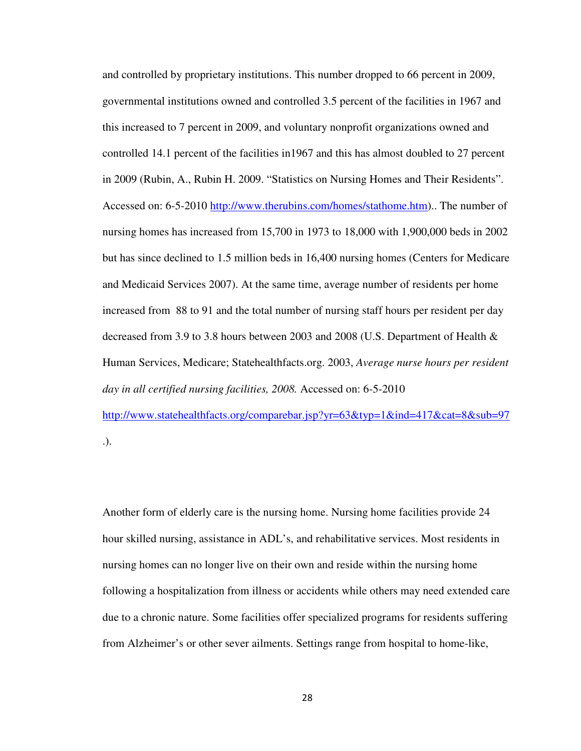and controlled by proprietary institutions. This number dropped to 66 percent in 2009, governmental institutions owned and controlled 3.5 percent of the facilities in 1967 and this increased to 7 percent in 2009, and voluntary nonprofit organizations owned and controlled 14.1 percent of the facilities in1967 and this has almost doubled to 27 percent in 2009 (Rubin, A., Rubin H. 2009. "Statistics on Nursing Homes and Their Residents". Accessed on: 6-5-2010 http://www.therubins.com/homes/stathome.htm).. The number of nursing homes has increased from 15,700 in 1973 to 18,000 with 1,900,000 beds in 2002 but has since declined to 1.5 million beds in 16,400 nursing homes (Centers for Medicare and Medicaid Services 2007). At the same time, average number of residents per home increased from 88 to 91 and the total number of nursing staff hours per resident per day decreased from 3.9 to 3.8 hours between 2003 and 2008 (U.S. Department of Health & Human Services, Medicare; Statehealthfacts.org. 2003, *Average nurse hours per resident day in all certified nursing facilities, 2008.* Accessed on: 6-5-2010 http://www.statehealthfacts.org/comparebar.jsp?yr=63&typ=1&ind=417&cat=8&sub=97 .).

Another form of elderly care is the nursing home. Nursing home facilities provide 24 hour skilled nursing, assistance in ADL's, and rehabilitative services. Most residents in nursing homes can no longer live on their own and reside within the nursing home following a hospitalization from illness or accidents while others may need extended care due to a chronic nature. Some facilities offer specialized programs for residents suffering from Alzheimer's or other sever ailments. Settings range from hospital to home-like,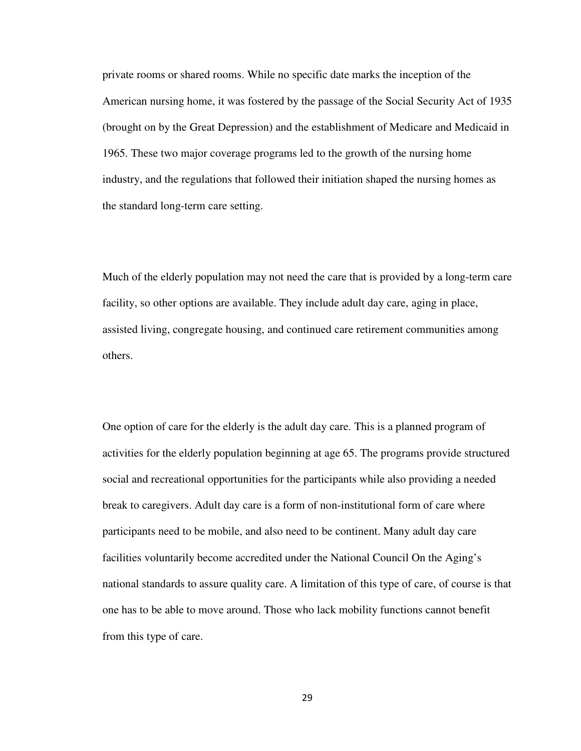private rooms or shared rooms. While no specific date marks the inception of the American nursing home, it was fostered by the passage of the Social Security Act of 1935 (brought on by the Great Depression) and the establishment of Medicare and Medicaid in 1965. These two major coverage programs led to the growth of the nursing home industry, and the regulations that followed their initiation shaped the nursing homes as the standard long-term care setting.

Much of the elderly population may not need the care that is provided by a long-term care facility, so other options are available. They include adult day care, aging in place, assisted living, congregate housing, and continued care retirement communities among others.

One option of care for the elderly is the adult day care. This is a planned program of activities for the elderly population beginning at age 65. The programs provide structured social and recreational opportunities for the participants while also providing a needed break to caregivers. Adult day care is a form of non-institutional form of care where participants need to be mobile, and also need to be continent. Many adult day care facilities voluntarily become accredited under the National Council On the Aging's national standards to assure quality care. A limitation of this type of care, of course is that one has to be able to move around. Those who lack mobility functions cannot benefit from this type of care.

29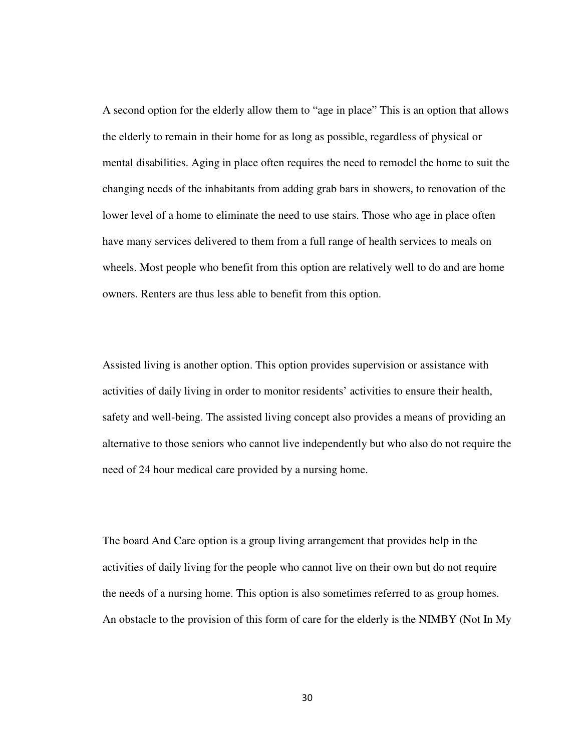A second option for the elderly allow them to "age in place" This is an option that allows the elderly to remain in their home for as long as possible, regardless of physical or mental disabilities. Aging in place often requires the need to remodel the home to suit the changing needs of the inhabitants from adding grab bars in showers, to renovation of the lower level of a home to eliminate the need to use stairs. Those who age in place often have many services delivered to them from a full range of health services to meals on wheels. Most people who benefit from this option are relatively well to do and are home owners. Renters are thus less able to benefit from this option.

Assisted living is another option. This option provides supervision or assistance with activities of daily living in order to monitor residents' activities to ensure their health, safety and well-being. The assisted living concept also provides a means of providing an alternative to those seniors who cannot live independently but who also do not require the need of 24 hour medical care provided by a nursing home.

The board And Care option is a group living arrangement that provides help in the activities of daily living for the people who cannot live on their own but do not require the needs of a nursing home. This option is also sometimes referred to as group homes. An obstacle to the provision of this form of care for the elderly is the NIMBY (Not In My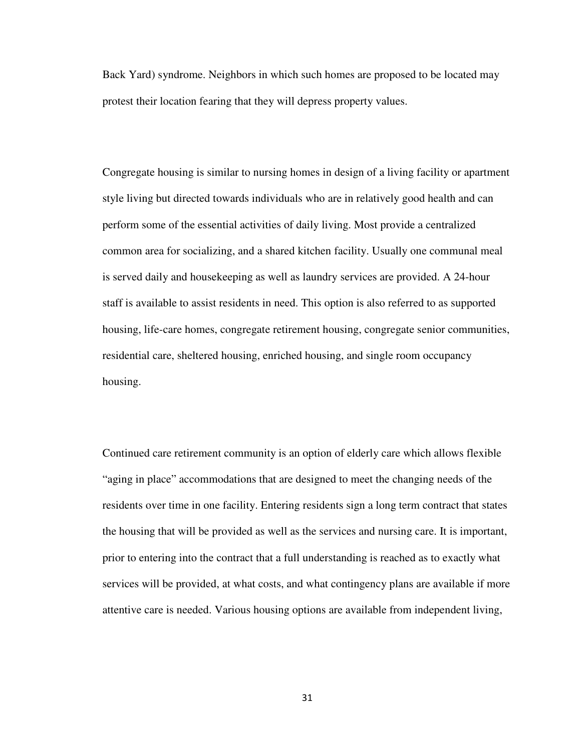Back Yard) syndrome. Neighbors in which such homes are proposed to be located may protest their location fearing that they will depress property values.

Congregate housing is similar to nursing homes in design of a living facility or apartment style living but directed towards individuals who are in relatively good health and can perform some of the essential activities of daily living. Most provide a centralized common area for socializing, and a shared kitchen facility. Usually one communal meal is served daily and housekeeping as well as laundry services are provided. A 24-hour staff is available to assist residents in need. This option is also referred to as supported housing, life-care homes, congregate retirement housing, congregate senior communities, residential care, sheltered housing, enriched housing, and single room occupancy housing.

Continued care retirement community is an option of elderly care which allows flexible "aging in place" accommodations that are designed to meet the changing needs of the residents over time in one facility. Entering residents sign a long term contract that states the housing that will be provided as well as the services and nursing care. It is important, prior to entering into the contract that a full understanding is reached as to exactly what services will be provided, at what costs, and what contingency plans are available if more attentive care is needed. Various housing options are available from independent living,

31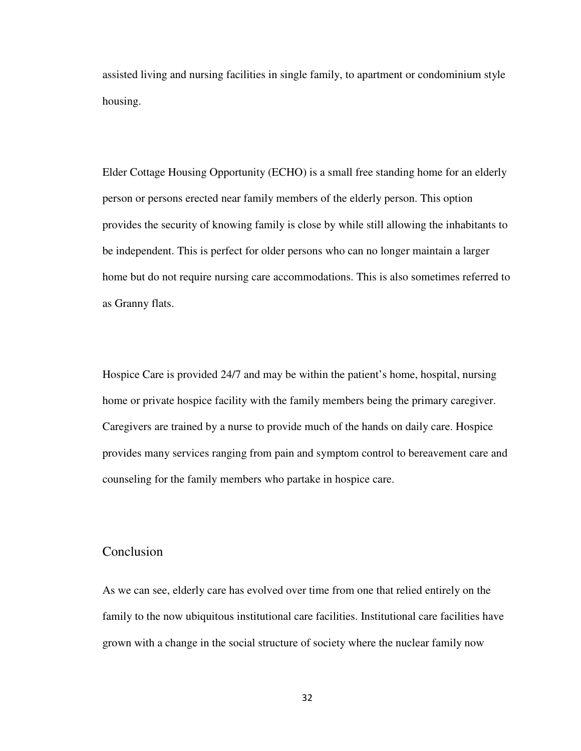assisted living and nursing facilities in single family, to apartment or condominium style housing.

Elder Cottage Housing Opportunity (ECHO) is a small free standing home for an elderly person or persons erected near family members of the elderly person. This option provides the security of knowing family is close by while still allowing the inhabitants to be independent. This is perfect for older persons who can no longer maintain a larger home but do not require nursing care accommodations. This is also sometimes referred to as Granny flats.

Hospice Care is provided 24/7 and may be within the patient's home, hospital, nursing home or private hospice facility with the family members being the primary caregiver. Caregivers are trained by a nurse to provide much of the hands on daily care. Hospice provides many services ranging from pain and symptom control to bereavement care and counseling for the family members who partake in hospice care.

#### Conclusion

As we can see, elderly care has evolved over time from one that relied entirely on the family to the now ubiquitous institutional care facilities. Institutional care facilities have grown with a change in the social structure of society where the nuclear family now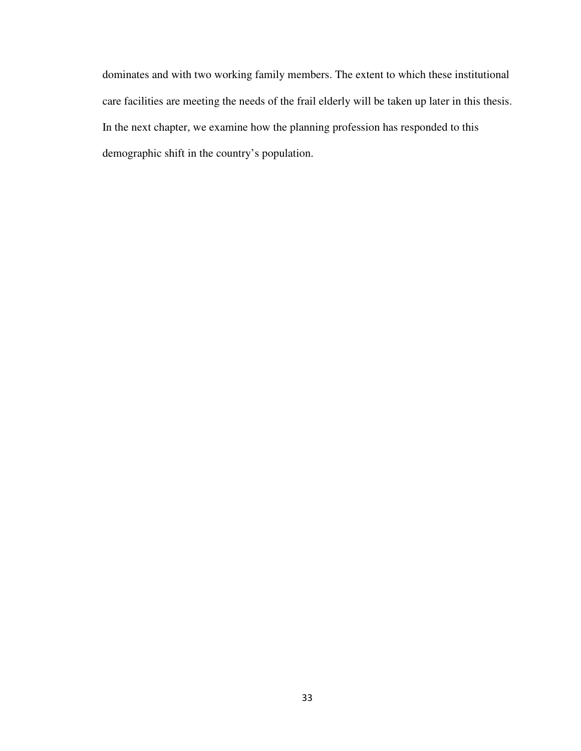dominates and with two working family members. The extent to which these institutional care facilities are meeting the needs of the frail elderly will be taken up later in this thesis. In the next chapter, we examine how the planning profession has responded to this demographic shift in the country's population.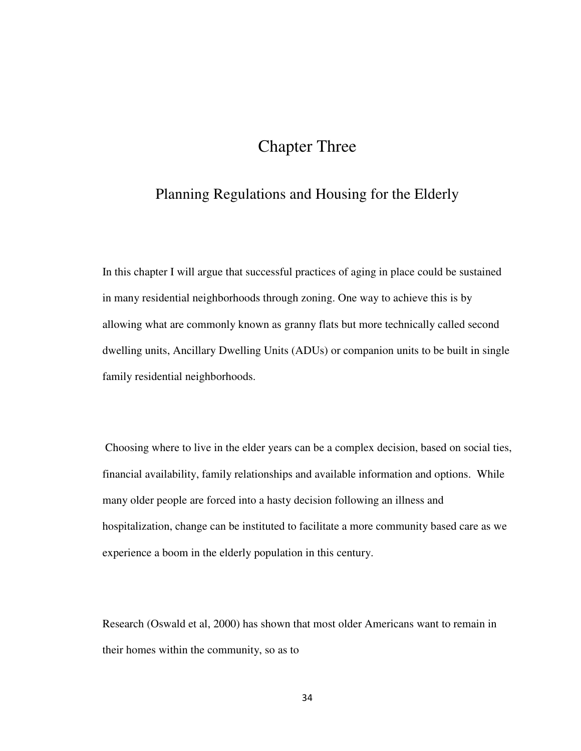## Chapter Three

## Planning Regulations and Housing for the Elderly

In this chapter I will argue that successful practices of aging in place could be sustained in many residential neighborhoods through zoning. One way to achieve this is by allowing what are commonly known as granny flats but more technically called second dwelling units, Ancillary Dwelling Units (ADUs) or companion units to be built in single family residential neighborhoods.

 Choosing where to live in the elder years can be a complex decision, based on social ties, financial availability, family relationships and available information and options. While many older people are forced into a hasty decision following an illness and hospitalization, change can be instituted to facilitate a more community based care as we experience a boom in the elderly population in this century.

Research (Oswald et al, 2000) has shown that most older Americans want to remain in their homes within the community, so as to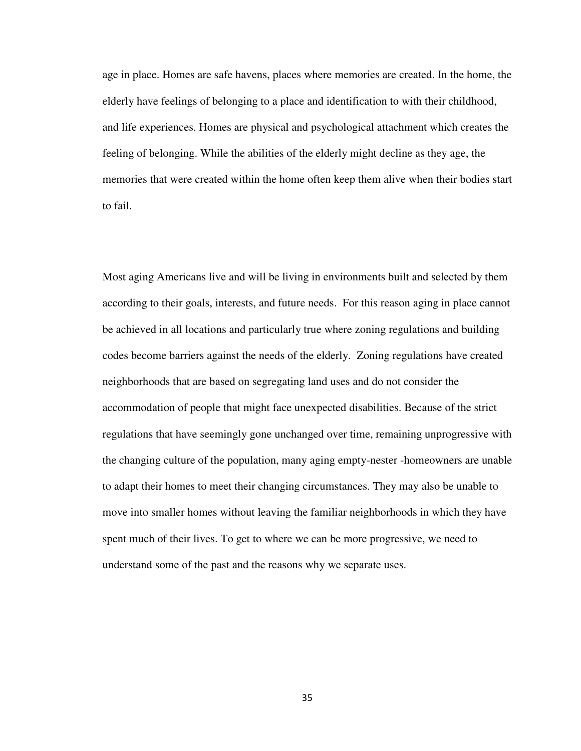age in place. Homes are safe havens, places where memories are created. In the home, the elderly have feelings of belonging to a place and identification to with their childhood, and life experiences. Homes are physical and psychological attachment which creates the feeling of belonging. While the abilities of the elderly might decline as they age, the memories that were created within the home often keep them alive when their bodies start to fail.

Most aging Americans live and will be living in environments built and selected by them according to their goals, interests, and future needs. For this reason aging in place cannot be achieved in all locations and particularly true where zoning regulations and building codes become barriers against the needs of the elderly. Zoning regulations have created neighborhoods that are based on segregating land uses and do not consider the accommodation of people that might face unexpected disabilities. Because of the strict regulations that have seemingly gone unchanged over time, remaining unprogressive with the changing culture of the population, many aging empty-nester -homeowners are unable to adapt their homes to meet their changing circumstances. They may also be unable to move into smaller homes without leaving the familiar neighborhoods in which they have spent much of their lives. To get to where we can be more progressive, we need to understand some of the past and the reasons why we separate uses.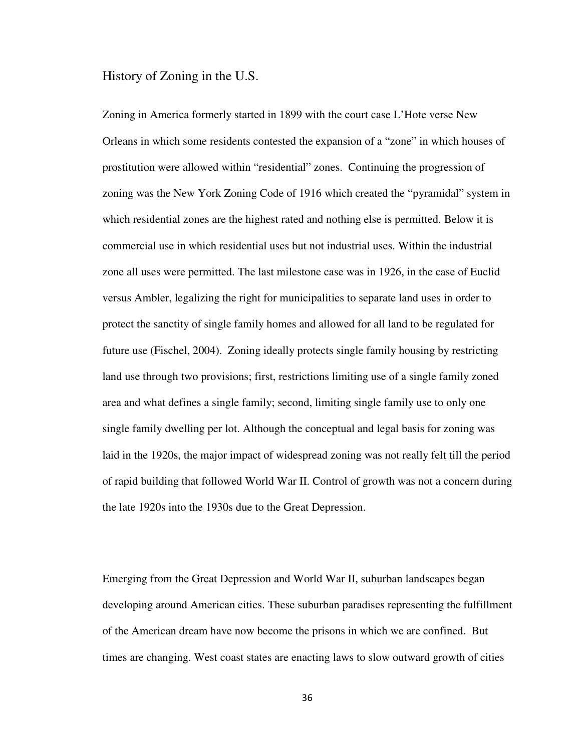History of Zoning in the U.S.

Zoning in America formerly started in 1899 with the court case L'Hote verse New Orleans in which some residents contested the expansion of a "zone" in which houses of prostitution were allowed within "residential" zones. Continuing the progression of zoning was the New York Zoning Code of 1916 which created the "pyramidal" system in which residential zones are the highest rated and nothing else is permitted. Below it is commercial use in which residential uses but not industrial uses. Within the industrial zone all uses were permitted. The last milestone case was in 1926, in the case of Euclid versus Ambler, legalizing the right for municipalities to separate land uses in order to protect the sanctity of single family homes and allowed for all land to be regulated for future use (Fischel, 2004). Zoning ideally protects single family housing by restricting land use through two provisions; first, restrictions limiting use of a single family zoned area and what defines a single family; second, limiting single family use to only one single family dwelling per lot. Although the conceptual and legal basis for zoning was laid in the 1920s, the major impact of widespread zoning was not really felt till the period of rapid building that followed World War II. Control of growth was not a concern during the late 1920s into the 1930s due to the Great Depression.

Emerging from the Great Depression and World War II, suburban landscapes began developing around American cities. These suburban paradises representing the fulfillment of the American dream have now become the prisons in which we are confined. But times are changing. West coast states are enacting laws to slow outward growth of cities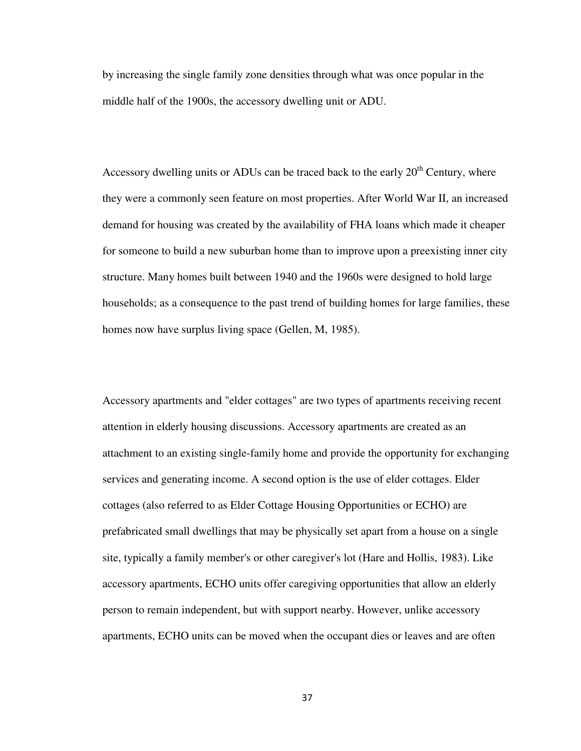by increasing the single family zone densities through what was once popular in the middle half of the 1900s, the accessory dwelling unit or ADU.

Accessory dwelling units or ADUs can be traced back to the early  $20<sup>th</sup>$  Century, where they were a commonly seen feature on most properties. After World War II, an increased demand for housing was created by the availability of FHA loans which made it cheaper for someone to build a new suburban home than to improve upon a preexisting inner city structure. Many homes built between 1940 and the 1960s were designed to hold large households; as a consequence to the past trend of building homes for large families, these homes now have surplus living space (Gellen, M, 1985).

Accessory apartments and "elder cottages" are two types of apartments receiving recent attention in elderly housing discussions. Accessory apartments are created as an attachment to an existing single-family home and provide the opportunity for exchanging services and generating income. A second option is the use of elder cottages. Elder cottages (also referred to as Elder Cottage Housing Opportunities or ECHO) are prefabricated small dwellings that may be physically set apart from a house on a single site, typically a family member's or other caregiver's lot (Hare and Hollis, 1983). Like accessory apartments, ECHO units offer caregiving opportunities that allow an elderly person to remain independent, but with support nearby. However, unlike accessory apartments, ECHO units can be moved when the occupant dies or leaves and are often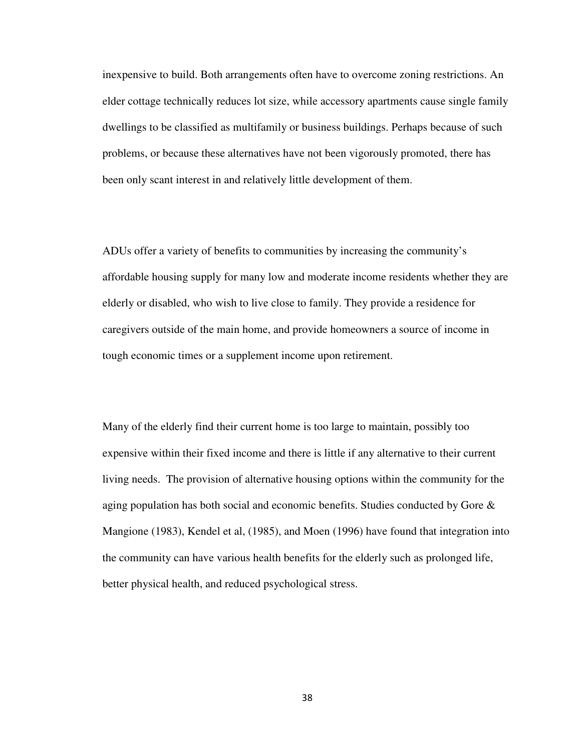inexpensive to build. Both arrangements often have to overcome zoning restrictions. An elder cottage technically reduces lot size, while accessory apartments cause single family dwellings to be classified as multifamily or business buildings. Perhaps because of such problems, or because these alternatives have not been vigorously promoted, there has been only scant interest in and relatively little development of them.

ADUs offer a variety of benefits to communities by increasing the community's affordable housing supply for many low and moderate income residents whether they are elderly or disabled, who wish to live close to family. They provide a residence for caregivers outside of the main home, and provide homeowners a source of income in tough economic times or a supplement income upon retirement.

Many of the elderly find their current home is too large to maintain, possibly too expensive within their fixed income and there is little if any alternative to their current living needs. The provision of alternative housing options within the community for the aging population has both social and economic benefits. Studies conducted by Gore & Mangione (1983), Kendel et al, (1985), and Moen (1996) have found that integration into the community can have various health benefits for the elderly such as prolonged life, better physical health, and reduced psychological stress.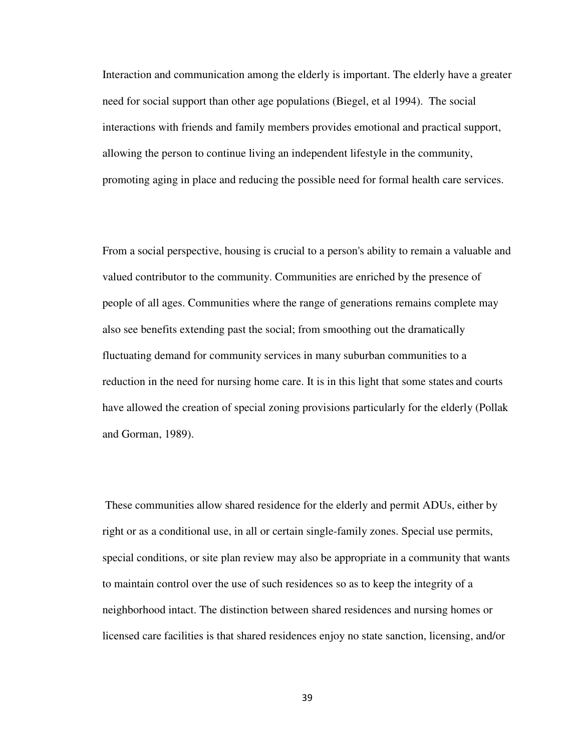Interaction and communication among the elderly is important. The elderly have a greater need for social support than other age populations (Biegel, et al 1994). The social interactions with friends and family members provides emotional and practical support, allowing the person to continue living an independent lifestyle in the community, promoting aging in place and reducing the possible need for formal health care services.

From a social perspective, housing is crucial to a person's ability to remain a valuable and valued contributor to the community. Communities are enriched by the presence of people of all ages. Communities where the range of generations remains complete may also see benefits extending past the social; from smoothing out the dramatically fluctuating demand for community services in many suburban communities to a reduction in the need for nursing home care. It is in this light that some states and courts have allowed the creation of special zoning provisions particularly for the elderly (Pollak and Gorman, 1989).

 These communities allow shared residence for the elderly and permit ADUs, either by right or as a conditional use, in all or certain single-family zones. Special use permits, special conditions, or site plan review may also be appropriate in a community that wants to maintain control over the use of such residences so as to keep the integrity of a neighborhood intact. The distinction between shared residences and nursing homes or licensed care facilities is that shared residences enjoy no state sanction, licensing, and/or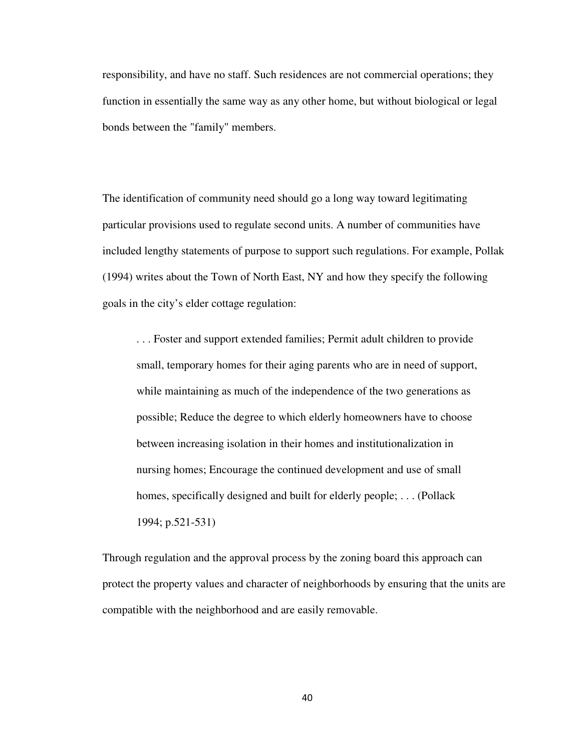responsibility, and have no staff. Such residences are not commercial operations; they function in essentially the same way as any other home, but without biological or legal bonds between the "family" members.

The identification of community need should go a long way toward legitimating particular provisions used to regulate second units. A number of communities have included lengthy statements of purpose to support such regulations. For example, Pollak (1994) writes about the Town of North East, NY and how they specify the following goals in the city's elder cottage regulation:

. . . Foster and support extended families; Permit adult children to provide small, temporary homes for their aging parents who are in need of support, while maintaining as much of the independence of the two generations as possible; Reduce the degree to which elderly homeowners have to choose between increasing isolation in their homes and institutionalization in nursing homes; Encourage the continued development and use of small homes, specifically designed and built for elderly people; . . . (Pollack 1994; p.521-531)

Through regulation and the approval process by the zoning board this approach can protect the property values and character of neighborhoods by ensuring that the units are compatible with the neighborhood and are easily removable.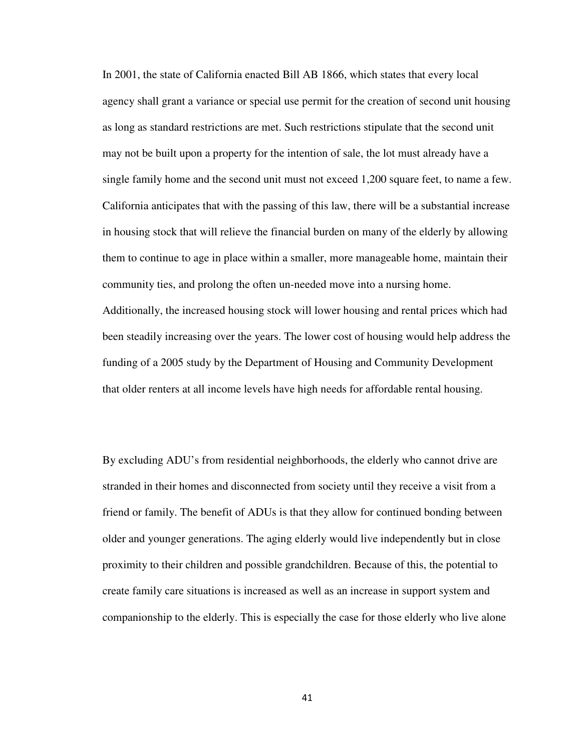In 2001, the state of California enacted Bill AB 1866, which states that every local agency shall grant a variance or special use permit for the creation of second unit housing as long as standard restrictions are met. Such restrictions stipulate that the second unit may not be built upon a property for the intention of sale, the lot must already have a single family home and the second unit must not exceed 1,200 square feet, to name a few. California anticipates that with the passing of this law, there will be a substantial increase in housing stock that will relieve the financial burden on many of the elderly by allowing them to continue to age in place within a smaller, more manageable home, maintain their community ties, and prolong the often un-needed move into a nursing home. Additionally, the increased housing stock will lower housing and rental prices which had been steadily increasing over the years. The lower cost of housing would help address the funding of a 2005 study by the Department of Housing and Community Development that older renters at all income levels have high needs for affordable rental housing.

By excluding ADU's from residential neighborhoods, the elderly who cannot drive are stranded in their homes and disconnected from society until they receive a visit from a friend or family. The benefit of ADUs is that they allow for continued bonding between older and younger generations. The aging elderly would live independently but in close proximity to their children and possible grandchildren. Because of this, the potential to create family care situations is increased as well as an increase in support system and companionship to the elderly. This is especially the case for those elderly who live alone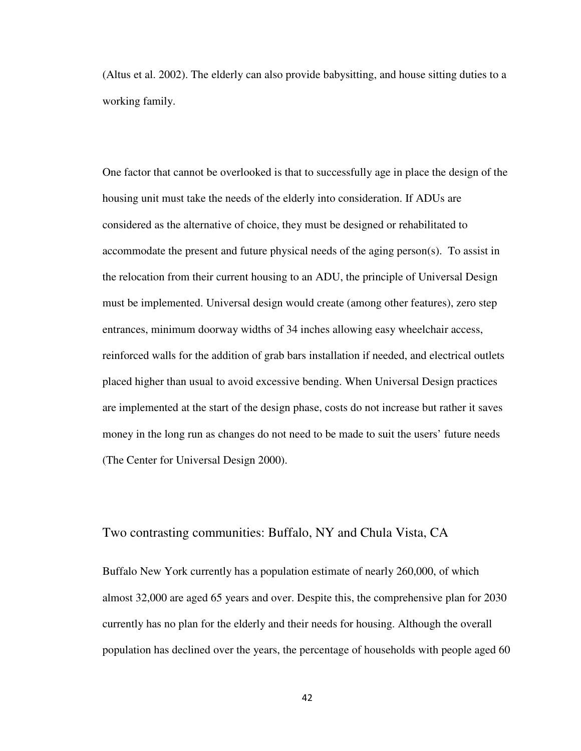(Altus et al. 2002). The elderly can also provide babysitting, and house sitting duties to a working family.

One factor that cannot be overlooked is that to successfully age in place the design of the housing unit must take the needs of the elderly into consideration. If ADUs are considered as the alternative of choice, they must be designed or rehabilitated to accommodate the present and future physical needs of the aging person(s). To assist in the relocation from their current housing to an ADU, the principle of Universal Design must be implemented. Universal design would create (among other features), zero step entrances, minimum doorway widths of 34 inches allowing easy wheelchair access, reinforced walls for the addition of grab bars installation if needed, and electrical outlets placed higher than usual to avoid excessive bending. When Universal Design practices are implemented at the start of the design phase, costs do not increase but rather it saves money in the long run as changes do not need to be made to suit the users' future needs (The Center for Universal Design 2000).

#### Two contrasting communities: Buffalo, NY and Chula Vista, CA

Buffalo New York currently has a population estimate of nearly 260,000, of which almost 32,000 are aged 65 years and over. Despite this, the comprehensive plan for 2030 currently has no plan for the elderly and their needs for housing. Although the overall population has declined over the years, the percentage of households with people aged 60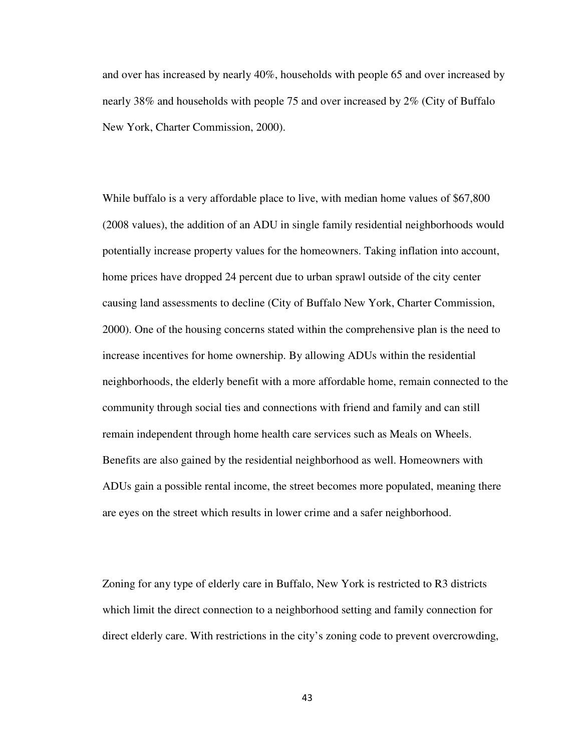and over has increased by nearly 40%, households with people 65 and over increased by nearly 38% and households with people 75 and over increased by 2% (City of Buffalo New York, Charter Commission, 2000).

While buffalo is a very affordable place to live, with median home values of \$67,800 (2008 values), the addition of an ADU in single family residential neighborhoods would potentially increase property values for the homeowners. Taking inflation into account, home prices have dropped 24 percent due to urban sprawl outside of the city center causing land assessments to decline (City of Buffalo New York, Charter Commission, 2000). One of the housing concerns stated within the comprehensive plan is the need to increase incentives for home ownership. By allowing ADUs within the residential neighborhoods, the elderly benefit with a more affordable home, remain connected to the community through social ties and connections with friend and family and can still remain independent through home health care services such as Meals on Wheels. Benefits are also gained by the residential neighborhood as well. Homeowners with ADUs gain a possible rental income, the street becomes more populated, meaning there are eyes on the street which results in lower crime and a safer neighborhood.

Zoning for any type of elderly care in Buffalo, New York is restricted to R3 districts which limit the direct connection to a neighborhood setting and family connection for direct elderly care. With restrictions in the city's zoning code to prevent overcrowding,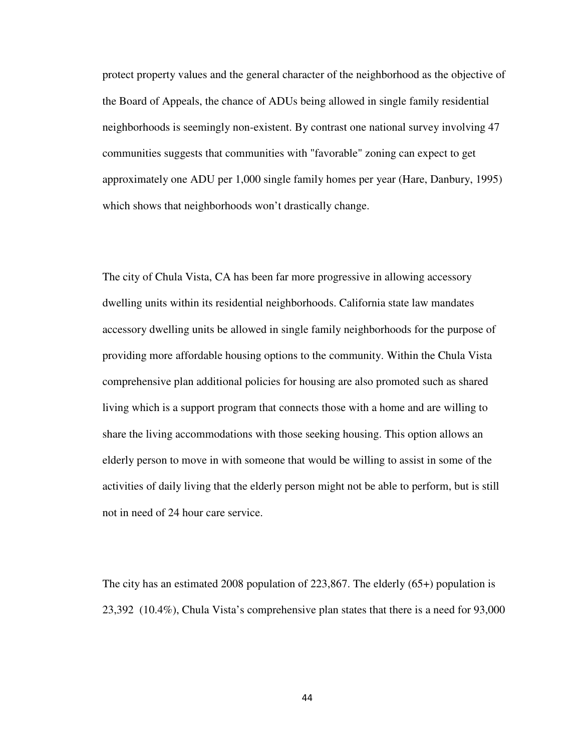protect property values and the general character of the neighborhood as the objective of the Board of Appeals, the chance of ADUs being allowed in single family residential neighborhoods is seemingly non-existent. By contrast one national survey involving 47 communities suggests that communities with "favorable" zoning can expect to get approximately one ADU per 1,000 single family homes per year (Hare, Danbury, 1995) which shows that neighborhoods won't drastically change.

The city of Chula Vista, CA has been far more progressive in allowing accessory dwelling units within its residential neighborhoods. California state law mandates accessory dwelling units be allowed in single family neighborhoods for the purpose of providing more affordable housing options to the community. Within the Chula Vista comprehensive plan additional policies for housing are also promoted such as shared living which is a support program that connects those with a home and are willing to share the living accommodations with those seeking housing. This option allows an elderly person to move in with someone that would be willing to assist in some of the activities of daily living that the elderly person might not be able to perform, but is still not in need of 24 hour care service.

The city has an estimated 2008 population of 223,867. The elderly (65+) population is 23,392 (10.4%), Chula Vista's comprehensive plan states that there is a need for 93,000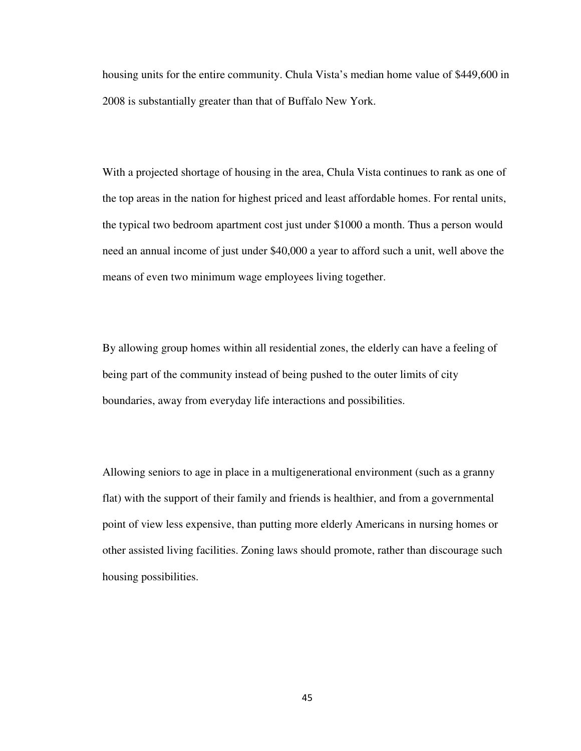housing units for the entire community. Chula Vista's median home value of \$449,600 in 2008 is substantially greater than that of Buffalo New York.

With a projected shortage of housing in the area, Chula Vista continues to rank as one of the top areas in the nation for highest priced and least affordable homes. For rental units, the typical two bedroom apartment cost just under \$1000 a month. Thus a person would need an annual income of just under \$40,000 a year to afford such a unit, well above the means of even two minimum wage employees living together.

By allowing group homes within all residential zones, the elderly can have a feeling of being part of the community instead of being pushed to the outer limits of city boundaries, away from everyday life interactions and possibilities.

Allowing seniors to age in place in a multigenerational environment (such as a granny flat) with the support of their family and friends is healthier, and from a governmental point of view less expensive, than putting more elderly Americans in nursing homes or other assisted living facilities. Zoning laws should promote, rather than discourage such housing possibilities.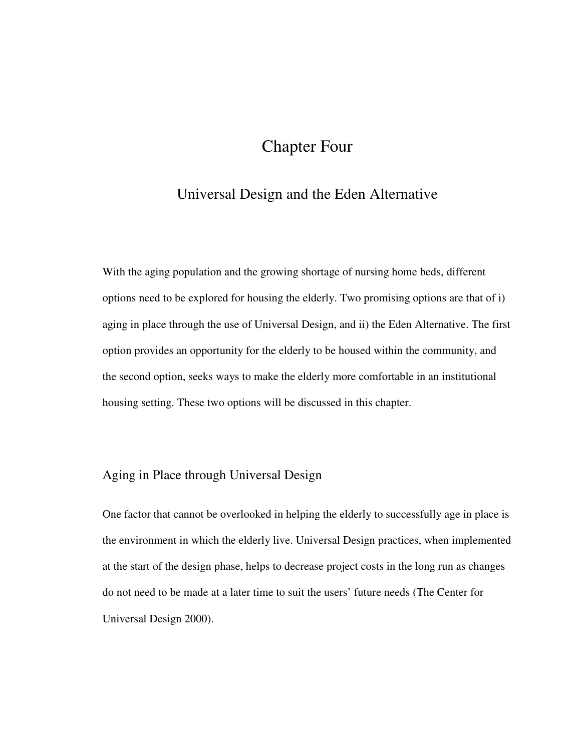# Chapter Four

### Universal Design and the Eden Alternative

With the aging population and the growing shortage of nursing home beds, different options need to be explored for housing the elderly. Two promising options are that of i) aging in place through the use of Universal Design, and ii) the Eden Alternative. The first option provides an opportunity for the elderly to be housed within the community, and the second option, seeks ways to make the elderly more comfortable in an institutional housing setting. These two options will be discussed in this chapter.

### Aging in Place through Universal Design

One factor that cannot be overlooked in helping the elderly to successfully age in place is the environment in which the elderly live. Universal Design practices, when implemented at the start of the design phase, helps to decrease project costs in the long run as changes do not need to be made at a later time to suit the users' future needs (The Center for Universal Design 2000).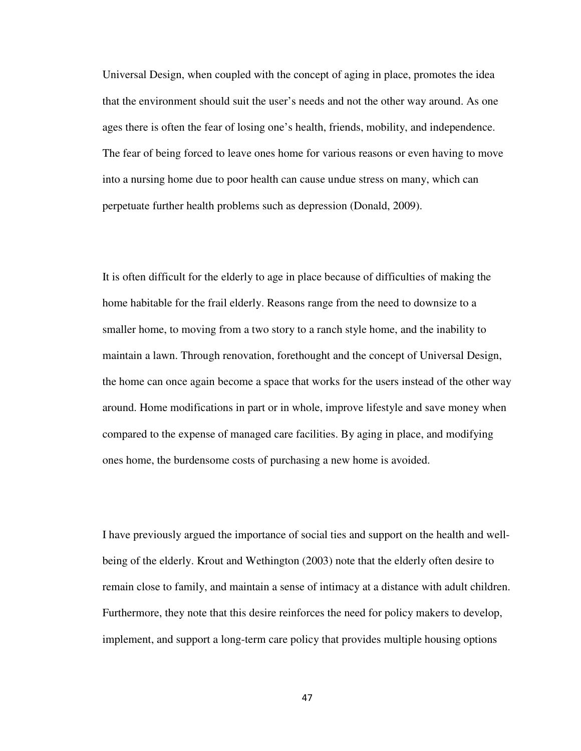Universal Design, when coupled with the concept of aging in place, promotes the idea that the environment should suit the user's needs and not the other way around. As one ages there is often the fear of losing one's health, friends, mobility, and independence. The fear of being forced to leave ones home for various reasons or even having to move into a nursing home due to poor health can cause undue stress on many, which can perpetuate further health problems such as depression (Donald, 2009).

It is often difficult for the elderly to age in place because of difficulties of making the home habitable for the frail elderly. Reasons range from the need to downsize to a smaller home, to moving from a two story to a ranch style home, and the inability to maintain a lawn. Through renovation, forethought and the concept of Universal Design, the home can once again become a space that works for the users instead of the other way around. Home modifications in part or in whole, improve lifestyle and save money when compared to the expense of managed care facilities. By aging in place, and modifying ones home, the burdensome costs of purchasing a new home is avoided.

I have previously argued the importance of social ties and support on the health and wellbeing of the elderly. Krout and Wethington (2003) note that the elderly often desire to remain close to family, and maintain a sense of intimacy at a distance with adult children. Furthermore, they note that this desire reinforces the need for policy makers to develop, implement, and support a long-term care policy that provides multiple housing options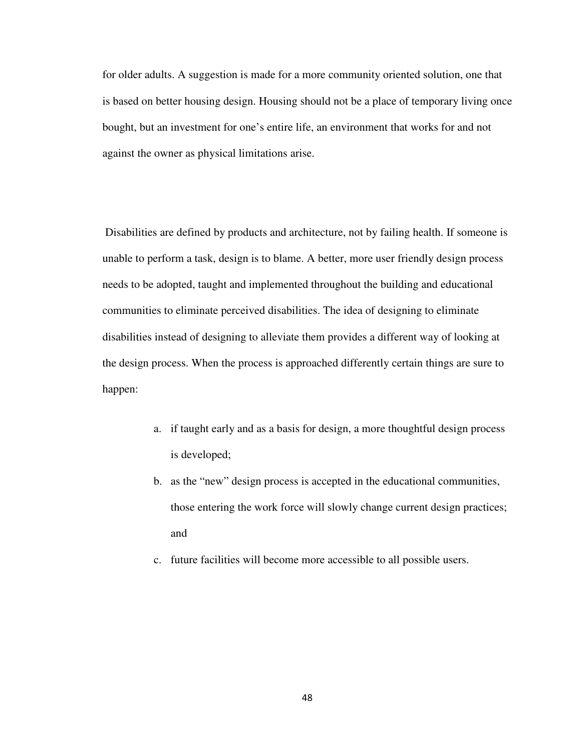for older adults. A suggestion is made for a more community oriented solution, one that is based on better housing design. Housing should not be a place of temporary living once bought, but an investment for one's entire life, an environment that works for and not against the owner as physical limitations arise.

 Disabilities are defined by products and architecture, not by failing health. If someone is unable to perform a task, design is to blame. A better, more user friendly design process needs to be adopted, taught and implemented throughout the building and educational communities to eliminate perceived disabilities. The idea of designing to eliminate disabilities instead of designing to alleviate them provides a different way of looking at the design process. When the process is approached differently certain things are sure to happen:

- a. if taught early and as a basis for design, a more thoughtful design process is developed;
- b. as the "new" design process is accepted in the educational communities, those entering the work force will slowly change current design practices; and
- c. future facilities will become more accessible to all possible users.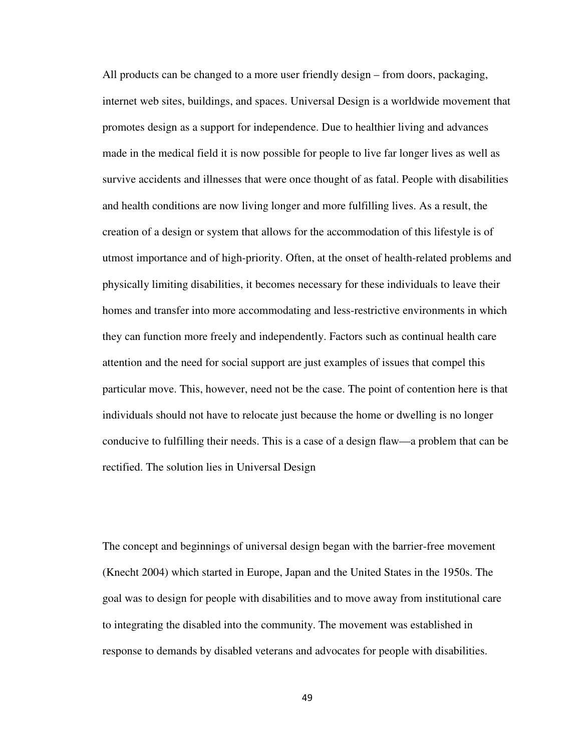All products can be changed to a more user friendly design – from doors, packaging, internet web sites, buildings, and spaces. Universal Design is a worldwide movement that promotes design as a support for independence. Due to healthier living and advances made in the medical field it is now possible for people to live far longer lives as well as survive accidents and illnesses that were once thought of as fatal. People with disabilities and health conditions are now living longer and more fulfilling lives. As a result, the creation of a design or system that allows for the accommodation of this lifestyle is of utmost importance and of high-priority. Often, at the onset of health-related problems and physically limiting disabilities, it becomes necessary for these individuals to leave their homes and transfer into more accommodating and less-restrictive environments in which they can function more freely and independently. Factors such as continual health care attention and the need for social support are just examples of issues that compel this particular move. This, however, need not be the case. The point of contention here is that individuals should not have to relocate just because the home or dwelling is no longer conducive to fulfilling their needs. This is a case of a design flaw—a problem that can be rectified. The solution lies in Universal Design

The concept and beginnings of universal design began with the barrier-free movement (Knecht 2004) which started in Europe, Japan and the United States in the 1950s. The goal was to design for people with disabilities and to move away from institutional care to integrating the disabled into the community. The movement was established in response to demands by disabled veterans and advocates for people with disabilities.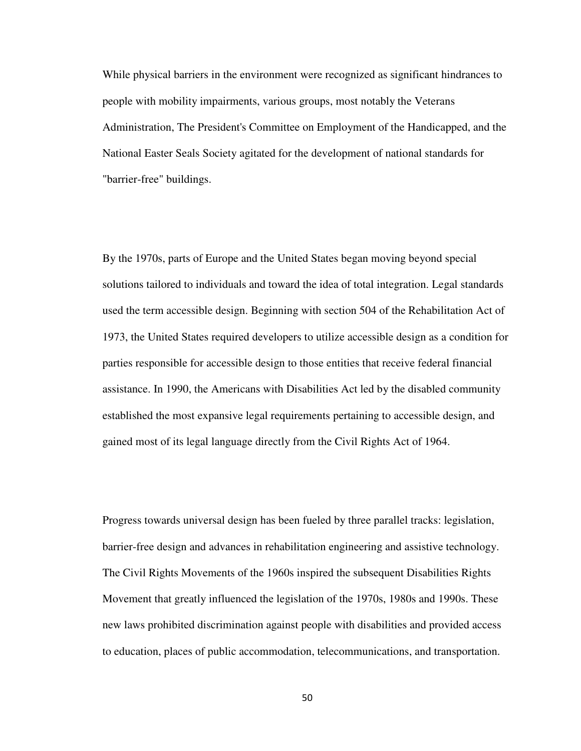While physical barriers in the environment were recognized as significant hindrances to people with mobility impairments, various groups, most notably the Veterans Administration, The President's Committee on Employment of the Handicapped, and the National Easter Seals Society agitated for the development of national standards for "barrier-free" buildings.

By the 1970s, parts of Europe and the United States began moving beyond special solutions tailored to individuals and toward the idea of total integration. Legal standards used the term accessible design. Beginning with section 504 of the Rehabilitation Act of 1973, the United States required developers to utilize accessible design as a condition for parties responsible for accessible design to those entities that receive federal financial assistance. In 1990, the Americans with Disabilities Act led by the disabled community established the most expansive legal requirements pertaining to accessible design, and gained most of its legal language directly from the Civil Rights Act of 1964.

Progress towards universal design has been fueled by three parallel tracks: legislation, barrier-free design and advances in rehabilitation engineering and assistive technology. The Civil Rights Movements of the 1960s inspired the subsequent Disabilities Rights Movement that greatly influenced the legislation of the 1970s, 1980s and 1990s. These new laws prohibited discrimination against people with disabilities and provided access to education, places of public accommodation, telecommunications, and transportation.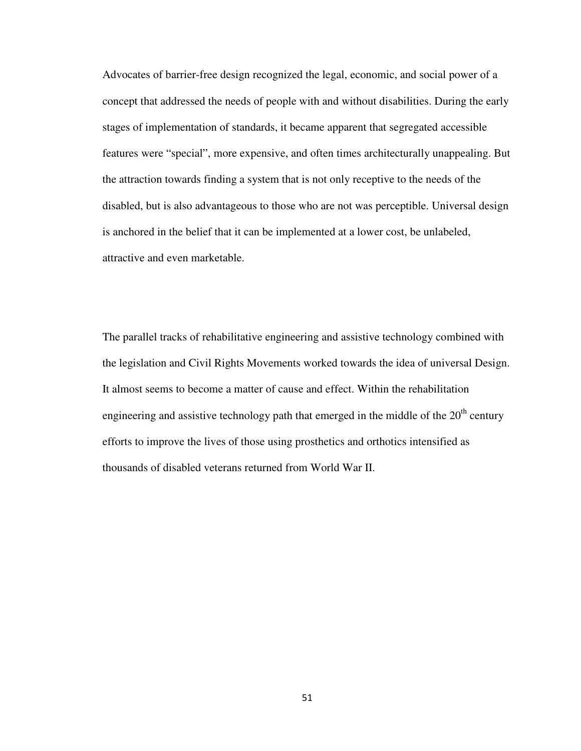Advocates of barrier-free design recognized the legal, economic, and social power of a concept that addressed the needs of people with and without disabilities. During the early stages of implementation of standards, it became apparent that segregated accessible features were "special", more expensive, and often times architecturally unappealing. But the attraction towards finding a system that is not only receptive to the needs of the disabled, but is also advantageous to those who are not was perceptible. Universal design is anchored in the belief that it can be implemented at a lower cost, be unlabeled, attractive and even marketable.

The parallel tracks of rehabilitative engineering and assistive technology combined with the legislation and Civil Rights Movements worked towards the idea of universal Design. It almost seems to become a matter of cause and effect. Within the rehabilitation engineering and assistive technology path that emerged in the middle of the  $20<sup>th</sup>$  century efforts to improve the lives of those using prosthetics and orthotics intensified as thousands of disabled veterans returned from World War II.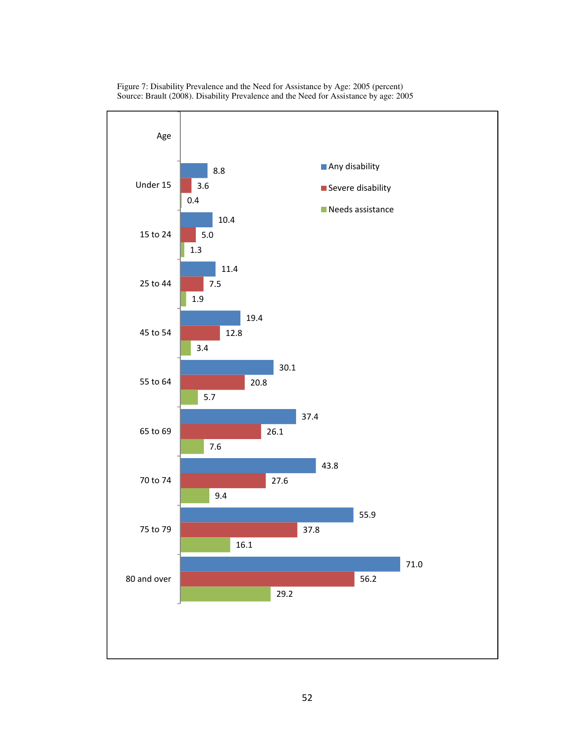

Figure 7: Disability Prevalence and the Need for Assistance by Age: 2005 (percent) Source: Brault (2008). Disability Prevalence and the Need for Assistance by age: 2005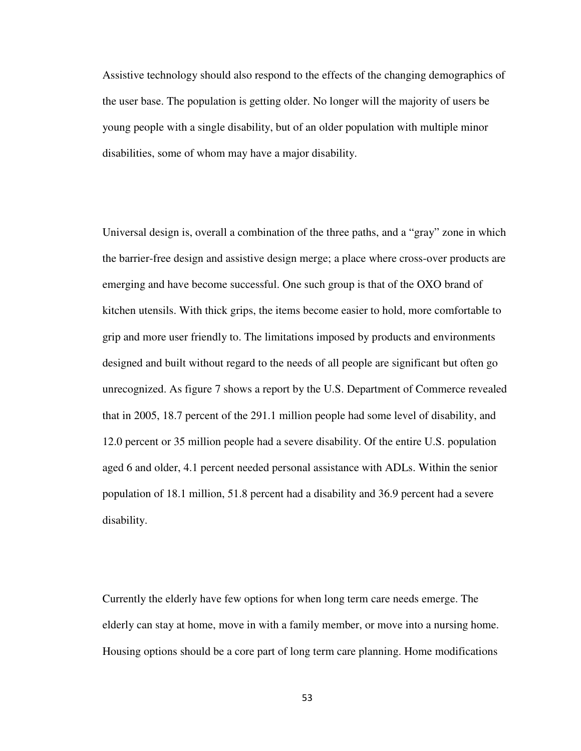Assistive technology should also respond to the effects of the changing demographics of the user base. The population is getting older. No longer will the majority of users be young people with a single disability, but of an older population with multiple minor disabilities, some of whom may have a major disability.

Universal design is, overall a combination of the three paths, and a "gray" zone in which the barrier-free design and assistive design merge; a place where cross-over products are emerging and have become successful. One such group is that of the OXO brand of kitchen utensils. With thick grips, the items become easier to hold, more comfortable to grip and more user friendly to. The limitations imposed by products and environments designed and built without regard to the needs of all people are significant but often go unrecognized. As figure 7 shows a report by the U.S. Department of Commerce revealed that in 2005, 18.7 percent of the 291.1 million people had some level of disability, and 12.0 percent or 35 million people had a severe disability. Of the entire U.S. population aged 6 and older, 4.1 percent needed personal assistance with ADLs. Within the senior population of 18.1 million, 51.8 percent had a disability and 36.9 percent had a severe disability.

Currently the elderly have few options for when long term care needs emerge. The elderly can stay at home, move in with a family member, or move into a nursing home. Housing options should be a core part of long term care planning. Home modifications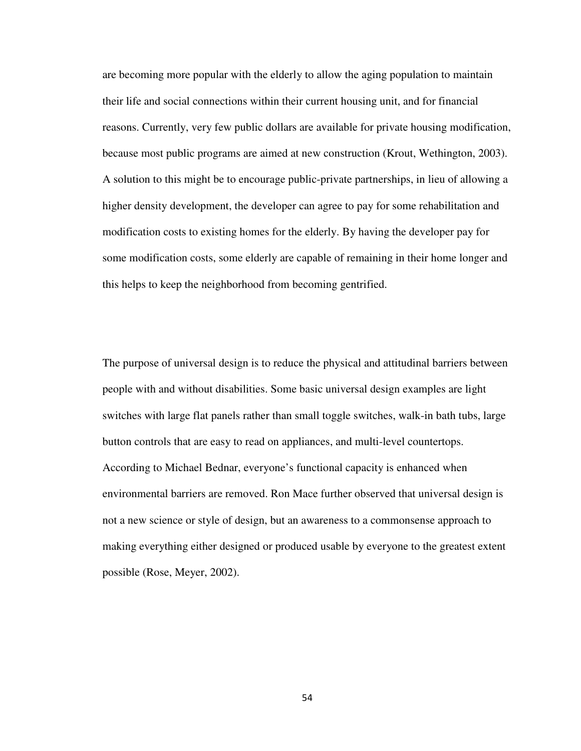are becoming more popular with the elderly to allow the aging population to maintain their life and social connections within their current housing unit, and for financial reasons. Currently, very few public dollars are available for private housing modification, because most public programs are aimed at new construction (Krout, Wethington, 2003). A solution to this might be to encourage public-private partnerships, in lieu of allowing a higher density development, the developer can agree to pay for some rehabilitation and modification costs to existing homes for the elderly. By having the developer pay for some modification costs, some elderly are capable of remaining in their home longer and this helps to keep the neighborhood from becoming gentrified.

The purpose of universal design is to reduce the physical and attitudinal barriers between people with and without disabilities. Some basic universal design examples are light switches with large flat panels rather than small toggle switches, walk-in bath tubs, large button controls that are easy to read on appliances, and multi-level countertops. According to Michael Bednar, everyone's functional capacity is enhanced when environmental barriers are removed. Ron Mace further observed that universal design is not a new science or style of design, but an awareness to a commonsense approach to making everything either designed or produced usable by everyone to the greatest extent possible (Rose, Meyer, 2002).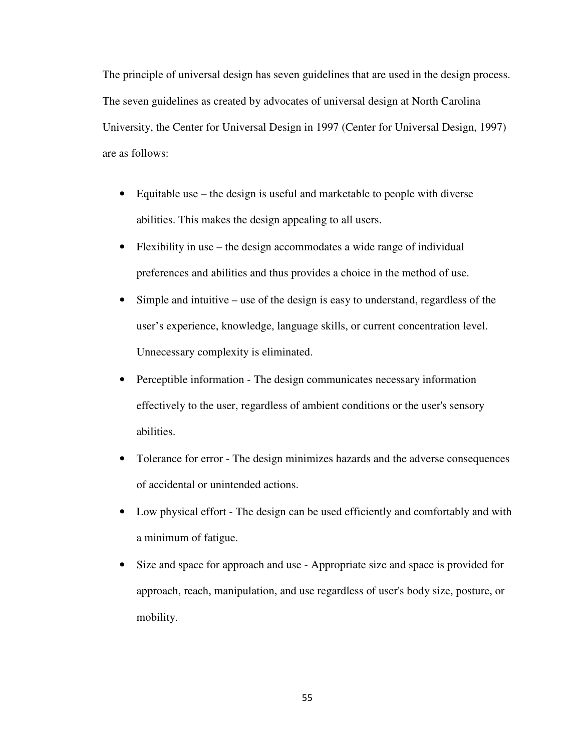The principle of universal design has seven guidelines that are used in the design process. The seven guidelines as created by advocates of universal design at North Carolina University, the Center for Universal Design in 1997 (Center for Universal Design, 1997) are as follows:

- Equitable use the design is useful and marketable to people with diverse abilities. This makes the design appealing to all users.
- Flexibility in use the design accommodates a wide range of individual preferences and abilities and thus provides a choice in the method of use.
- Simple and intuitive use of the design is easy to understand, regardless of the user's experience, knowledge, language skills, or current concentration level. Unnecessary complexity is eliminated.
- Perceptible information The design communicates necessary information effectively to the user, regardless of ambient conditions or the user's sensory abilities.
- Tolerance for error The design minimizes hazards and the adverse consequences of accidental or unintended actions.
- Low physical effort The design can be used efficiently and comfortably and with a minimum of fatigue.
- Size and space for approach and use Appropriate size and space is provided for approach, reach, manipulation, and use regardless of user's body size, posture, or mobility.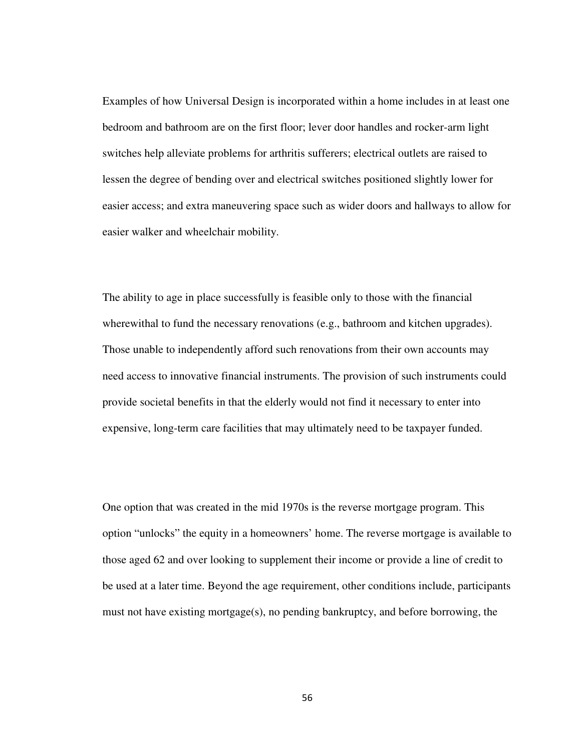Examples of how Universal Design is incorporated within a home includes in at least one bedroom and bathroom are on the first floor; lever door handles and rocker-arm light switches help alleviate problems for arthritis sufferers; electrical outlets are raised to lessen the degree of bending over and electrical switches positioned slightly lower for easier access; and extra maneuvering space such as wider doors and hallways to allow for easier walker and wheelchair mobility.

The ability to age in place successfully is feasible only to those with the financial wherewithal to fund the necessary renovations (e.g., bathroom and kitchen upgrades). Those unable to independently afford such renovations from their own accounts may need access to innovative financial instruments. The provision of such instruments could provide societal benefits in that the elderly would not find it necessary to enter into expensive, long-term care facilities that may ultimately need to be taxpayer funded.

One option that was created in the mid 1970s is the reverse mortgage program. This option "unlocks" the equity in a homeowners' home. The reverse mortgage is available to those aged 62 and over looking to supplement their income or provide a line of credit to be used at a later time. Beyond the age requirement, other conditions include, participants must not have existing mortgage(s), no pending bankruptcy, and before borrowing, the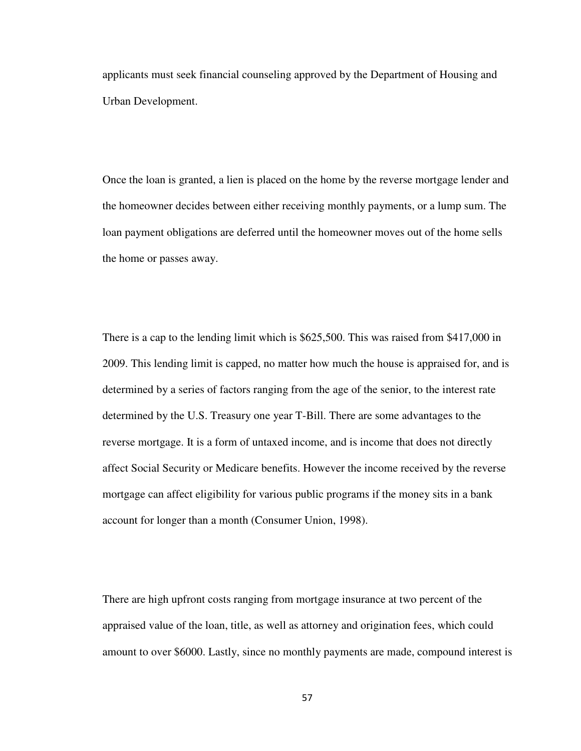applicants must seek financial counseling approved by the Department of Housing and Urban Development.

Once the loan is granted, a lien is placed on the home by the reverse mortgage lender and the homeowner decides between either receiving monthly payments, or a lump sum. The loan payment obligations are deferred until the homeowner moves out of the home sells the home or passes away.

There is a cap to the lending limit which is \$625,500. This was raised from \$417,000 in 2009. This lending limit is capped, no matter how much the house is appraised for, and is determined by a series of factors ranging from the age of the senior, to the interest rate determined by the U.S. Treasury one year T-Bill. There are some advantages to the reverse mortgage. It is a form of untaxed income, and is income that does not directly affect Social Security or Medicare benefits. However the income received by the reverse mortgage can affect eligibility for various public programs if the money sits in a bank account for longer than a month (Consumer Union, 1998).

There are high upfront costs ranging from mortgage insurance at two percent of the appraised value of the loan, title, as well as attorney and origination fees, which could amount to over \$6000. Lastly, since no monthly payments are made, compound interest is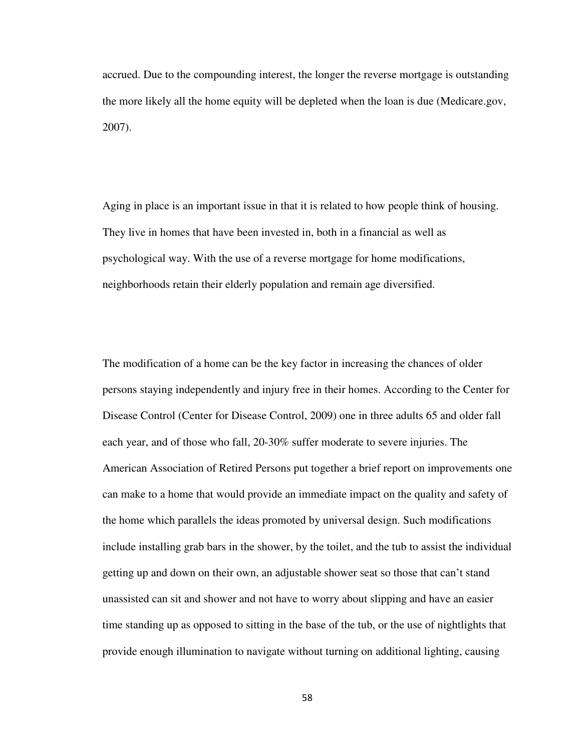accrued. Due to the compounding interest, the longer the reverse mortgage is outstanding the more likely all the home equity will be depleted when the loan is due (Medicare.gov, 2007).

Aging in place is an important issue in that it is related to how people think of housing. They live in homes that have been invested in, both in a financial as well as psychological way. With the use of a reverse mortgage for home modifications, neighborhoods retain their elderly population and remain age diversified.

The modification of a home can be the key factor in increasing the chances of older persons staying independently and injury free in their homes. According to the Center for Disease Control (Center for Disease Control, 2009) one in three adults 65 and older fall each year, and of those who fall, 20-30% suffer moderate to severe injuries. The American Association of Retired Persons put together a brief report on improvements one can make to a home that would provide an immediate impact on the quality and safety of the home which parallels the ideas promoted by universal design. Such modifications include installing grab bars in the shower, by the toilet, and the tub to assist the individual getting up and down on their own, an adjustable shower seat so those that can't stand unassisted can sit and shower and not have to worry about slipping and have an easier time standing up as opposed to sitting in the base of the tub, or the use of nightlights that provide enough illumination to navigate without turning on additional lighting, causing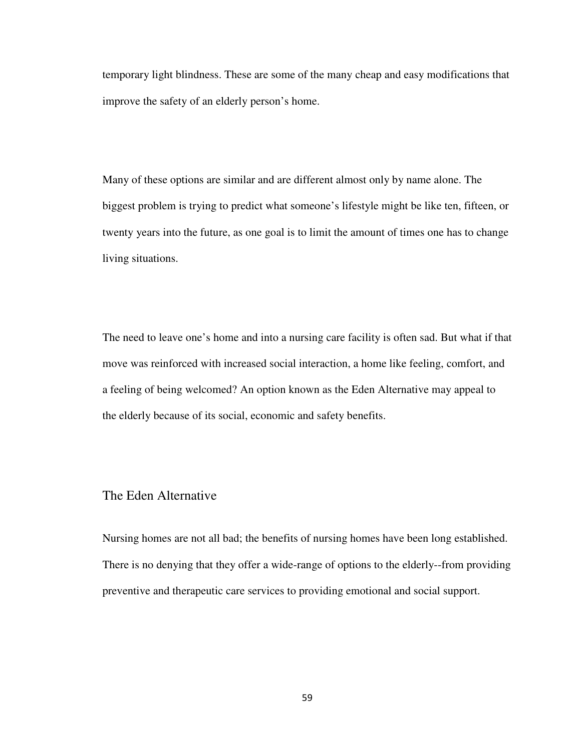temporary light blindness. These are some of the many cheap and easy modifications that improve the safety of an elderly person's home.

Many of these options are similar and are different almost only by name alone. The biggest problem is trying to predict what someone's lifestyle might be like ten, fifteen, or twenty years into the future, as one goal is to limit the amount of times one has to change living situations.

The need to leave one's home and into a nursing care facility is often sad. But what if that move was reinforced with increased social interaction, a home like feeling, comfort, and a feeling of being welcomed? An option known as the Eden Alternative may appeal to the elderly because of its social, economic and safety benefits.

### The Eden Alternative

Nursing homes are not all bad; the benefits of nursing homes have been long established. There is no denying that they offer a wide-range of options to the elderly--from providing preventive and therapeutic care services to providing emotional and social support.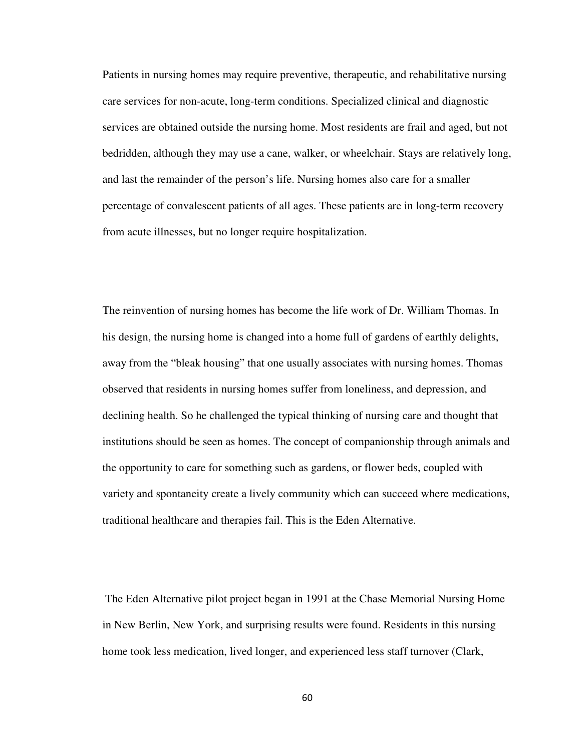Patients in nursing homes may require preventive, therapeutic, and rehabilitative nursing care services for non-acute, long-term conditions. Specialized clinical and diagnostic services are obtained outside the nursing home. Most residents are frail and aged, but not bedridden, although they may use a cane, walker, or wheelchair. Stays are relatively long, and last the remainder of the person's life. Nursing homes also care for a smaller percentage of convalescent patients of all ages. These patients are in long-term recovery from acute illnesses, but no longer require hospitalization.

The reinvention of nursing homes has become the life work of Dr. William Thomas. In his design, the nursing home is changed into a home full of gardens of earthly delights, away from the "bleak housing" that one usually associates with nursing homes. Thomas observed that residents in nursing homes suffer from loneliness, and depression, and declining health. So he challenged the typical thinking of nursing care and thought that institutions should be seen as homes. The concept of companionship through animals and the opportunity to care for something such as gardens, or flower beds, coupled with variety and spontaneity create a lively community which can succeed where medications, traditional healthcare and therapies fail. This is the Eden Alternative.

 The Eden Alternative pilot project began in 1991 at the Chase Memorial Nursing Home in New Berlin, New York, and surprising results were found. Residents in this nursing home took less medication, lived longer, and experienced less staff turnover (Clark,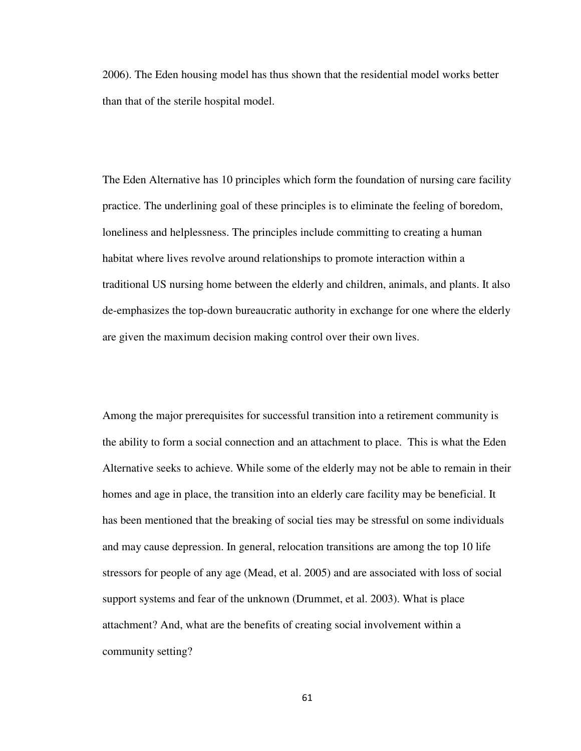2006). The Eden housing model has thus shown that the residential model works better than that of the sterile hospital model.

The Eden Alternative has 10 principles which form the foundation of nursing care facility practice. The underlining goal of these principles is to eliminate the feeling of boredom, loneliness and helplessness. The principles include committing to creating a human habitat where lives revolve around relationships to promote interaction within a traditional US nursing home between the elderly and children, animals, and plants. It also de-emphasizes the top-down bureaucratic authority in exchange for one where the elderly are given the maximum decision making control over their own lives.

Among the major prerequisites for successful transition into a retirement community is the ability to form a social connection and an attachment to place. This is what the Eden Alternative seeks to achieve. While some of the elderly may not be able to remain in their homes and age in place, the transition into an elderly care facility may be beneficial. It has been mentioned that the breaking of social ties may be stressful on some individuals and may cause depression. In general, relocation transitions are among the top 10 life stressors for people of any age (Mead, et al. 2005) and are associated with loss of social support systems and fear of the unknown (Drummet, et al. 2003). What is place attachment? And, what are the benefits of creating social involvement within a community setting?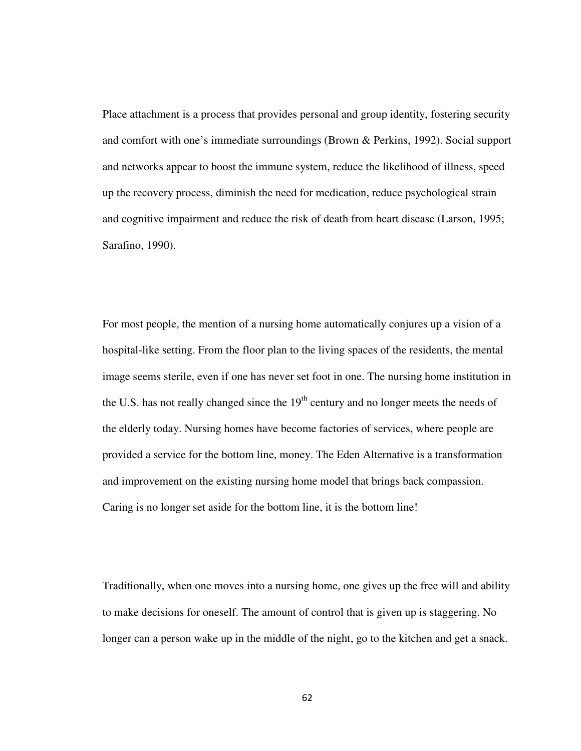Place attachment is a process that provides personal and group identity, fostering security and comfort with one's immediate surroundings (Brown & Perkins, 1992). Social support and networks appear to boost the immune system, reduce the likelihood of illness, speed up the recovery process, diminish the need for medication, reduce psychological strain and cognitive impairment and reduce the risk of death from heart disease (Larson, 1995; Sarafino, 1990).

For most people, the mention of a nursing home automatically conjures up a vision of a hospital-like setting. From the floor plan to the living spaces of the residents, the mental image seems sterile, even if one has never set foot in one. The nursing home institution in the U.S. has not really changed since the  $19<sup>th</sup>$  century and no longer meets the needs of the elderly today. Nursing homes have become factories of services, where people are provided a service for the bottom line, money. The Eden Alternative is a transformation and improvement on the existing nursing home model that brings back compassion. Caring is no longer set aside for the bottom line, it is the bottom line!

Traditionally, when one moves into a nursing home, one gives up the free will and ability to make decisions for oneself. The amount of control that is given up is staggering. No longer can a person wake up in the middle of the night, go to the kitchen and get a snack.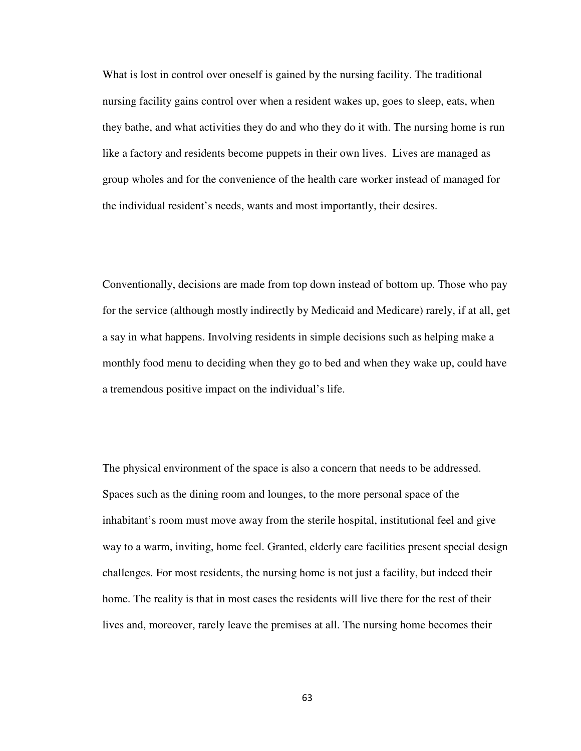What is lost in control over oneself is gained by the nursing facility. The traditional nursing facility gains control over when a resident wakes up, goes to sleep, eats, when they bathe, and what activities they do and who they do it with. The nursing home is run like a factory and residents become puppets in their own lives. Lives are managed as group wholes and for the convenience of the health care worker instead of managed for the individual resident's needs, wants and most importantly, their desires.

Conventionally, decisions are made from top down instead of bottom up. Those who pay for the service (although mostly indirectly by Medicaid and Medicare) rarely, if at all, get a say in what happens. Involving residents in simple decisions such as helping make a monthly food menu to deciding when they go to bed and when they wake up, could have a tremendous positive impact on the individual's life.

The physical environment of the space is also a concern that needs to be addressed. Spaces such as the dining room and lounges, to the more personal space of the inhabitant's room must move away from the sterile hospital, institutional feel and give way to a warm, inviting, home feel. Granted, elderly care facilities present special design challenges. For most residents, the nursing home is not just a facility, but indeed their home. The reality is that in most cases the residents will live there for the rest of their lives and, moreover, rarely leave the premises at all. The nursing home becomes their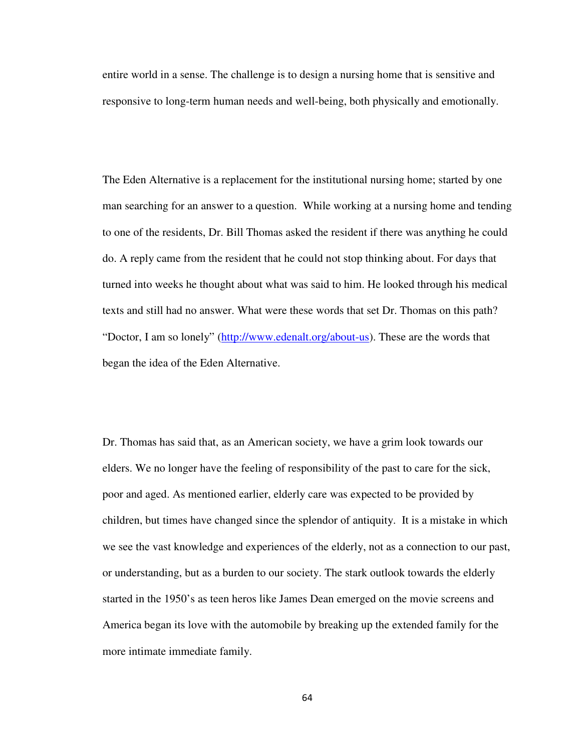entire world in a sense. The challenge is to design a nursing home that is sensitive and responsive to long-term human needs and well-being, both physically and emotionally.

The Eden Alternative is a replacement for the institutional nursing home; started by one man searching for an answer to a question. While working at a nursing home and tending to one of the residents, Dr. Bill Thomas asked the resident if there was anything he could do. A reply came from the resident that he could not stop thinking about. For days that turned into weeks he thought about what was said to him. He looked through his medical texts and still had no answer. What were these words that set Dr. Thomas on this path? "Doctor, I am so lonely" (http://www.edenalt.org/about-us). These are the words that began the idea of the Eden Alternative.

Dr. Thomas has said that, as an American society, we have a grim look towards our elders. We no longer have the feeling of responsibility of the past to care for the sick, poor and aged. As mentioned earlier, elderly care was expected to be provided by children, but times have changed since the splendor of antiquity. It is a mistake in which we see the vast knowledge and experiences of the elderly, not as a connection to our past, or understanding, but as a burden to our society. The stark outlook towards the elderly started in the 1950's as teen heros like James Dean emerged on the movie screens and America began its love with the automobile by breaking up the extended family for the more intimate immediate family.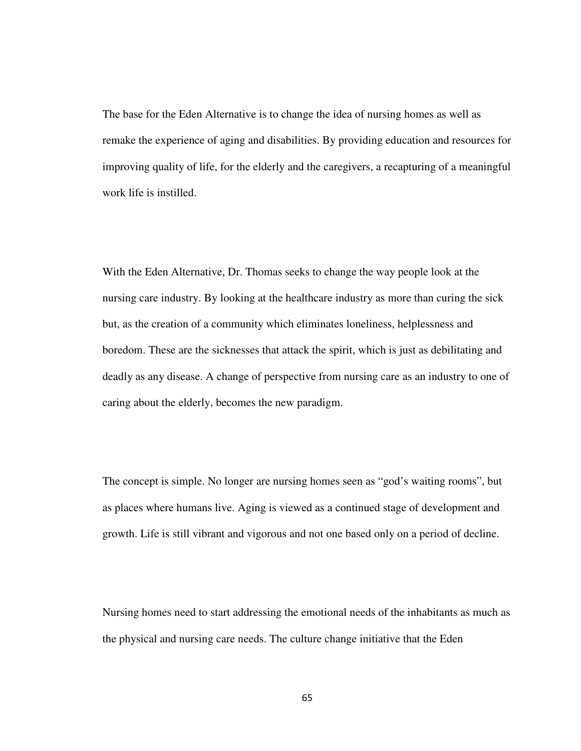The base for the Eden Alternative is to change the idea of nursing homes as well as remake the experience of aging and disabilities. By providing education and resources for improving quality of life, for the elderly and the caregivers, a recapturing of a meaningful work life is instilled.

With the Eden Alternative, Dr. Thomas seeks to change the way people look at the nursing care industry. By looking at the healthcare industry as more than curing the sick but, as the creation of a community which eliminates loneliness, helplessness and boredom. These are the sicknesses that attack the spirit, which is just as debilitating and deadly as any disease. A change of perspective from nursing care as an industry to one of caring about the elderly, becomes the new paradigm.

The concept is simple. No longer are nursing homes seen as "god's waiting rooms", but as places where humans live. Aging is viewed as a continued stage of development and growth. Life is still vibrant and vigorous and not one based only on a period of decline.

Nursing homes need to start addressing the emotional needs of the inhabitants as much as the physical and nursing care needs. The culture change initiative that the Eden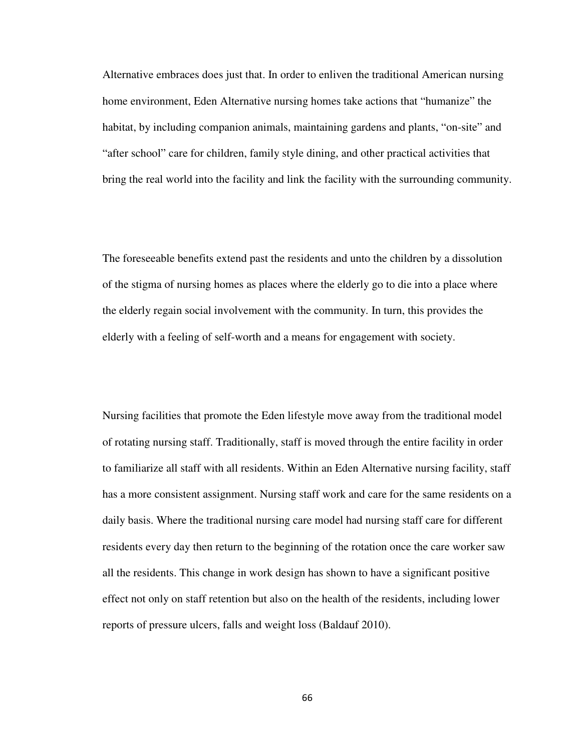Alternative embraces does just that. In order to enliven the traditional American nursing home environment, Eden Alternative nursing homes take actions that "humanize" the habitat, by including companion animals, maintaining gardens and plants, "on-site" and "after school" care for children, family style dining, and other practical activities that bring the real world into the facility and link the facility with the surrounding community.

The foreseeable benefits extend past the residents and unto the children by a dissolution of the stigma of nursing homes as places where the elderly go to die into a place where the elderly regain social involvement with the community. In turn, this provides the elderly with a feeling of self-worth and a means for engagement with society.

Nursing facilities that promote the Eden lifestyle move away from the traditional model of rotating nursing staff. Traditionally, staff is moved through the entire facility in order to familiarize all staff with all residents. Within an Eden Alternative nursing facility, staff has a more consistent assignment. Nursing staff work and care for the same residents on a daily basis. Where the traditional nursing care model had nursing staff care for different residents every day then return to the beginning of the rotation once the care worker saw all the residents. This change in work design has shown to have a significant positive effect not only on staff retention but also on the health of the residents, including lower reports of pressure ulcers, falls and weight loss (Baldauf 2010).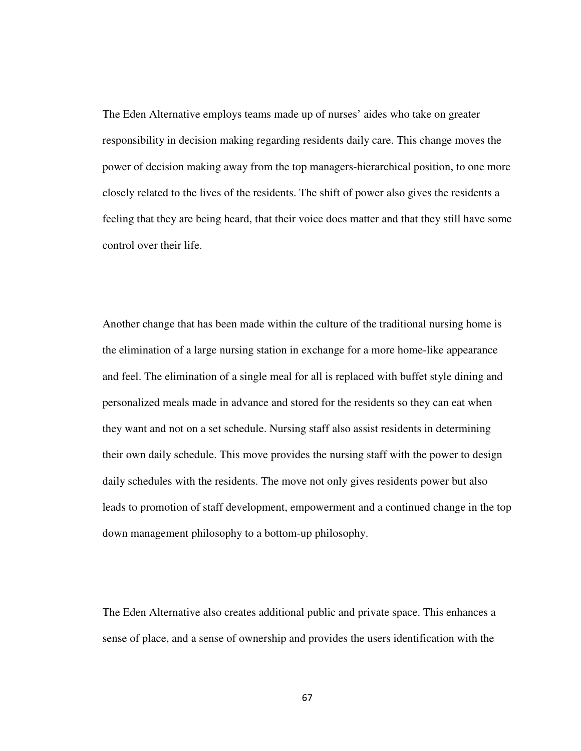The Eden Alternative employs teams made up of nurses' aides who take on greater responsibility in decision making regarding residents daily care. This change moves the power of decision making away from the top managers-hierarchical position, to one more closely related to the lives of the residents. The shift of power also gives the residents a feeling that they are being heard, that their voice does matter and that they still have some control over their life.

Another change that has been made within the culture of the traditional nursing home is the elimination of a large nursing station in exchange for a more home-like appearance and feel. The elimination of a single meal for all is replaced with buffet style dining and personalized meals made in advance and stored for the residents so they can eat when they want and not on a set schedule. Nursing staff also assist residents in determining their own daily schedule. This move provides the nursing staff with the power to design daily schedules with the residents. The move not only gives residents power but also leads to promotion of staff development, empowerment and a continued change in the top down management philosophy to a bottom-up philosophy.

The Eden Alternative also creates additional public and private space. This enhances a sense of place, and a sense of ownership and provides the users identification with the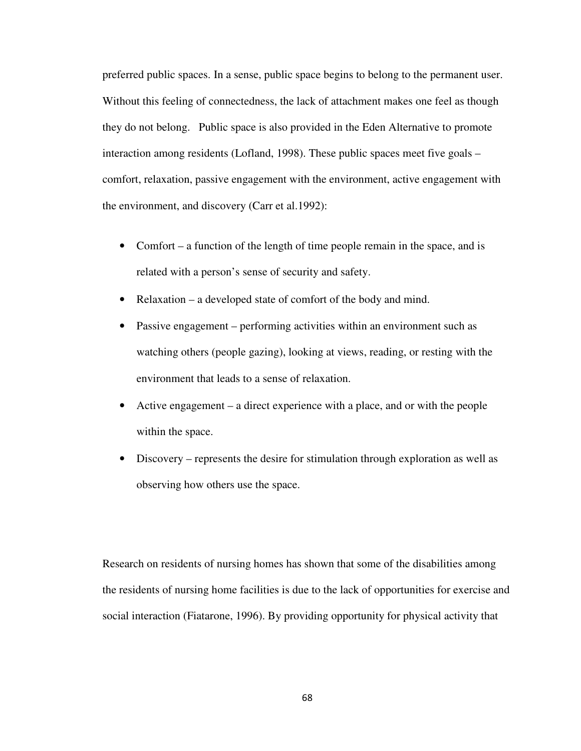preferred public spaces. In a sense, public space begins to belong to the permanent user. Without this feeling of connectedness, the lack of attachment makes one feel as though they do not belong. Public space is also provided in the Eden Alternative to promote interaction among residents (Lofland, 1998). These public spaces meet five goals – comfort, relaxation, passive engagement with the environment, active engagement with the environment, and discovery (Carr et al.1992):

- Comfort a function of the length of time people remain in the space, and is related with a person's sense of security and safety.
- Relaxation a developed state of comfort of the body and mind.
- Passive engagement performing activities within an environment such as watching others (people gazing), looking at views, reading, or resting with the environment that leads to a sense of relaxation.
- Active engagement a direct experience with a place, and or with the people within the space.
- Discovery represents the desire for stimulation through exploration as well as observing how others use the space.

Research on residents of nursing homes has shown that some of the disabilities among the residents of nursing home facilities is due to the lack of opportunities for exercise and social interaction (Fiatarone, 1996). By providing opportunity for physical activity that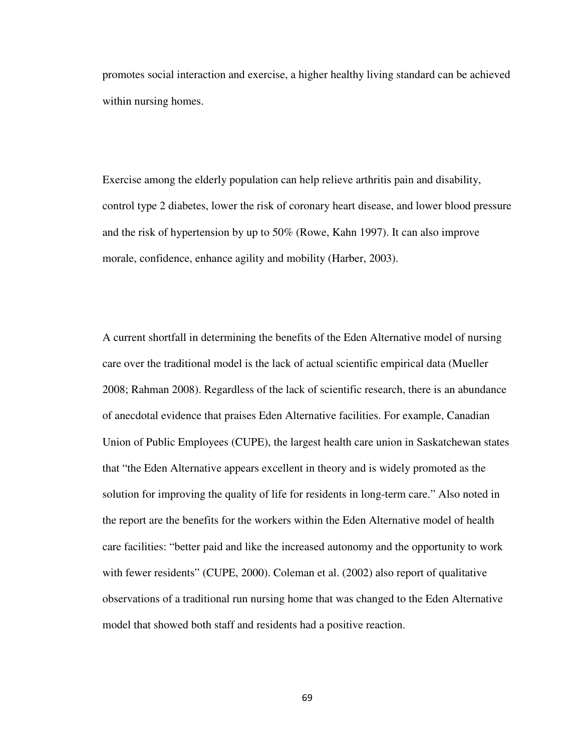promotes social interaction and exercise, a higher healthy living standard can be achieved within nursing homes.

Exercise among the elderly population can help relieve arthritis pain and disability, control type 2 diabetes, lower the risk of coronary heart disease, and lower blood pressure and the risk of hypertension by up to 50% (Rowe, Kahn 1997). It can also improve morale, confidence, enhance agility and mobility (Harber, 2003).

A current shortfall in determining the benefits of the Eden Alternative model of nursing care over the traditional model is the lack of actual scientific empirical data (Mueller 2008; Rahman 2008). Regardless of the lack of scientific research, there is an abundance of anecdotal evidence that praises Eden Alternative facilities. For example, Canadian Union of Public Employees (CUPE), the largest health care union in Saskatchewan states that "the Eden Alternative appears excellent in theory and is widely promoted as the solution for improving the quality of life for residents in long-term care." Also noted in the report are the benefits for the workers within the Eden Alternative model of health care facilities: "better paid and like the increased autonomy and the opportunity to work with fewer residents" (CUPE, 2000). Coleman et al. (2002) also report of qualitative observations of a traditional run nursing home that was changed to the Eden Alternative model that showed both staff and residents had a positive reaction.

69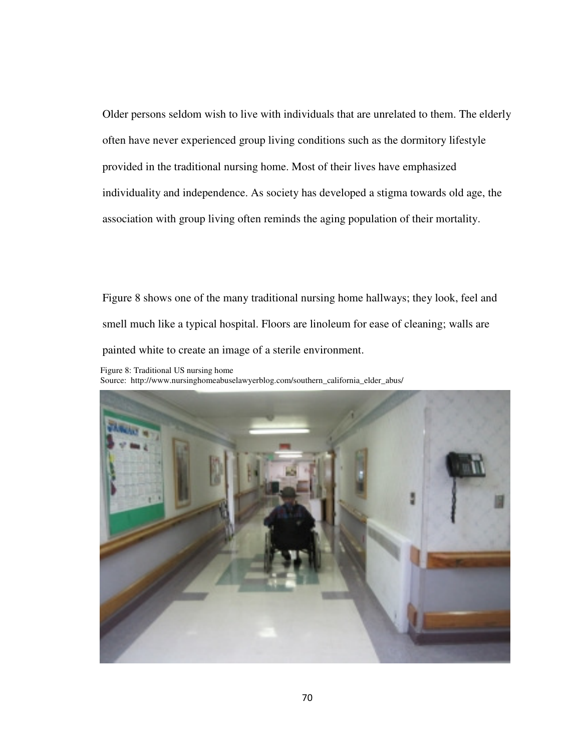Older persons seldom wish to live with individuals that are unrelated to them. The elderly often have never experienced group living conditions such as the dormitory lifestyle provided in the traditional nursing home. Most of their lives have emphasized individuality and independence. As society has developed a stigma towards old age, the association with group living often reminds the aging population of their mortality.

Figure 8 shows one of the many traditional nursing home hallways; they look, feel and smell much like a typical hospital. Floors are linoleum for ease of cleaning; walls are painted white to create an image of a sterile environment.

Figure 8: Traditional US nursing home Source: http://www.nursinghomeabuselawyerblog.com/southern\_california\_elder\_abus/

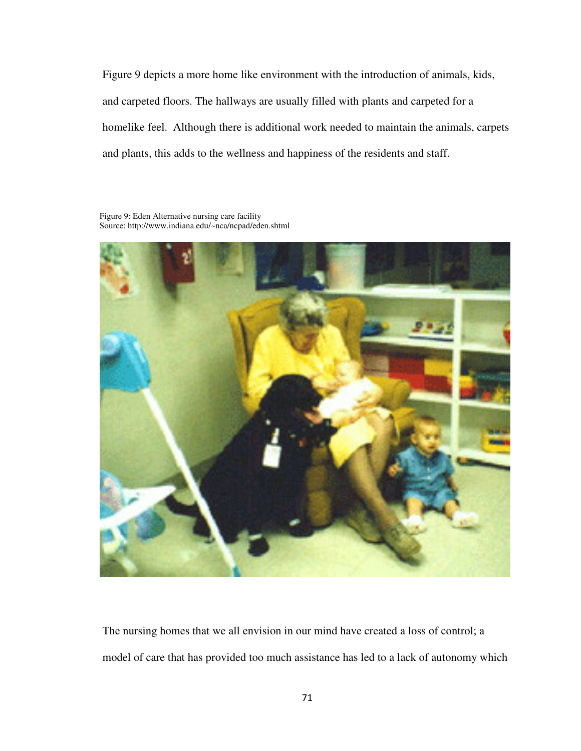Figure 9 depicts a more home like environment with the introduction of animals, kids, and carpeted floors. The hallways are usually filled with plants and carpeted for a homelike feel. Although there is additional work needed to maintain the animals, carpets and plants, this adds to the wellness and happiness of the residents and staff.

Figure 9: Eden Alternative nursing care facility Source: http://www.indiana.edu/~nca/ncpad/eden.shtml



The nursing homes that we all envision in our mind have created a loss of control; a model of care that has provided too much assistance has led to a lack of autonomy which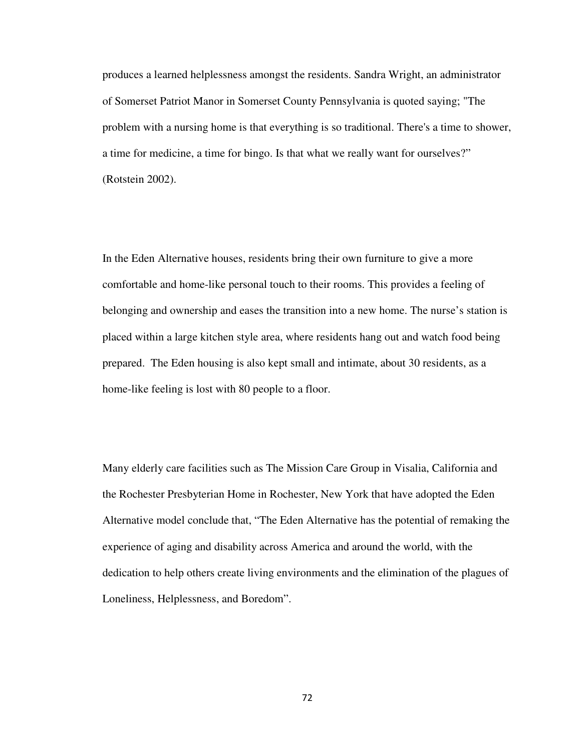produces a learned helplessness amongst the residents. Sandra Wright, an administrator of Somerset Patriot Manor in Somerset County Pennsylvania is quoted saying; "The problem with a nursing home is that everything is so traditional. There's a time to shower, a time for medicine, a time for bingo. Is that what we really want for ourselves?" (Rotstein 2002).

In the Eden Alternative houses, residents bring their own furniture to give a more comfortable and home-like personal touch to their rooms. This provides a feeling of belonging and ownership and eases the transition into a new home. The nurse's station is placed within a large kitchen style area, where residents hang out and watch food being prepared. The Eden housing is also kept small and intimate, about 30 residents, as a home-like feeling is lost with 80 people to a floor.

Many elderly care facilities such as The Mission Care Group in Visalia, California and the Rochester Presbyterian Home in Rochester, New York that have adopted the Eden Alternative model conclude that, "The Eden Alternative has the potential of remaking the experience of aging and disability across America and around the world, with the dedication to help others create living environments and the elimination of the plagues of Loneliness, Helplessness, and Boredom".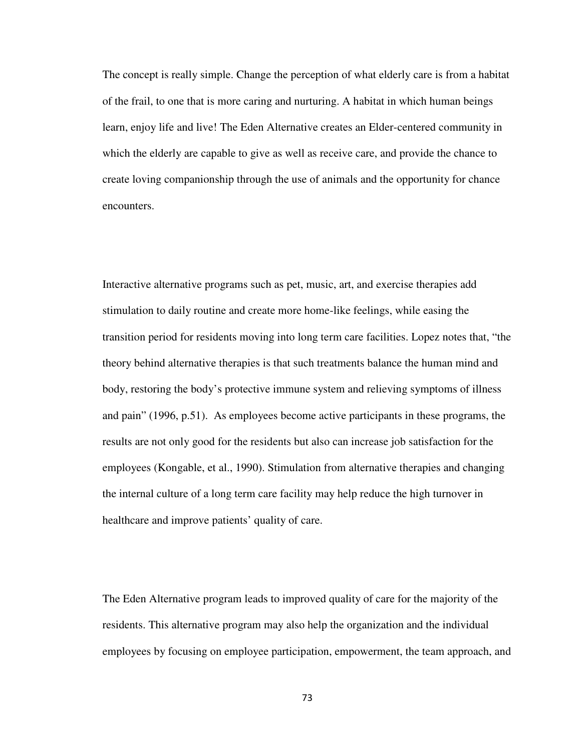The concept is really simple. Change the perception of what elderly care is from a habitat of the frail, to one that is more caring and nurturing. A habitat in which human beings learn, enjoy life and live! The Eden Alternative creates an Elder-centered community in which the elderly are capable to give as well as receive care, and provide the chance to create loving companionship through the use of animals and the opportunity for chance encounters.

Interactive alternative programs such as pet, music, art, and exercise therapies add stimulation to daily routine and create more home-like feelings, while easing the transition period for residents moving into long term care facilities. Lopez notes that, "the theory behind alternative therapies is that such treatments balance the human mind and body, restoring the body's protective immune system and relieving symptoms of illness and pain" (1996, p.51). As employees become active participants in these programs, the results are not only good for the residents but also can increase job satisfaction for the employees (Kongable, et al., 1990). Stimulation from alternative therapies and changing the internal culture of a long term care facility may help reduce the high turnover in healthcare and improve patients' quality of care.

The Eden Alternative program leads to improved quality of care for the majority of the residents. This alternative program may also help the organization and the individual employees by focusing on employee participation, empowerment, the team approach, and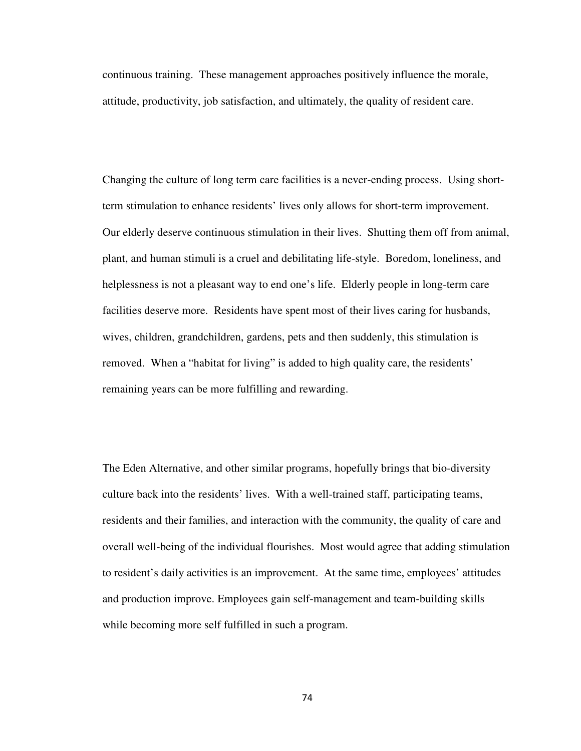continuous training. These management approaches positively influence the morale, attitude, productivity, job satisfaction, and ultimately, the quality of resident care.

Changing the culture of long term care facilities is a never-ending process. Using shortterm stimulation to enhance residents' lives only allows for short-term improvement. Our elderly deserve continuous stimulation in their lives. Shutting them off from animal, plant, and human stimuli is a cruel and debilitating life-style. Boredom, loneliness, and helplessness is not a pleasant way to end one's life. Elderly people in long-term care facilities deserve more. Residents have spent most of their lives caring for husbands, wives, children, grandchildren, gardens, pets and then suddenly, this stimulation is removed. When a "habitat for living" is added to high quality care, the residents' remaining years can be more fulfilling and rewarding.

The Eden Alternative, and other similar programs, hopefully brings that bio-diversity culture back into the residents' lives. With a well-trained staff, participating teams, residents and their families, and interaction with the community, the quality of care and overall well-being of the individual flourishes. Most would agree that adding stimulation to resident's daily activities is an improvement. At the same time, employees' attitudes and production improve. Employees gain self-management and team-building skills while becoming more self fulfilled in such a program.

74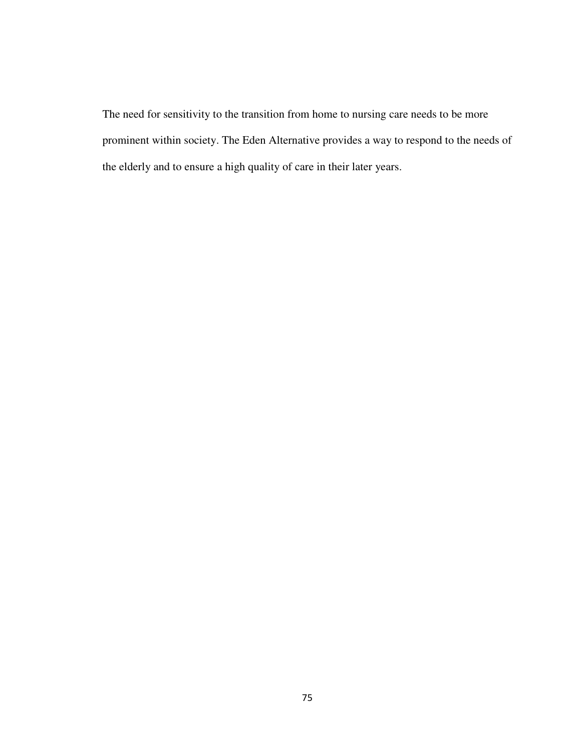The need for sensitivity to the transition from home to nursing care needs to be more prominent within society. The Eden Alternative provides a way to respond to the needs of the elderly and to ensure a high quality of care in their later years.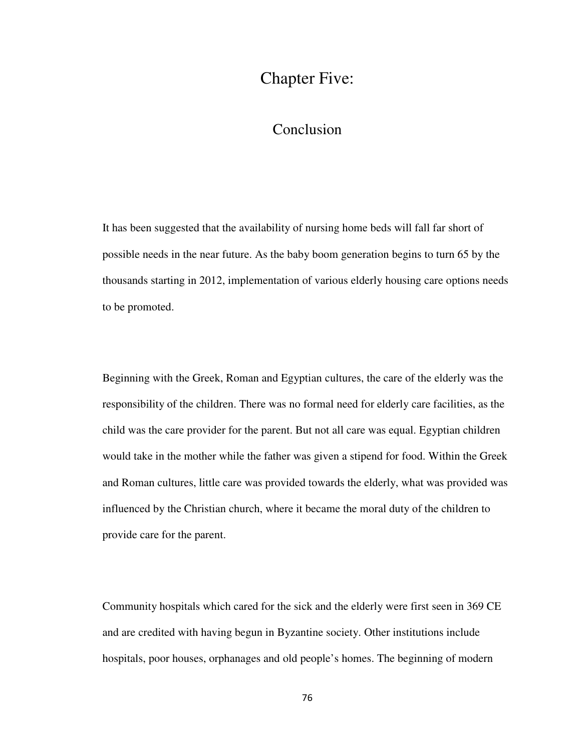## Chapter Five:

## Conclusion

It has been suggested that the availability of nursing home beds will fall far short of possible needs in the near future. As the baby boom generation begins to turn 65 by the thousands starting in 2012, implementation of various elderly housing care options needs to be promoted.

Beginning with the Greek, Roman and Egyptian cultures, the care of the elderly was the responsibility of the children. There was no formal need for elderly care facilities, as the child was the care provider for the parent. But not all care was equal. Egyptian children would take in the mother while the father was given a stipend for food. Within the Greek and Roman cultures, little care was provided towards the elderly, what was provided was influenced by the Christian church, where it became the moral duty of the children to provide care for the parent.

Community hospitals which cared for the sick and the elderly were first seen in 369 CE and are credited with having begun in Byzantine society. Other institutions include hospitals, poor houses, orphanages and old people's homes. The beginning of modern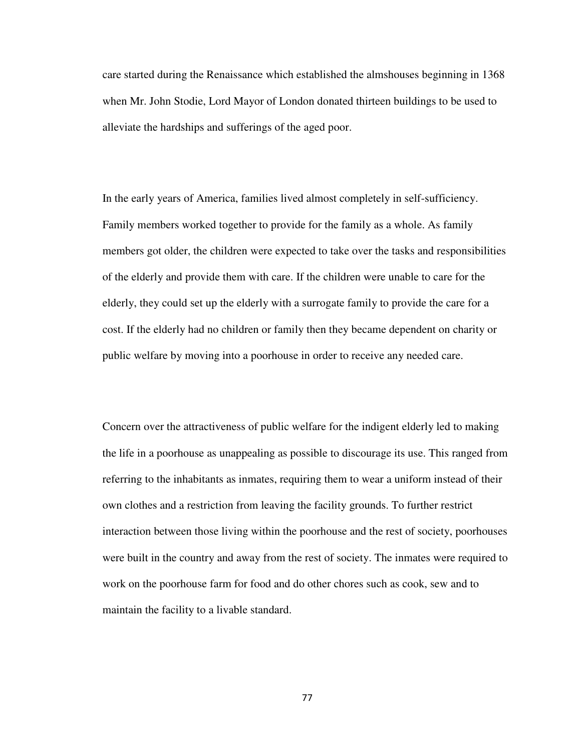care started during the Renaissance which established the almshouses beginning in 1368 when Mr. John Stodie, Lord Mayor of London donated thirteen buildings to be used to alleviate the hardships and sufferings of the aged poor.

In the early years of America, families lived almost completely in self-sufficiency. Family members worked together to provide for the family as a whole. As family members got older, the children were expected to take over the tasks and responsibilities of the elderly and provide them with care. If the children were unable to care for the elderly, they could set up the elderly with a surrogate family to provide the care for a cost. If the elderly had no children or family then they became dependent on charity or public welfare by moving into a poorhouse in order to receive any needed care.

Concern over the attractiveness of public welfare for the indigent elderly led to making the life in a poorhouse as unappealing as possible to discourage its use. This ranged from referring to the inhabitants as inmates, requiring them to wear a uniform instead of their own clothes and a restriction from leaving the facility grounds. To further restrict interaction between those living within the poorhouse and the rest of society, poorhouses were built in the country and away from the rest of society. The inmates were required to work on the poorhouse farm for food and do other chores such as cook, sew and to maintain the facility to a livable standard.

77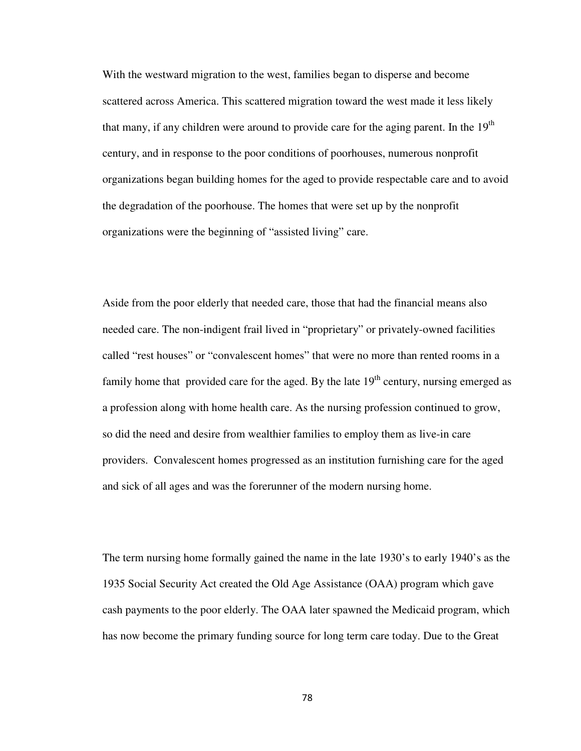With the westward migration to the west, families began to disperse and become scattered across America. This scattered migration toward the west made it less likely that many, if any children were around to provide care for the aging parent. In the  $19<sup>th</sup>$ century, and in response to the poor conditions of poorhouses, numerous nonprofit organizations began building homes for the aged to provide respectable care and to avoid the degradation of the poorhouse. The homes that were set up by the nonprofit organizations were the beginning of "assisted living" care.

Aside from the poor elderly that needed care, those that had the financial means also needed care. The non-indigent frail lived in "proprietary" or privately-owned facilities called "rest houses" or "convalescent homes" that were no more than rented rooms in a family home that provided care for the aged. By the late  $19<sup>th</sup>$  century, nursing emerged as a profession along with home health care. As the nursing profession continued to grow, so did the need and desire from wealthier families to employ them as live-in care providers. Convalescent homes progressed as an institution furnishing care for the aged and sick of all ages and was the forerunner of the modern nursing home.

The term nursing home formally gained the name in the late 1930's to early 1940's as the 1935 Social Security Act created the Old Age Assistance (OAA) program which gave cash payments to the poor elderly. The OAA later spawned the Medicaid program, which has now become the primary funding source for long term care today. Due to the Great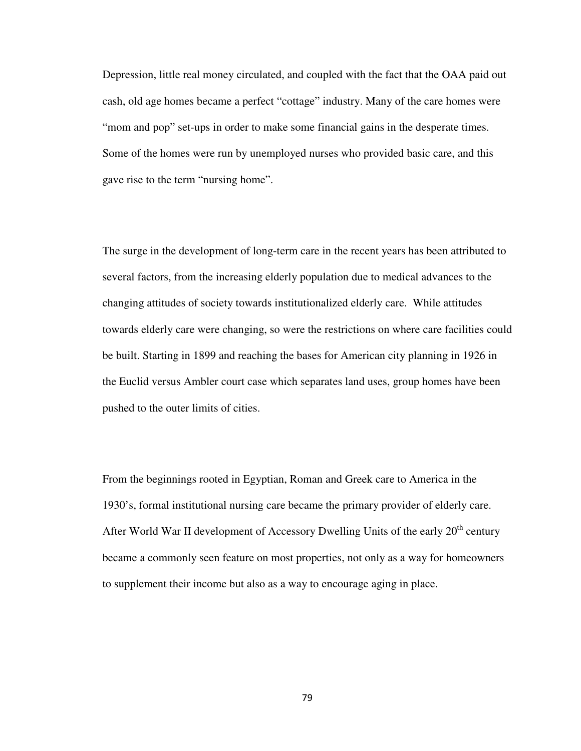Depression, little real money circulated, and coupled with the fact that the OAA paid out cash, old age homes became a perfect "cottage" industry. Many of the care homes were "mom and pop" set-ups in order to make some financial gains in the desperate times. Some of the homes were run by unemployed nurses who provided basic care, and this gave rise to the term "nursing home".

The surge in the development of long-term care in the recent years has been attributed to several factors, from the increasing elderly population due to medical advances to the changing attitudes of society towards institutionalized elderly care. While attitudes towards elderly care were changing, so were the restrictions on where care facilities could be built. Starting in 1899 and reaching the bases for American city planning in 1926 in the Euclid versus Ambler court case which separates land uses, group homes have been pushed to the outer limits of cities.

From the beginnings rooted in Egyptian, Roman and Greek care to America in the 1930's, formal institutional nursing care became the primary provider of elderly care. After World War II development of Accessory Dwelling Units of the early  $20<sup>th</sup>$  century became a commonly seen feature on most properties, not only as a way for homeowners to supplement their income but also as a way to encourage aging in place.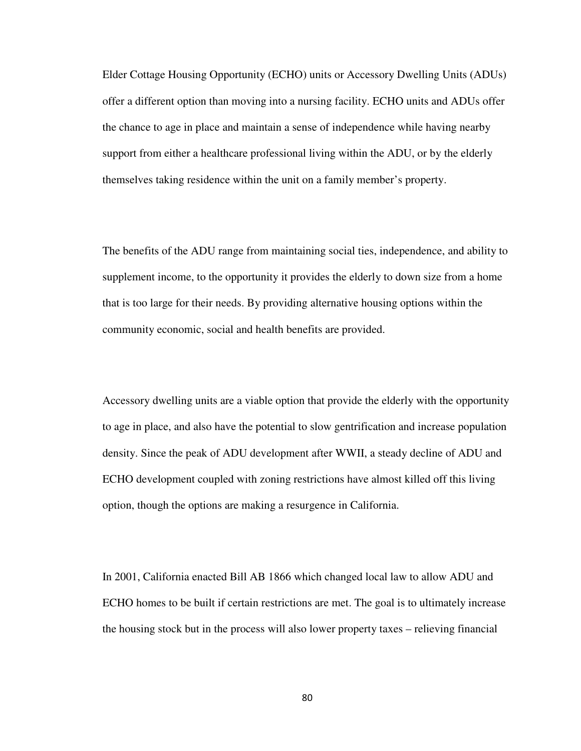Elder Cottage Housing Opportunity (ECHO) units or Accessory Dwelling Units (ADUs) offer a different option than moving into a nursing facility. ECHO units and ADUs offer the chance to age in place and maintain a sense of independence while having nearby support from either a healthcare professional living within the ADU, or by the elderly themselves taking residence within the unit on a family member's property.

The benefits of the ADU range from maintaining social ties, independence, and ability to supplement income, to the opportunity it provides the elderly to down size from a home that is too large for their needs. By providing alternative housing options within the community economic, social and health benefits are provided.

Accessory dwelling units are a viable option that provide the elderly with the opportunity to age in place, and also have the potential to slow gentrification and increase population density. Since the peak of ADU development after WWII, a steady decline of ADU and ECHO development coupled with zoning restrictions have almost killed off this living option, though the options are making a resurgence in California.

In 2001, California enacted Bill AB 1866 which changed local law to allow ADU and ECHO homes to be built if certain restrictions are met. The goal is to ultimately increase the housing stock but in the process will also lower property taxes – relieving financial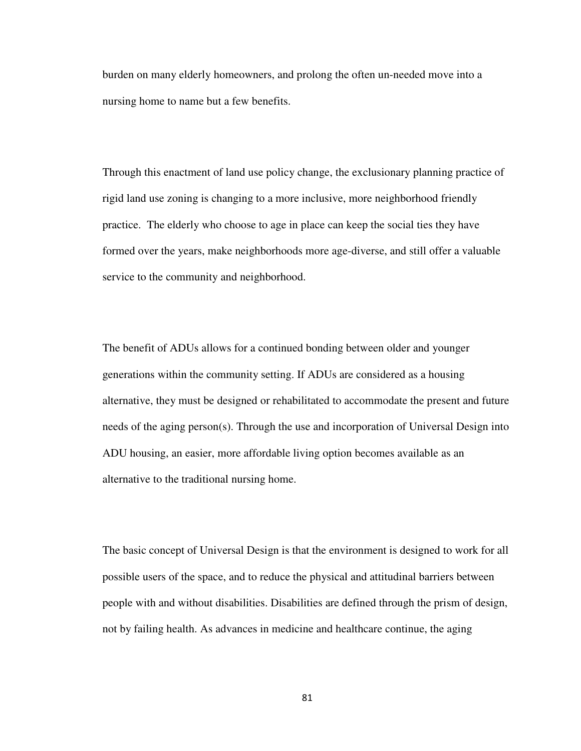burden on many elderly homeowners, and prolong the often un-needed move into a nursing home to name but a few benefits.

Through this enactment of land use policy change, the exclusionary planning practice of rigid land use zoning is changing to a more inclusive, more neighborhood friendly practice. The elderly who choose to age in place can keep the social ties they have formed over the years, make neighborhoods more age-diverse, and still offer a valuable service to the community and neighborhood.

The benefit of ADUs allows for a continued bonding between older and younger generations within the community setting. If ADUs are considered as a housing alternative, they must be designed or rehabilitated to accommodate the present and future needs of the aging person(s). Through the use and incorporation of Universal Design into ADU housing, an easier, more affordable living option becomes available as an alternative to the traditional nursing home.

The basic concept of Universal Design is that the environment is designed to work for all possible users of the space, and to reduce the physical and attitudinal barriers between people with and without disabilities. Disabilities are defined through the prism of design, not by failing health. As advances in medicine and healthcare continue, the aging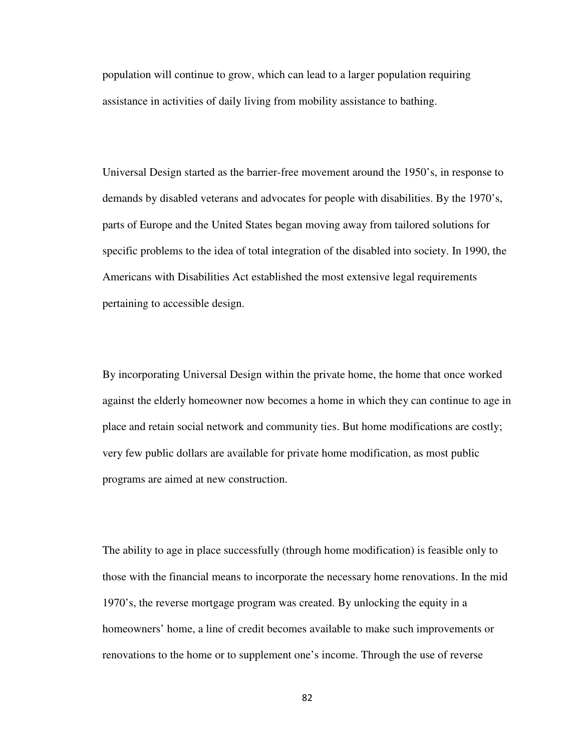population will continue to grow, which can lead to a larger population requiring assistance in activities of daily living from mobility assistance to bathing.

Universal Design started as the barrier-free movement around the 1950's, in response to demands by disabled veterans and advocates for people with disabilities. By the 1970's, parts of Europe and the United States began moving away from tailored solutions for specific problems to the idea of total integration of the disabled into society. In 1990, the Americans with Disabilities Act established the most extensive legal requirements pertaining to accessible design.

By incorporating Universal Design within the private home, the home that once worked against the elderly homeowner now becomes a home in which they can continue to age in place and retain social network and community ties. But home modifications are costly; very few public dollars are available for private home modification, as most public programs are aimed at new construction.

The ability to age in place successfully (through home modification) is feasible only to those with the financial means to incorporate the necessary home renovations. In the mid 1970's, the reverse mortgage program was created. By unlocking the equity in a homeowners' home, a line of credit becomes available to make such improvements or renovations to the home or to supplement one's income. Through the use of reverse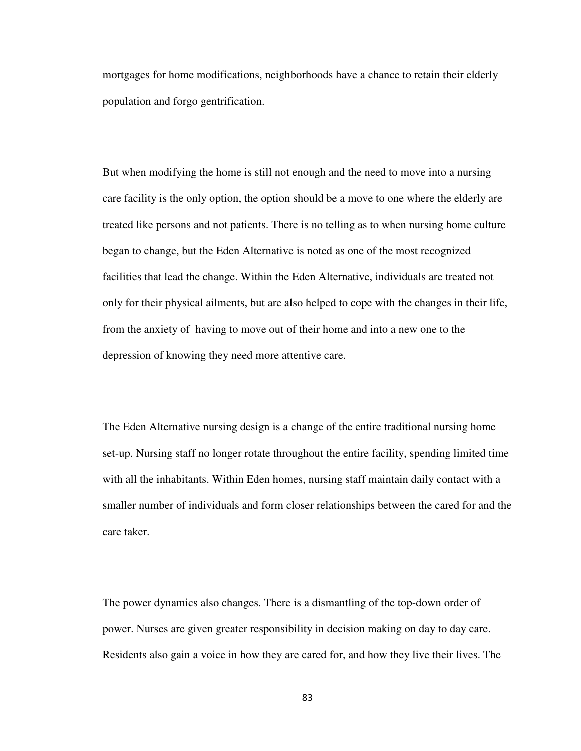mortgages for home modifications, neighborhoods have a chance to retain their elderly population and forgo gentrification.

But when modifying the home is still not enough and the need to move into a nursing care facility is the only option, the option should be a move to one where the elderly are treated like persons and not patients. There is no telling as to when nursing home culture began to change, but the Eden Alternative is noted as one of the most recognized facilities that lead the change. Within the Eden Alternative, individuals are treated not only for their physical ailments, but are also helped to cope with the changes in their life, from the anxiety of having to move out of their home and into a new one to the depression of knowing they need more attentive care.

The Eden Alternative nursing design is a change of the entire traditional nursing home set-up. Nursing staff no longer rotate throughout the entire facility, spending limited time with all the inhabitants. Within Eden homes, nursing staff maintain daily contact with a smaller number of individuals and form closer relationships between the cared for and the care taker.

The power dynamics also changes. There is a dismantling of the top-down order of power. Nurses are given greater responsibility in decision making on day to day care. Residents also gain a voice in how they are cared for, and how they live their lives. The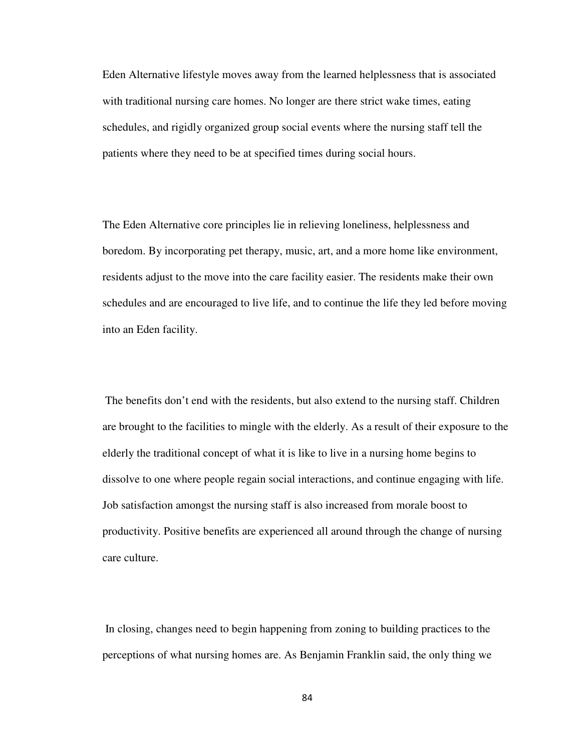Eden Alternative lifestyle moves away from the learned helplessness that is associated with traditional nursing care homes. No longer are there strict wake times, eating schedules, and rigidly organized group social events where the nursing staff tell the patients where they need to be at specified times during social hours.

The Eden Alternative core principles lie in relieving loneliness, helplessness and boredom. By incorporating pet therapy, music, art, and a more home like environment, residents adjust to the move into the care facility easier. The residents make their own schedules and are encouraged to live life, and to continue the life they led before moving into an Eden facility.

 The benefits don't end with the residents, but also extend to the nursing staff. Children are brought to the facilities to mingle with the elderly. As a result of their exposure to the elderly the traditional concept of what it is like to live in a nursing home begins to dissolve to one where people regain social interactions, and continue engaging with life. Job satisfaction amongst the nursing staff is also increased from morale boost to productivity. Positive benefits are experienced all around through the change of nursing care culture.

 In closing, changes need to begin happening from zoning to building practices to the perceptions of what nursing homes are. As Benjamin Franklin said, the only thing we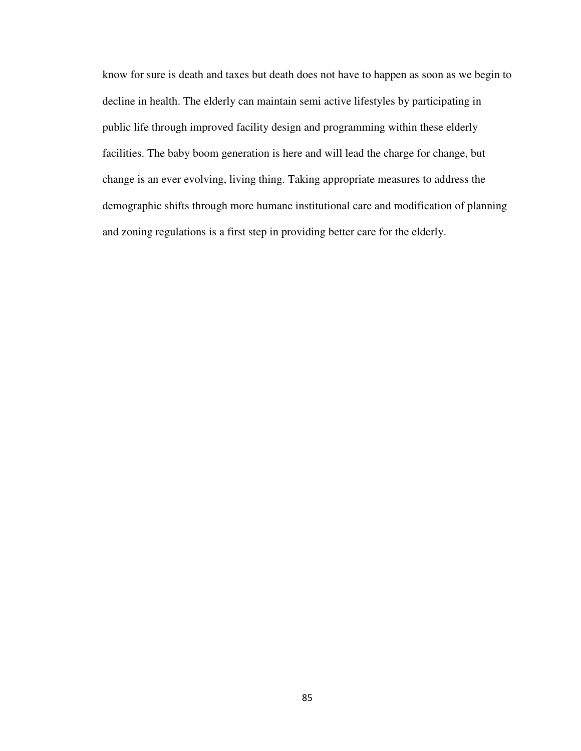know for sure is death and taxes but death does not have to happen as soon as we begin to decline in health. The elderly can maintain semi active lifestyles by participating in public life through improved facility design and programming within these elderly facilities. The baby boom generation is here and will lead the charge for change, but change is an ever evolving, living thing. Taking appropriate measures to address the demographic shifts through more humane institutional care and modification of planning and zoning regulations is a first step in providing better care for the elderly.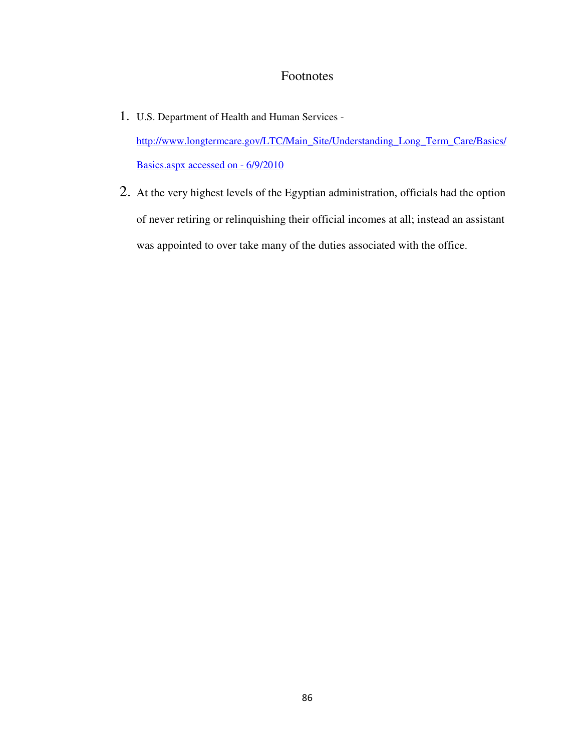## Footnotes

- 1. U.S. Department of Health and Human Services http://www.longtermcare.gov/LTC/Main\_Site/Understanding\_Long\_Term\_Care/Basics/ Basics.aspx accessed on - 6/9/2010
- 2. At the very highest levels of the Egyptian administration, officials had the option of never retiring or relinquishing their official incomes at all; instead an assistant was appointed to over take many of the duties associated with the office.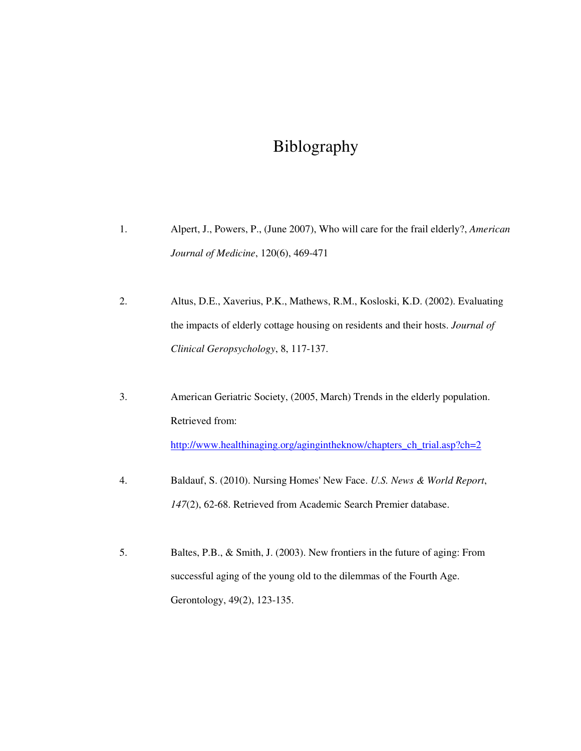## Biblography

- 1. Alpert, J., Powers, P., (June 2007), Who will care for the frail elderly?, *American Journal of Medicine*, 120(6), 469-471
- 2. Altus, D.E., Xaverius, P.K., Mathews, R.M., Kosloski, K.D. (2002). Evaluating the impacts of elderly cottage housing on residents and their hosts. *Journal of Clinical Geropsychology*, 8, 117-137.
- 3. American Geriatric Society, (2005, March) Trends in the elderly population. Retrieved from: http://www.healthinaging.org/agingintheknow/chapters\_ch\_trial.asp?ch=2
- 4. Baldauf, S. (2010). Nursing Homes' New Face. *U.S. News & World Report*, *147*(2), 62-68. Retrieved from Academic Search Premier database.
- 5. Baltes, P.B., & Smith, J. (2003). New frontiers in the future of aging: From successful aging of the young old to the dilemmas of the Fourth Age. Gerontology, 49(2), 123-135.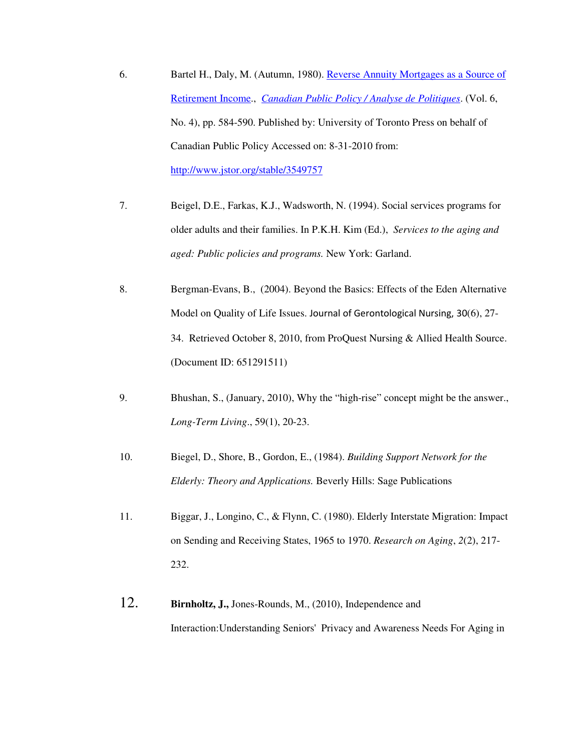- 6. Bartel H., Daly, M. (Autumn, 1980). Reverse Annuity Mortgages as a Source of Retirement Income., *Canadian Public Policy / Analyse de Politiques*. (Vol. 6, No. 4), pp. 584-590. Published by: University of Toronto Press on behalf of Canadian Public Policy Accessed on: 8-31-2010 from: http://www.jstor.org/stable/3549757
- 7. Beigel, D.E., Farkas, K.J., Wadsworth, N. (1994). Social services programs for older adults and their families. In P.K.H. Kim (Ed.), *Services to the aging and aged: Public policies and programs.* New York: Garland.
- 8. Bergman-Evans, B., (2004). Beyond the Basics: Effects of the Eden Alternative Model on Quality of Life Issues. Journal of Gerontological Nursing, 30(6), 27- 34. Retrieved October 8, 2010, from ProQuest Nursing & Allied Health Source. (Document ID: 651291511)
- 9. Bhushan, S., (January, 2010), Why the "high-rise" concept might be the answer., *Long-Term Living*., 59(1), 20-23.
- 10. Biegel, D., Shore, B., Gordon, E., (1984). *Building Support Network for the Elderly: Theory and Applications.* Beverly Hills: Sage Publications
- 11. Biggar, J., Longino, C., & Flynn, C. (1980). Elderly Interstate Migration: Impact on Sending and Receiving States, 1965 to 1970. *Research on Aging*, *2*(2), 217- 232.
- 12. **Birnholtz, J.,** Jones-Rounds, M., (2010), Independence and Interaction:Understanding Seniors' Privacy and Awareness Needs For Aging in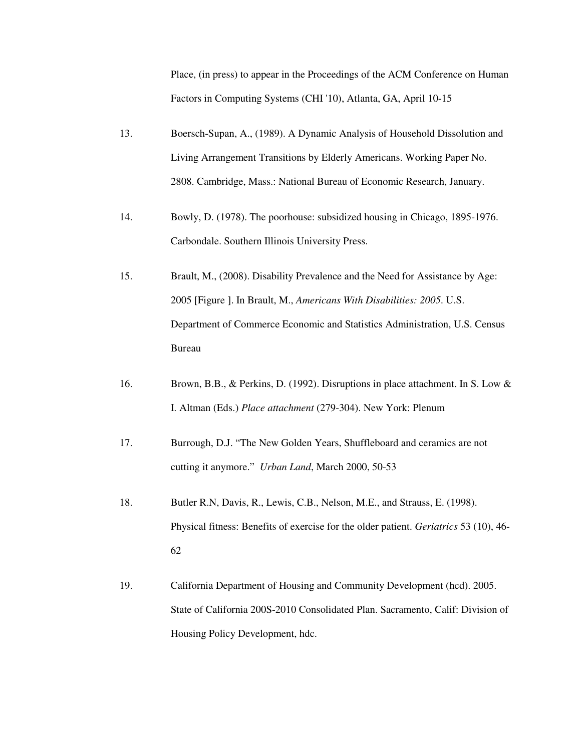Place, (in press) to appear in the Proceedings of the ACM Conference on Human Factors in Computing Systems (CHI '10), Atlanta, GA, April 10-15

- 13. Boersch-Supan, A., (1989). A Dynamic Analysis of Household Dissolution and Living Arrangement Transitions by Elderly Americans. Working Paper No. 2808. Cambridge, Mass.: National Bureau of Economic Research, January.
- 14. Bowly, D. (1978). The poorhouse: subsidized housing in Chicago, 1895-1976. Carbondale. Southern Illinois University Press.
- 15. Brault, M., (2008). Disability Prevalence and the Need for Assistance by Age: 2005 [Figure ]. In Brault, M., *Americans With Disabilities: 2005*. U.S. Department of Commerce Economic and Statistics Administration, U.S. Census Bureau
- 16. Brown, B.B., & Perkins, D. (1992). Disruptions in place attachment. In S. Low & I. Altman (Eds.) *Place attachment* (279-304). New York: Plenum
- 17. Burrough, D.J. "The New Golden Years, Shuffleboard and ceramics are not cutting it anymore." *Urban Land*, March 2000, 50-53
- 18. Butler R.N, Davis, R., Lewis, C.B., Nelson, M.E., and Strauss, E. (1998). Physical fitness: Benefits of exercise for the older patient. *Geriatrics* 53 (10), 46- 62
- 19. California Department of Housing and Community Development (hcd). 2005. State of California 200S-2010 Consolidated Plan. Sacramento, Calif: Division of Housing Policy Development, hdc.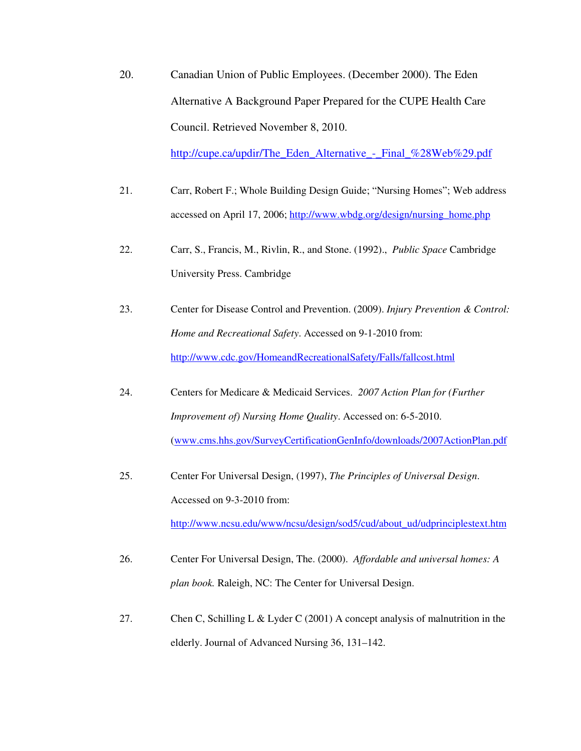20. Canadian Union of Public Employees. (December 2000). The Eden Alternative A Background Paper Prepared for the CUPE Health Care Council. Retrieved November 8, 2010.

http://cupe.ca/updir/The\_Eden\_Alternative\_-\_Final\_%28Web%29.pdf

- 21. Carr, Robert F.; Whole Building Design Guide; "Nursing Homes"; Web address accessed on April 17, 2006; http://www.wbdg.org/design/nursing\_home.php
- 22. Carr, S., Francis, M., Rivlin, R., and Stone. (1992)., *Public Space* Cambridge University Press. Cambridge
- 23. Center for Disease Control and Prevention. (2009). *Injury Prevention & Control: Home and Recreational Safety*. Accessed on 9-1-2010 from: http://www.cdc.gov/HomeandRecreationalSafety/Falls/fallcost.html
- 24. Centers for Medicare & Medicaid Services. *2007 Action Plan for (Further Improvement of) Nursing Home Quality*. Accessed on: 6-5-2010. (www.cms.hhs.gov/SurveyCertificationGenInfo/downloads/2007ActionPlan.pdf
- 25. Center For Universal Design, (1997), *The Principles of Universal Design*. Accessed on 9-3-2010 from: http://www.ncsu.edu/www/ncsu/design/sod5/cud/about\_ud/udprinciplestext.htm
- 26. Center For Universal Design, The. (2000). *Affordable and universal homes: A plan book.* Raleigh, NC: The Center for Universal Design.
- 27. Chen C, Schilling L & Lyder C (2001) A concept analysis of malnutrition in the elderly. Journal of Advanced Nursing 36, 131–142.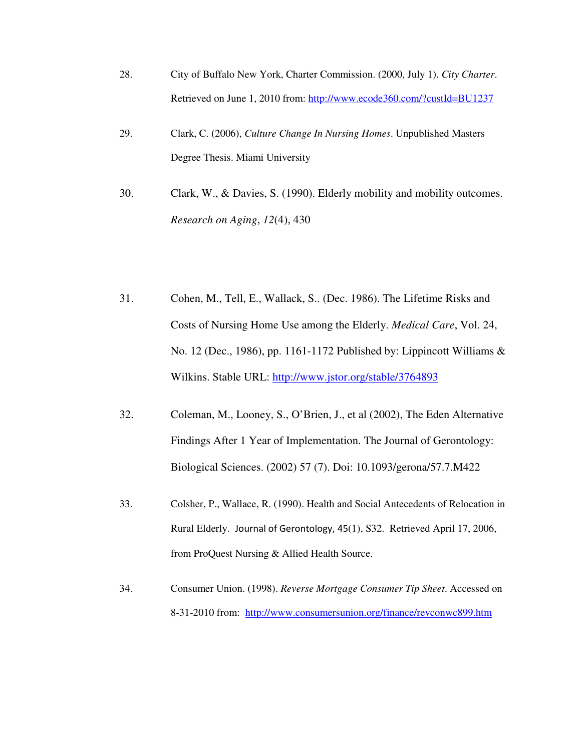- 28. City of Buffalo New York, Charter Commission. (2000, July 1). *City Charter*. Retrieved on June 1, 2010 from: http://www.ecode360.com/?custId=BU1237
- 29. Clark, C. (2006), *Culture Change In Nursing Homes*. Unpublished Masters Degree Thesis. Miami University
- 30. Clark, W., & Davies, S. (1990). Elderly mobility and mobility outcomes. *Research on Aging*, *12*(4), 430
- 31. Cohen, M., Tell, E., Wallack, S.. (Dec. 1986). The Lifetime Risks and Costs of Nursing Home Use among the Elderly. *Medical Care*, Vol. 24, No. 12 (Dec., 1986), pp. 1161-1172 Published by: Lippincott Williams & Wilkins. Stable URL: http://www.jstor.org/stable/3764893
- 32. Coleman, M., Looney, S., O'Brien, J., et al (2002), The Eden Alternative Findings After 1 Year of Implementation. The Journal of Gerontology: Biological Sciences. (2002) 57 (7). Doi: 10.1093/gerona/57.7.M422
- 33. Colsher, P., Wallace, R. (1990). Health and Social Antecedents of Relocation in Rural Elderly. Journal of Gerontology, 45(1), S32. Retrieved April 17, 2006, from ProQuest Nursing & Allied Health Source.
- 34. Consumer Union. (1998). *Reverse Mortgage Consumer Tip Sheet*. Accessed on 8-31-2010 from: http://www.consumersunion.org/finance/revconwc899.htm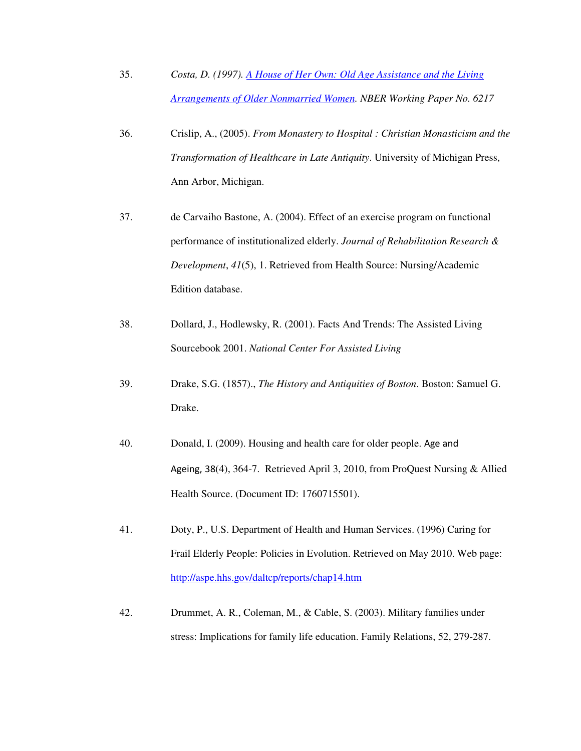- 35. *Costa, D. (1997). A House of Her Own: Old Age Assistance and the Living Arrangements of Older Nonmarried Women. NBER Working Paper No. 6217*
- 36. Crislip, A., (2005). *From Monastery to Hospital : Christian Monasticism and the Transformation of Healthcare in Late Antiquity*. University of Michigan Press, Ann Arbor, Michigan.
- 37. de Carvaiho Bastone, A. (2004). Effect of an exercise program on functional performance of institutionalized elderly. *Journal of Rehabilitation Research & Development*, *41*(5), 1. Retrieved from Health Source: Nursing/Academic Edition database.
- 38. Dollard, J., Hodlewsky, R. (2001). Facts And Trends: The Assisted Living Sourcebook 2001. *National Center For Assisted Living*
- 39. Drake, S.G. (1857)., *The History and Antiquities of Boston*. Boston: Samuel G. Drake.
- 40. Donald, I. (2009). Housing and health care for older people. Age and Ageing, 38(4), 364-7. Retrieved April 3, 2010, from ProQuest Nursing & Allied Health Source. (Document ID: 1760715501).
- 41. Doty, P., U.S. Department of Health and Human Services. (1996) Caring for Frail Elderly People: Policies in Evolution. Retrieved on May 2010. Web page: http://aspe.hhs.gov/daltcp/reports/chap14.htm
- 42. Drummet, A. R., Coleman, M., & Cable, S. (2003). Military families under stress: Implications for family life education. Family Relations, 52, 279-287.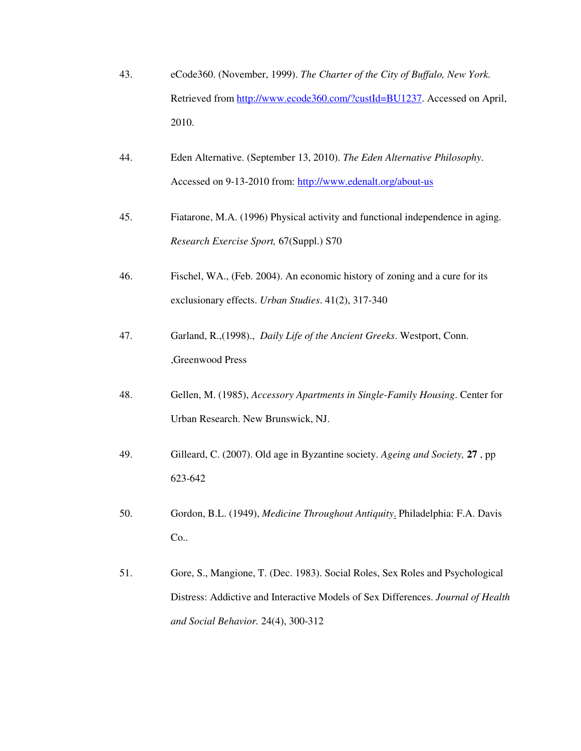- 43. eCode360. (November, 1999). *The Charter of the City of Buffalo, New York.*  Retrieved from http://www.ecode360.com/?custId=BU1237. Accessed on April, 2010.
- 44. Eden Alternative. (September 13, 2010). *The Eden Alternative Philosophy*. Accessed on 9-13-2010 from: http://www.edenalt.org/about-us
- 45. Fiatarone, M.A. (1996) Physical activity and functional independence in aging. *Research Exercise Sport,* 67(Suppl.) S70
- 46. Fischel, WA., (Feb. 2004). An economic history of zoning and a cure for its exclusionary effects. *Urban Studies*. 41(2), 317-340
- 47. Garland, R.,(1998)., *Daily Life of the Ancient Greeks*. Westport, Conn. ,Greenwood Press
- 48. Gellen, M. (1985), *Accessory Apartments in Single-Family Housing*. Center for Urban Research. New Brunswick, NJ.
- 49. Gilleard, C. (2007). Old age in Byzantine society. *Ageing and Society,* **27** , pp 623-642
- 50. Gordon, B.L. (1949), *Medicine Throughout Antiquity*. Philadelphia: F.A. Davis Co..
- 51. Gore, S., Mangione, T. (Dec. 1983). Social Roles, Sex Roles and Psychological Distress: Addictive and Interactive Models of Sex Differences. *Journal of Health and Social Behavior.* 24(4), 300-312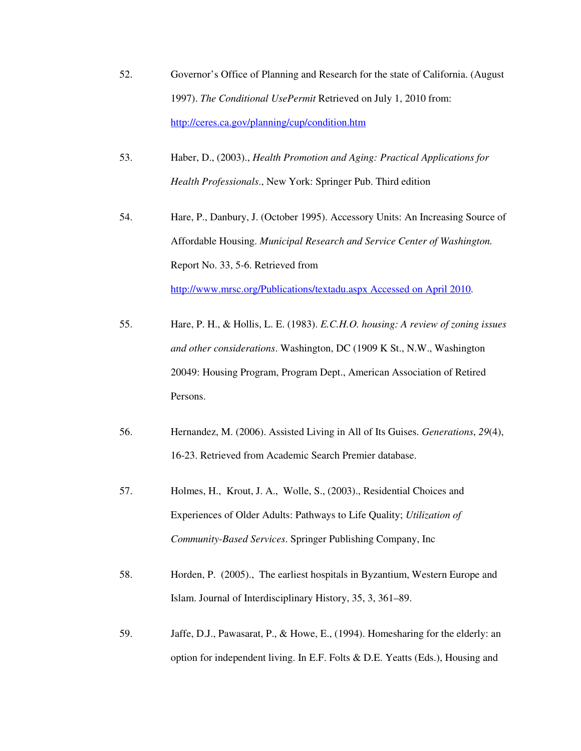- 52. Governor's Office of Planning and Research for the state of California. (August 1997). *The Conditional UsePermit* Retrieved on July 1, 2010 from: http://ceres.ca.gov/planning/cup/condition.htm
- 53. Haber, D., (2003)., *Health Promotion and Aging: Practical Applications for Health Professionals*., New York: Springer Pub. Third edition
- 54. Hare, P., Danbury, J. (October 1995). Accessory Units: An Increasing Source of Affordable Housing. *Municipal Research and Service Center of Washington.* Report No. 33, 5-6. Retrieved from http://www.mrsc.org/Publications/textadu.aspx Accessed on April 2010.
- 55. Hare, P. H., & Hollis, L. E. (1983). *E.C.H.O. housing: A review of zoning issues and other considerations*. Washington, DC (1909 K St., N.W., Washington 20049: Housing Program, Program Dept., American Association of Retired Persons.
- 56. Hernandez, M. (2006). Assisted Living in All of Its Guises. *Generations*, *29*(4), 16-23. Retrieved from Academic Search Premier database.
- 57. Holmes, H., Krout, J. A., Wolle, S., (2003)., Residential Choices and Experiences of Older Adults: Pathways to Life Quality; *Utilization of Community-Based Services*. Springer Publishing Company, Inc
- 58. Horden, P. (2005)., The earliest hospitals in Byzantium, Western Europe and Islam. Journal of Interdisciplinary History, 35, 3, 361–89.
- 59. Jaffe, D.J., Pawasarat, P., & Howe, E., (1994). Homesharing for the elderly: an option for independent living. In E.F. Folts & D.E. Yeatts (Eds.), Housing and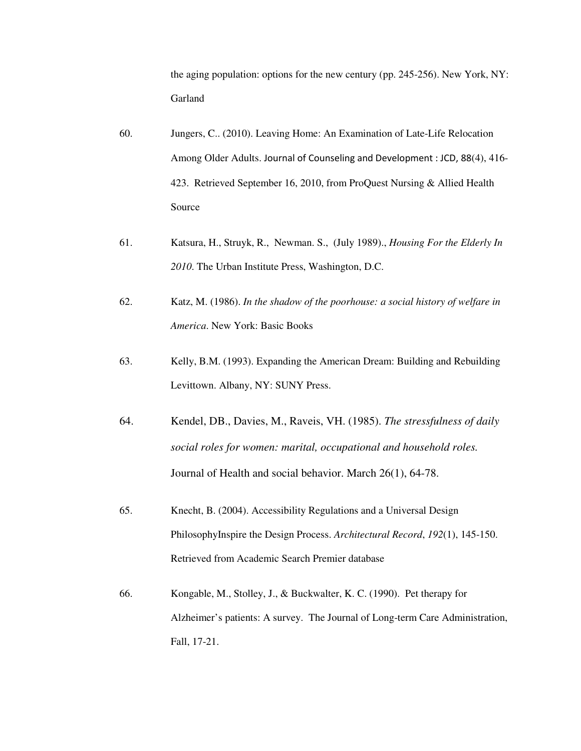the aging population: options for the new century (pp. 245-256). New York, NY: Garland

- 60. Jungers, C.. (2010). Leaving Home: An Examination of Late-Life Relocation Among Older Adults. Journal of Counseling and Development : JCD, 88(4), 416- 423. Retrieved September 16, 2010, from ProQuest Nursing & Allied Health Source
- 61. Katsura, H., Struyk, R., Newman. S., (July 1989)., *Housing For the Elderly In 2010*. The Urban Institute Press, Washington, D.C.
- 62. Katz, M. (1986). *In the shadow of the poorhouse: a social history of welfare in America*. New York: Basic Books
- 63. Kelly, B.M. (1993). Expanding the American Dream: Building and Rebuilding Levittown. Albany, NY: SUNY Press.
- 64. Kendel, DB., Davies, M., Raveis, VH. (1985). *The stressfulness of daily social roles for women: marital, occupational and household roles.*  Journal of Health and social behavior. March 26(1), 64-78.
- 65. Knecht, B. (2004). Accessibility Regulations and a Universal Design PhilosophyInspire the Design Process. *Architectural Record*, *192*(1), 145-150. Retrieved from Academic Search Premier database
- 66. Kongable, M., Stolley, J., & Buckwalter, K. C. (1990). Pet therapy for Alzheimer's patients: A survey. The Journal of Long-term Care Administration, Fall, 17-21.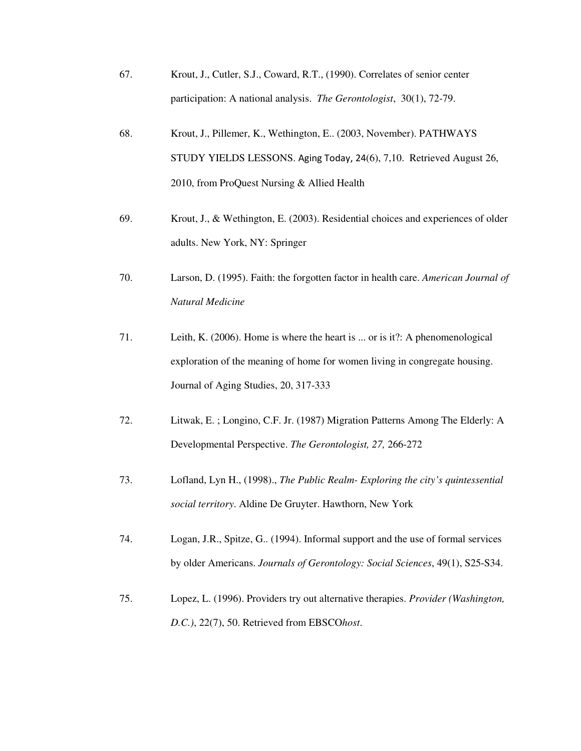- 67. Krout, J., Cutler, S.J., Coward, R.T., (1990). Correlates of senior center participation: A national analysis. *The Gerontologist*, 30(1), 72-79.
- 68. Krout, J., Pillemer, K., Wethington, E.. (2003, November). PATHWAYS STUDY YIELDS LESSONS. Aging Today, 24(6), 7,10. Retrieved August 26, 2010, from ProQuest Nursing & Allied Health
- 69. Krout, J., & Wethington, E. (2003). Residential choices and experiences of older adults. New York, NY: Springer
- 70. Larson, D. (1995). Faith: the forgotten factor in health care. *American Journal of Natural Medicine*
- 71. Leith, K. (2006). Home is where the heart is ... or is it?: A phenomenological exploration of the meaning of home for women living in congregate housing. Journal of Aging Studies, 20, 317-333
- 72. Litwak, E. ; Longino, C.F. Jr. (1987) Migration Patterns Among The Elderly: A Developmental Perspective. *The Gerontologist, 27,* 266-272
- 73. Lofland, Lyn H., (1998)., *The Public Realm- Exploring the city's quintessential social territory*. Aldine De Gruyter. Hawthorn, New York
- 74. Logan, J.R., Spitze, G.. (1994). Informal support and the use of formal services by older Americans. *Journals of Gerontology: Social Sciences*, 49(1), S25-S34.
- 75. Lopez, L. (1996). Providers try out alternative therapies. *Provider (Washington, D.C.)*, 22(7), 50. Retrieved from EBSCO*host*.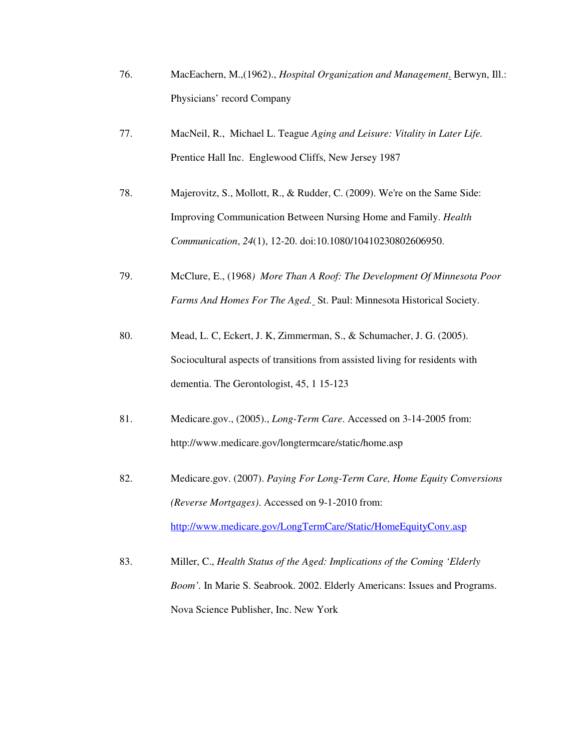- 76. MacEachern, M.,(1962)., *Hospital Organization and Management*. Berwyn, Ill.: Physicians' record Company
- 77. MacNeil, R., Michael L. Teague *Aging and Leisure: Vitality in Later Life.* Prentice Hall Inc. Englewood Cliffs, New Jersey 1987
- 78. Majerovitz, S., Mollott, R., & Rudder, C. (2009). We're on the Same Side: Improving Communication Between Nursing Home and Family. *Health Communication*, *24*(1), 12-20. doi:10.1080/10410230802606950.
- 79. McClure, E., (1968*) More Than A Roof: The Development Of Minnesota Poor Farms And Homes For The Aged.* St. Paul: Minnesota Historical Society.
- 80. Mead, L. C, Eckert, J. K, Zimmerman, S., & Schumacher, J. G. (2005). Sociocultural aspects of transitions from assisted living for residents with dementia. The Gerontologist, 45, 1 15-123
- 81. Medicare.gov., (2005)., *Long-Term Care*. Accessed on 3-14-2005 from: http://www.medicare.gov/longtermcare/static/home.asp
- 82. Medicare.gov. (2007). *Paying For Long-Term Care, Home Equity Conversions (Reverse Mortgages)*. Accessed on 9-1-2010 from: http://www.medicare.gov/LongTermCare/Static/HomeEquityConv.asp
- 83. Miller, C., *Health Status of the Aged: Implications of the Coming 'Elderly Boom'.* In Marie S. Seabrook. 2002. Elderly Americans: Issues and Programs. Nova Science Publisher, Inc. New York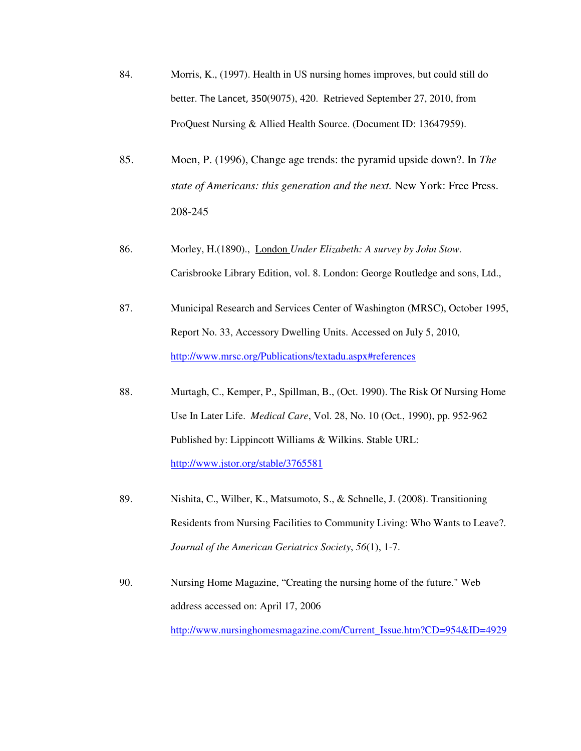- 84. Morris, K., (1997). Health in US nursing homes improves, but could still do better. The Lancet, 350(9075), 420. Retrieved September 27, 2010, from ProQuest Nursing & Allied Health Source. (Document ID: 13647959).
- 85. Moen, P. (1996), Change age trends: the pyramid upside down?. In *The state of Americans: this generation and the next.* New York: Free Press. 208-245
- 86. Morley, H.(1890)., London *Under Elizabeth: A survey by John Stow.*  Carisbrooke Library Edition, vol. 8. London: George Routledge and sons, Ltd.,
- 87. Municipal Research and Services Center of Washington (MRSC), October 1995, Report No. 33, Accessory Dwelling Units. Accessed on July 5, 2010, http://www.mrsc.org/Publications/textadu.aspx#references
- 88. Murtagh, C., Kemper, P., Spillman, B., (Oct. 1990). The Risk Of Nursing Home Use In Later Life. *Medical Care*, Vol. 28, No. 10 (Oct., 1990), pp. 952-962 Published by: Lippincott Williams & Wilkins. Stable URL: http://www.jstor.org/stable/3765581
- 89. Nishita, C., Wilber, K., Matsumoto, S., & Schnelle, J. (2008). Transitioning Residents from Nursing Facilities to Community Living: Who Wants to Leave?. *Journal of the American Geriatrics Society*, *56*(1), 1-7.
- 90. Nursing Home Magazine, "Creating the nursing home of the future." Web address accessed on: April 17, 2006 http://www.nursinghomesmagazine.com/Current\_Issue.htm?CD=954&ID=4929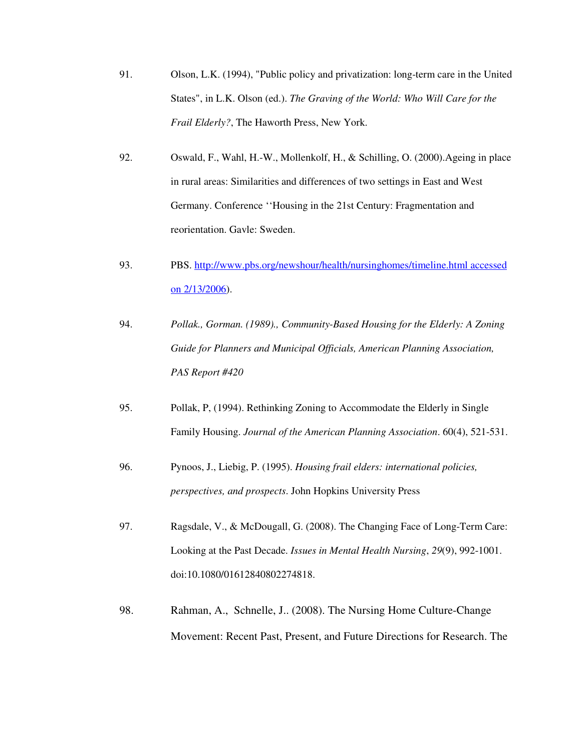- 91. Olson, L.K. (1994), "Public policy and privatization: long-term care in the United States", in L.K. Olson (ed.). *The Graving of the World: Who Will Care for the Frail Elderly?*, The Haworth Press, New York.
- 92. Oswald, F., Wahl, H.-W., Mollenkolf, H., & Schilling, O. (2000).Ageing in place in rural areas: Similarities and differences of two settings in East and West Germany. Conference ''Housing in the 21st Century: Fragmentation and reorientation. Gavle: Sweden.
- 93. PBS. http://www.pbs.org/newshour/health/nursinghomes/timeline.html accessed on 2/13/2006).
- 94. *Pollak., Gorman. (1989)., Community-Based Housing for the Elderly: A Zoning Guide for Planners and Municipal Officials, American Planning Association, PAS Report #420*
- 95. Pollak, P, (1994). Rethinking Zoning to Accommodate the Elderly in Single Family Housing. *Journal of the American Planning Association*. 60(4), 521-531.
- 96. Pynoos, J., Liebig, P. (1995). *Housing frail elders: international policies, perspectives, and prospects*. John Hopkins University Press
- 97. Ragsdale, V., & McDougall, G. (2008). The Changing Face of Long-Term Care: Looking at the Past Decade. *Issues in Mental Health Nursing*, *29*(9), 992-1001. doi:10.1080/01612840802274818.
- 98. Rahman, A., Schnelle, J.. (2008). The Nursing Home Culture-Change Movement: Recent Past, Present, and Future Directions for Research. The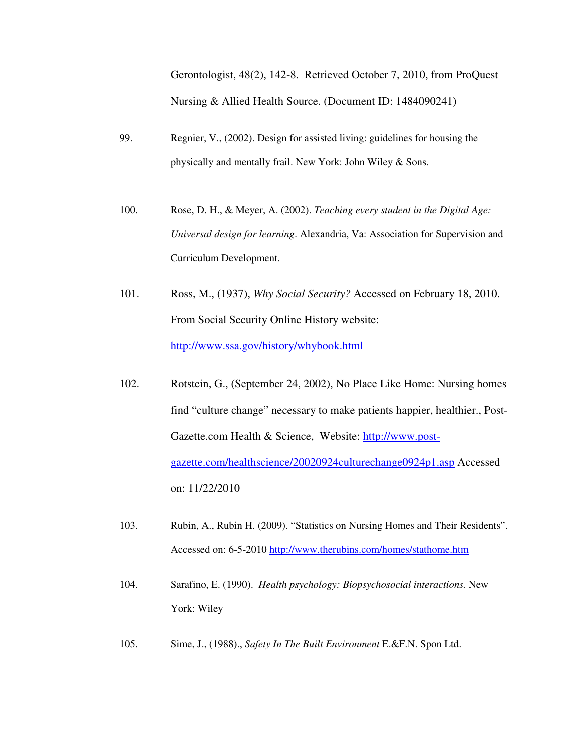Gerontologist, 48(2), 142-8. Retrieved October 7, 2010, from ProQuest Nursing & Allied Health Source. (Document ID: 1484090241)

- 99. Regnier, V., (2002). Design for assisted living: guidelines for housing the physically and mentally frail. New York: John Wiley & Sons.
- 100. Rose, D. H., & Meyer, A. (2002). *Teaching every student in the Digital Age: Universal design for learning*. Alexandria, Va: Association for Supervision and Curriculum Development.
- 101. Ross, M., (1937), *Why Social Security?* Accessed on February 18, 2010. From Social Security Online History website: http://www.ssa.gov/history/whybook.html
- 102. Rotstein, G., (September 24, 2002), No Place Like Home: Nursing homes find "culture change" necessary to make patients happier, healthier., Post-Gazette.com Health & Science, Website: http://www.postgazette.com/healthscience/20020924culturechange0924p1.asp Accessed on: 11/22/2010
- 103. Rubin, A., Rubin H. (2009). "Statistics on Nursing Homes and Their Residents". Accessed on: 6-5-2010 http://www.therubins.com/homes/stathome.htm
- 104. Sarafino, E. (1990). *Health psychology: Biopsychosocial interactions.* New York: Wiley
- 105. Sime, J., (1988)., *Safety In The Built Environment* E.&F.N. Spon Ltd.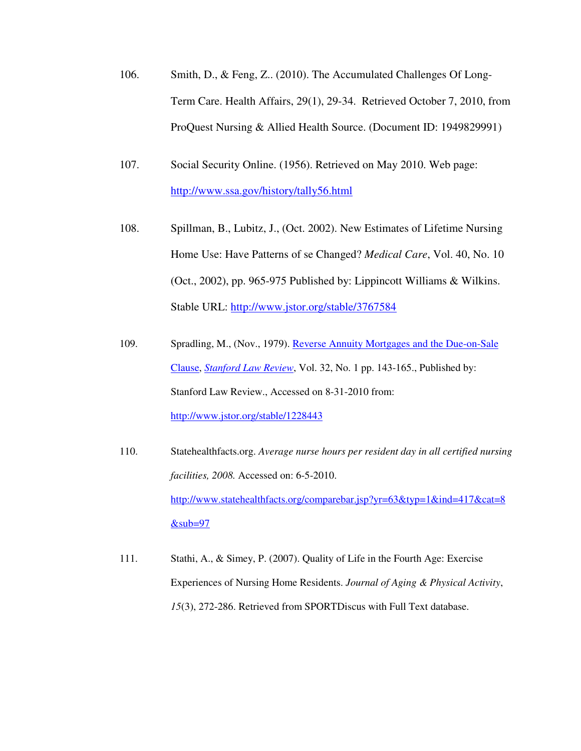- 106. Smith, D., & Feng, Z.. (2010). The Accumulated Challenges Of Long-Term Care. Health Affairs, 29(1), 29-34. Retrieved October 7, 2010, from ProQuest Nursing & Allied Health Source. (Document ID: 1949829991)
- 107. Social Security Online. (1956). Retrieved on May 2010. Web page: http://www.ssa.gov/history/tally56.html
- 108. Spillman, B., Lubitz, J., (Oct. 2002). New Estimates of Lifetime Nursing Home Use: Have Patterns of se Changed? *Medical Care*, Vol. 40, No. 10 (Oct., 2002), pp. 965-975 Published by: Lippincott Williams & Wilkins. Stable URL: http://www.jstor.org/stable/3767584
- 109. Spradling, M., (Nov., 1979). Reverse Annuity Mortgages and the Due-on-Sale Clause, *Stanford Law Review*, Vol. 32, No. 1 pp. 143-165., Published by: Stanford Law Review., Accessed on 8-31-2010 from: http://www.jstor.org/stable/1228443
- 110. Statehealthfacts.org. *Average nurse hours per resident day in all certified nursing facilities, 2008.* Accessed on: 6-5-2010. http://www.statehealthfacts.org/comparebar.jsp?yr=63&typ=1&ind=417&cat=8  $⊂=97$
- 111. Stathi, A., & Simey, P. (2007). Quality of Life in the Fourth Age: Exercise Experiences of Nursing Home Residents. *Journal of Aging & Physical Activity*, *15*(3), 272-286. Retrieved from SPORTDiscus with Full Text database.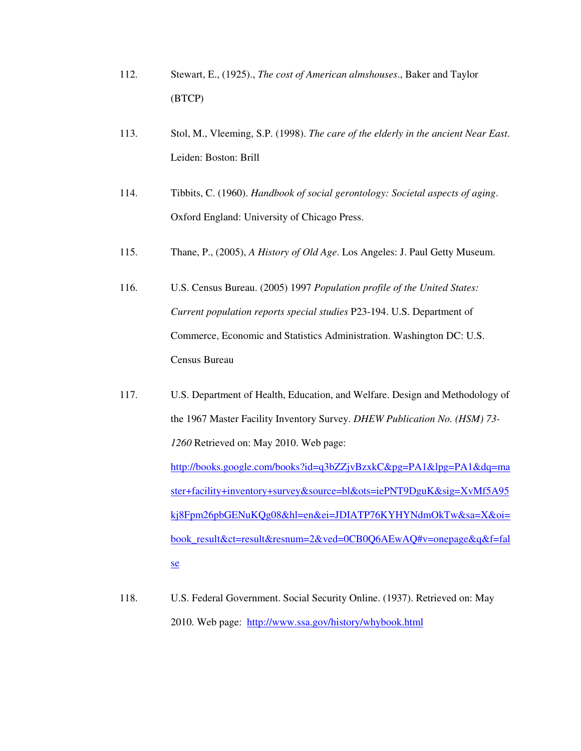- 112. Stewart, E., (1925)., *The cost of American almshouses*., Baker and Taylor (BTCP)
- 113. Stol, M., Vleeming, S.P. (1998). *The care of the elderly in the ancient Near East*. Leiden: Boston: Brill
- 114. Tibbits, C. (1960). *Handbook of social gerontology: Societal aspects of aging*. Oxford England: University of Chicago Press.
- 115. Thane, P., (2005), *A History of Old Age*. Los Angeles: J. Paul Getty Museum.
- 116. U.S. Census Bureau. (2005) 1997 *Population profile of the United States: Current population reports special studies* P23-194. U.S. Department of Commerce, Economic and Statistics Administration. Washington DC: U.S. Census Bureau
- 117. U.S. Department of Health, Education, and Welfare. Design and Methodology of the 1967 Master Facility Inventory Survey. *DHEW Publication No. (HSM) 73- 1260* Retrieved on: May 2010. Web page: http://books.google.com/books?id=q3bZZjvBzxkC&pg=PA1&lpg=PA1&dq=ma ster+facility+inventory+survey&source=bl&ots=iePNT9DguK&sig=XvMf5A95 kj8Fpm26pbGENuKQg08&hl=en&ei=JDIATP76KYHYNdmOkTw&sa=X&oi= book\_result&ct=result&resnum=2&ved=0CB0Q6AEwAQ#v=onepage&q&f=fal se
- 118. U.S. Federal Government. Social Security Online. (1937). Retrieved on: May 2010. Web page: http://www.ssa.gov/history/whybook.html